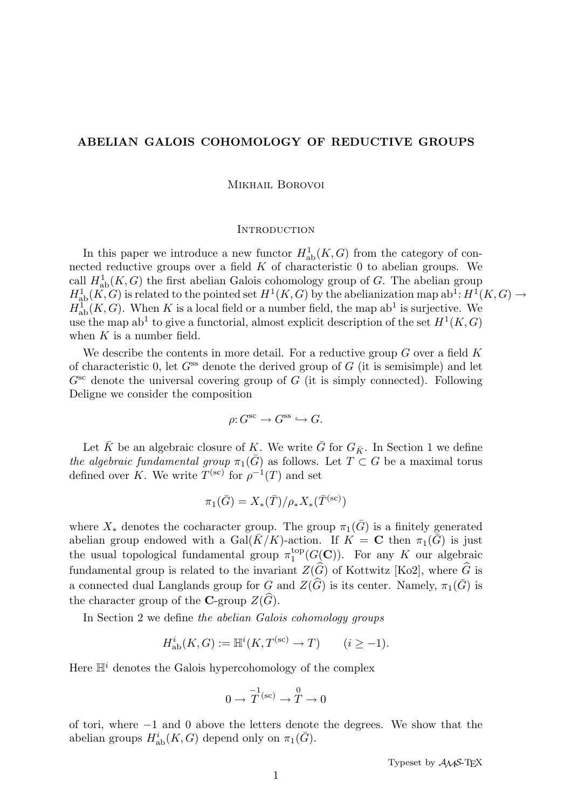# ABELIAN GALOIS COHOMOLOGY OF REDUCTIVE GROUPS

Mikhail Borovoi

#### **INTRODUCTION**

In this paper we introduce a new functor  $H^1_{ab}(K, G)$  from the category of connected reductive groups over a field  $K$  of characteristic 0 to abelian groups. We call  $H^1_{ab}(K, G)$  the first abelian Galois cohomology group of G. The abelian group  $H^1_{ab}(K, G)$  is related to the pointed set  $H^1(K, G)$  by the abelianization map  $ab^1: H^1(K, G) \to$  $H^1_{ab}(K, G)$ . When K is a local field or a number field, the map ab<sup>1</sup> is surjective. We use the map ab<sup>1</sup> to give a functorial, almost explicit description of the set  $H^1(K, G)$ when  $K$  is a number field.

We describe the contents in more detail. For a reductive group  $G$  over a field  $K$ of characteristic 0, let  $G^{ss}$  denote the derived group of G (it is semisimple) and let  $G^{\rm sc}$  denote the universal covering group of G (it is simply connected). Following Deligne we consider the composition

$$
\rho: G^{\text{sc}} \to G^{\text{ss}} \hookrightarrow G.
$$

Let  $\bar{K}$  be an algebraic closure of K. We write  $\bar{G}$  for  $G_{\bar{K}}$ . In Section 1 we define the algebraic fundamental group  $\pi_1(\bar{G})$  as follows. Let  $T \subset G$  be a maximal torus defined over K. We write  $T^{(sc)}$  for  $\rho^{-1}(T)$  and set

$$
\pi_1(\bar{G}) = X_*(\bar{T}) / \rho_* X_*(\bar{T}^{(\text{sc})})
$$

where  $X_*$  denotes the cocharacter group. The group  $\pi_1(\bar{G})$  is a finitely generated abelian group endowed with a Gal( $\bar{K}/K$ )-action. If  $K = \mathbf{C}$  then  $\pi_1(\bar{G})$  is just the usual topological fundamental group  $\pi_1^{\text{top}}$  $I_1^{\text{top}}(G(\mathbf{C}))$ . For any K our algebraic fundamental group is related to the invariant  $Z(\widehat{G})$  of Kottwitz [Ko2], where  $\widehat{G}$  is a connected dual Langlands group for G and  $Z(\widehat{G})$  is its center. Namely,  $\pi_1(\overline{G})$  is the character group of the C-group  $Z(\widehat{G})$ .

In Section 2 we define the abelian Galois cohomology groups

$$
H_{\mathrm{ab}}^i(K, G) := \mathbb{H}^i(K, T^{(\mathrm{sc})} \to T) \qquad (i \ge -1).
$$

Here  $\mathbb{H}^i$  denotes the Galois hypercohomology of the complex

$$
0 \to \overline{T}^{(sc)} \to \mathop{T}^{0} \to 0
$$

of tori, where −1 and 0 above the letters denote the degrees. We show that the abelian groups  $H^i_{ab}(K, G)$  depend only on  $\pi_1(\bar{G})$ .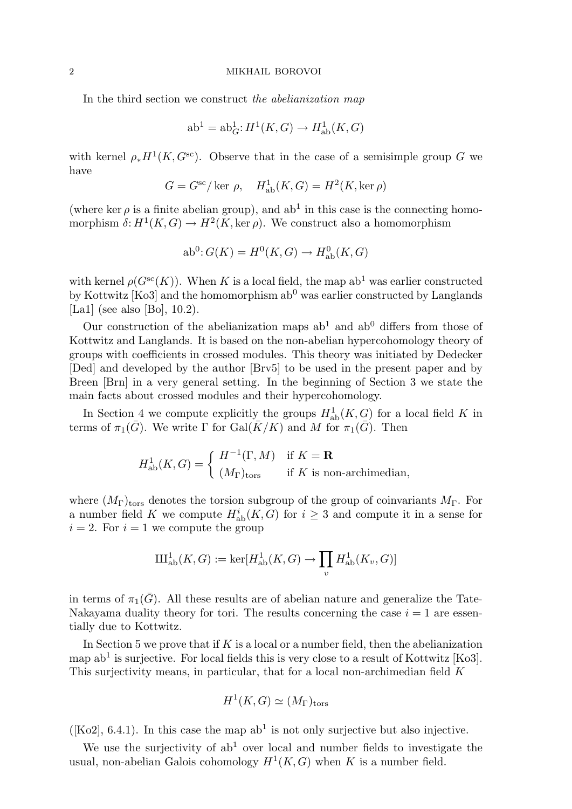In the third section we construct the abelianization map

$$
ab1 = abG1: H1(K, G) \rightarrow Hab1(K, G)
$$

with kernel  $\rho_* H^1(K, G^{\text{sc}})$ . Observe that in the case of a semisimple group G we have

$$
G = G^{\rm sc} / \ker \rho, \quad H^1_{\rm ab}(K, G) = H^2(K, \ker \rho)
$$

(where ker  $\rho$  is a finite abelian group), and ab<sup>1</sup> in this case is the connecting homomorphism  $\delta: H^1(K, G) \to H^2(K, \ker \rho)$ . We construct also a homomorphism

$$
ab0: G(K) = H0(K, G) \rightarrow H0ab(K, G)
$$

with kernel  $\rho(G^{sc}(K))$ . When K is a local field, the map ab<sup>1</sup> was earlier constructed by Kottwitz  $[Ko3]$  and the homomorphism  $ab<sup>0</sup>$  was earlier constructed by Langlands [La1] (see also [Bo], 10.2).

Our construction of the abelianization maps  $ab<sup>1</sup>$  and  $ab<sup>0</sup>$  differs from those of Kottwitz and Langlands. It is based on the non-abelian hypercohomology theory of groups with coefficients in crossed modules. This theory was initiated by Dedecker [Ded] and developed by the author [Brv5] to be used in the present paper and by Breen [Brn] in a very general setting. In the beginning of Section 3 we state the main facts about crossed modules and their hypercohomology.

In Section 4 we compute explicitly the groups  $H^1_{ab}(K, G)$  for a local field K in terms of  $\pi_1(\bar{G})$ . We write Γ for  $Gal(\bar{K}/K)$  and M for  $\pi_1(\bar{G})$ . Then

$$
H^1_{\mathrm{ab}}(K,G) = \begin{cases} H^{-1}(\Gamma,M) & \text{if } K = \mathbf{R} \\ (M_{\Gamma})_{\mathrm{tors}} & \text{if } K \text{ is non-archimedian,} \end{cases}
$$

where  $(M_{\Gamma})_{\text{tors}}$  denotes the torsion subgroup of the group of coinvariants  $M_{\Gamma}$ . For a number field K we compute  $H^i_{ab}(K, G)$  for  $i \geq 3$  and compute it in a sense for  $i = 2$ . For  $i = 1$  we compute the group

$$
\mathrm{III}_{\mathrm{ab}}^1(K, G) := \ker[H_{\mathrm{ab}}^1(K, G) \to \prod_v H_{\mathrm{ab}}^1(K_v, G)]
$$

in terms of  $\pi_1(\bar{G})$ . All these results are of abelian nature and generalize the Tate-Nakayama duality theory for tori. The results concerning the case  $i = 1$  are essentially due to Kottwitz.

In Section 5 we prove that if  $K$  is a local or a number field, then the abelianization map ab<sup>1</sup> is surjective. For local fields this is very close to a result of Kottwitz [Ko3]. This surjectivity means, in particular, that for a local non-archimedian field K

$$
H^1(K, G) \simeq (M_{\Gamma})_{\text{tors}}
$$

( $[Ko2], 6.4.1$ ). In this case the map  $ab<sup>1</sup>$  is not only surjective but also injective.

We use the surjectivity of  $ab<sup>1</sup>$  over local and number fields to investigate the usual, non-abelian Galois cohomology  $H^1(K, G)$  when K is a number field.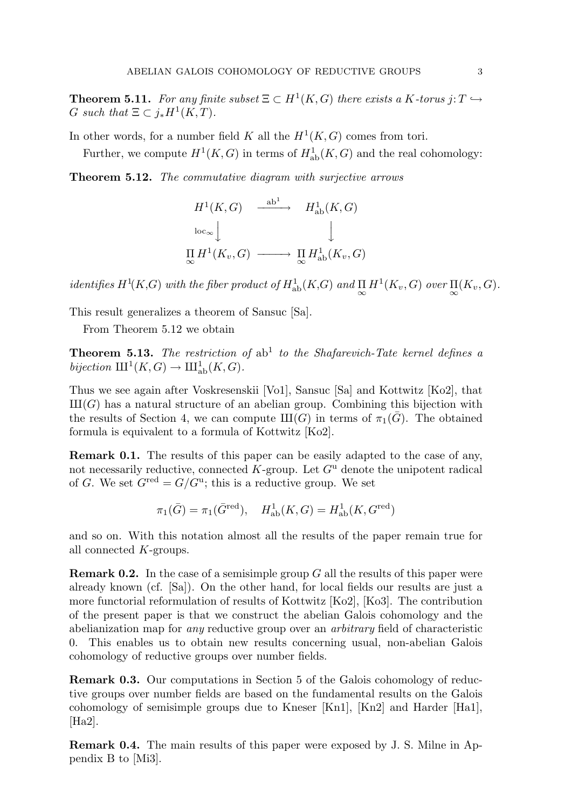**Theorem 5.11.** For any finite subset  $\Xi \subset H^1(K, G)$  there exists a K-torus j:  $T \hookrightarrow$ G such that  $\Xi \subset j_*H^1(K,T)$ .

In other words, for a number field K all the  $H^1(K, G)$  comes from tori.

Further, we compute  $H^1(K, G)$  in terms of  $H^1_{ab}(K, G)$  and the real cohomology:

Theorem 5.12. The commutative diagram with surjective arrows

$$
H^1(K, G) \xrightarrow{\text{ab}^1} H^1_{\text{ab}}(K, G)
$$
  
\n
$$
\downarrow \qquad \qquad \downarrow
$$
  
\n
$$
\prod_{\infty} H^1(K_v, G) \longrightarrow \prod_{\infty} H^1_{\text{ab}}(K_v, G)
$$

identifies  $H^1(K, G)$  with the fiber product of  $H^1_{ab}(K, G)$  and  $\prod_{\infty} H^1(K_v, G)$  over  $\prod_{\infty} (K_v, G)$ .

This result generalizes a theorem of Sansuc [Sa].

From Theorem 5.12 we obtain

**Theorem 5.13.** The restriction of  $ab^1$  to the Shafarevich-Tate kernel defines a bijection  $III^1(K, G) \to III^1_{ab}(K, G)$ .

Thus we see again after Voskresenskii [Vo1], Sansuc [Sa] and Kottwitz [Ko2], that  $III(G)$  has a natural structure of an abelian group. Combining this bijection with the results of Section 4, we can compute  $III(G)$  in terms of  $\pi_1(\overline{G})$ . The obtained formula is equivalent to a formula of Kottwitz [Ko2].

Remark 0.1. The results of this paper can be easily adapted to the case of any, not necessarily reductive, connected  $K$ -group. Let  $G<sup>u</sup>$  denote the unipotent radical of G. We set  $G^{\text{red}} = G/G^{\text{u}}$ ; this is a reductive group. We set

$$
\pi_1(\bar{G}) = \pi_1(\bar{G}^{\text{red}}), \quad H^1_{\text{ab}}(K, G) = H^1_{\text{ab}}(K, G^{\text{red}})
$$

and so on. With this notation almost all the results of the paper remain true for all connected K-groups.

**Remark 0.2.** In the case of a semisimple group  $G$  all the results of this paper were already known (cf. [Sa]). On the other hand, for local fields our results are just a more functorial reformulation of results of Kottwitz [Ko2], [Ko3]. The contribution of the present paper is that we construct the abelian Galois cohomology and the abelianization map for any reductive group over an arbitrary field of characteristic 0. This enables us to obtain new results concerning usual, non-abelian Galois cohomology of reductive groups over number fields.

Remark 0.3. Our computations in Section 5 of the Galois cohomology of reductive groups over number fields are based on the fundamental results on the Galois cohomology of semisimple groups due to Kneser [Kn1], [Kn2] and Harder [Ha1], [Ha2].

Remark 0.4. The main results of this paper were exposed by J. S. Milne in Appendix B to [Mi3].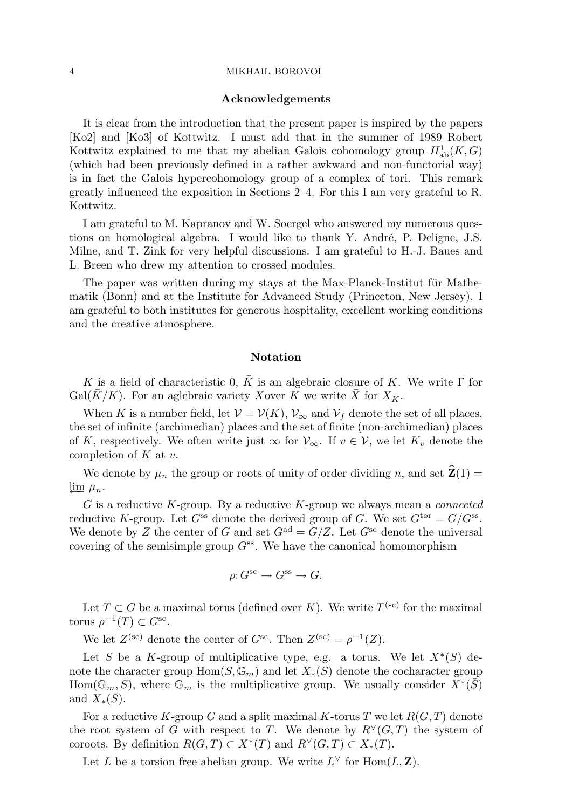#### 4 MIKHAIL BOROVOI

#### Acknowledgements

It is clear from the introduction that the present paper is inspired by the papers [Ko2] and [Ko3] of Kottwitz. I must add that in the summer of 1989 Robert Kottwitz explained to me that my abelian Galois cohomology group  $H^1_{ab}(K, G)$ (which had been previously defined in a rather awkward and non-functorial way) is in fact the Galois hypercohomology group of a complex of tori. This remark greatly influenced the exposition in Sections 2–4. For this I am very grateful to R. Kottwitz.

I am grateful to M. Kapranov and W. Soergel who answered my numerous questions on homological algebra. I would like to thank Y. André, P. Deligne, J.S. Milne, and T. Zink for very helpful discussions. I am grateful to H.-J. Baues and L. Breen who drew my attention to crossed modules.

The paper was written during my stays at the Max-Planck-Institut für Mathematik (Bonn) and at the Institute for Advanced Study (Princeton, New Jersey). I am grateful to both institutes for generous hospitality, excellent working conditions and the creative atmosphere.

## Notation

K is a field of characteristic 0,  $\bar{K}$  is an algebraic closure of K. We write  $\Gamma$  for Gal( $\bar{K}/K$ ). For an aglebraic variety Xover K we write  $\bar{X}$  for  $X_{\bar{K}}$ .

When K is a number field, let  $V = V(K)$ ,  $V_{\infty}$  and  $V_f$  denote the set of all places, the set of infinite (archimedian) places and the set of finite (non-archimedian) places of K, respectively. We often write just  $\infty$  for  $\mathcal{V}_{\infty}$ . If  $v \in \mathcal{V}$ , we let  $K_v$  denote the completion of  $K$  at  $v$ .

We denote by  $\mu_n$  the group or roots of unity of order dividing n, and set  $\hat{\mathbf{Z}}(1) =$  $\lim_{\mu_n}$ .

G is a reductive K-group. By a reductive K-group we always mean a *connected* reductive K-group. Let  $G^{\text{ss}}$  denote the derived group of G. We set  $G^{\text{tor}} = G/G^{\text{ss}}$ . We denote by Z the center of G and set  $G^{ad} = G/Z$ . Let  $G^{sc}$  denote the universal covering of the semisimple group  $G^{ss}$ . We have the canonical homomorphism

$$
\rho: G^{\text{sc}} \to G^{\text{ss}} \to G.
$$

Let  $T \subset G$  be a maximal torus (defined over K). We write  $T^{(\text{sc})}$  for the maximal torus  $\rho^{-1}(T) \subset G^{\text{sc}}$ .

We let  $Z^{(\text{sc})}$  denote the center of  $G^{\text{sc}}$ . Then  $Z^{(\text{sc})} = \rho^{-1}(Z)$ .

Let S be a K-group of multiplicative type, e.g. a torus. We let  $X^*(S)$  denote the character group  $\text{Hom}(S, \mathbb{G}_m)$  and let  $X_*(S)$  denote the cocharacter group Hom( $\mathbb{G}_m$ , S), where  $\mathbb{G}_m$  is the multiplicative group. We usually consider  $X^*(\bar{S})$ and  $X_*(\bar{S})$ .

For a reductive K-group G and a split maximal K-torus T we let  $R(G, T)$  denote the root system of G with respect to T. We denote by  $R^{\vee}(G,T)$  the system of coroots. By definition  $R(G,T) \subset X^*(T)$  and  $R^{\vee}(G,T) \subset X_*(T)$ .

Let L be a torsion free abelian group. We write  $L^{\vee}$  for  $\text{Hom}(L, \mathbf{Z})$ .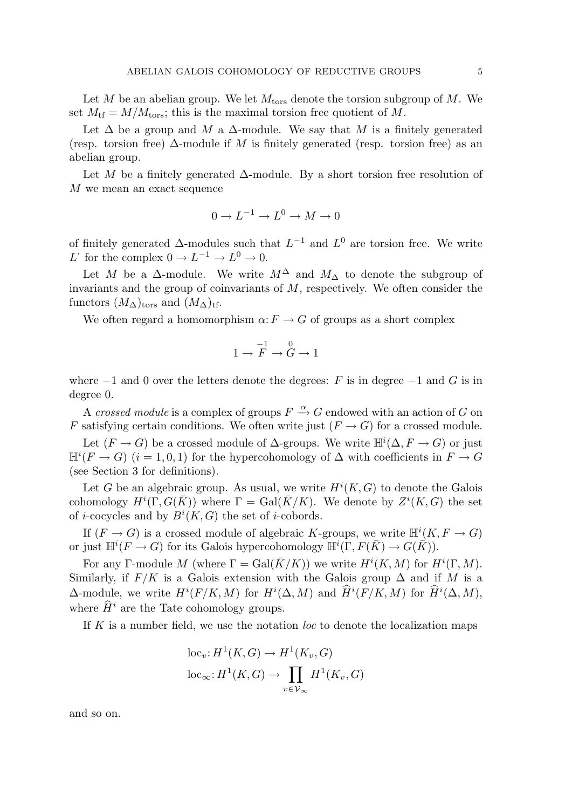Let  $M$  be an abelian group. We let  $M<sub>tors</sub>$  denote the torsion subgroup of  $M$ . We set  $M_{\text{tf}} = M/M_{\text{tors}}$ ; this is the maximal torsion free quotient of M.

Let  $\Delta$  be a group and M a  $\Delta$ -module. We say that M is a finitely generated (resp. torsion free)  $\Delta$ -module if M is finitely generated (resp. torsion free) as an abelian group.

Let M be a finitely generated ∆-module. By a short torsion free resolution of M we mean an exact sequence

$$
0 \to L^{-1} \to L^0 \to M \to 0
$$

of finitely generated  $\Delta$ -modules such that  $L^{-1}$  and  $L^0$  are torsion free. We write L for the complex  $0 \to L^{-1} \to L^0 \to 0$ .

Let M be a  $\Delta$ -module. We write  $M^{\Delta}$  and  $M_{\Delta}$  to denote the subgroup of invariants and the group of coinvariants of  $M$ , respectively. We often consider the functors  $(M<sub>∆</sub>)<sub>tors</sub>$  and  $(M<sub>∆</sub>)<sub>tf</sub>$ .

We often regard a homomorphism  $\alpha: F \to G$  of groups as a short complex

$$
1 \to \overline{F}^1 \to \overset{0}{G} \to 1
$$

where  $-1$  and 0 over the letters denote the degrees: F is in degree  $-1$  and G is in degree 0.

A crossed module is a complex of groups  $F \stackrel{\alpha}{\rightarrow} G$  endowed with an action of G on F satisfying certain conditions. We often write just  $(F \to G)$  for a crossed module.

Let  $(F \to G)$  be a crossed module of  $\Delta$ -groups. We write  $\mathbb{H}^i(\Delta, F \to G)$  or just  $\mathbb{H}^i(F \to G)$   $(i = 1, 0, 1)$  for the hypercohomology of  $\Delta$  with coefficients in  $F \to G$ (see Section 3 for definitions).

Let G be an algebraic group. As usual, we write  $H^{i}(K, G)$  to denote the Galois cohomology  $H^i(\Gamma, G(\bar K))$  where  $\Gamma = \text{Gal}(\bar K/K)$ . We denote by  $Z^i(K, G)$  the set of *i*-cocycles and by  $B^i(K, G)$  the set of *i*-cobords.

If  $(F \to G)$  is a crossed module of algebraic K-groups, we write  $\mathbb{H}^i(K, F \to G)$ or just  $\mathbb{H}^i(F \to G)$  for its Galois hypercohomology  $\mathbb{H}^i(\Gamma, F(\bar{K}) \to G(\bar{K})).$ 

For any Γ-module M (where  $\Gamma = \text{Gal}(\overline{K}/K)$ ) we write  $H^{i}(K, M)$  for  $H^{i}(\Gamma, M)$ . Similarly, if  $F/K$  is a Galois extension with the Galois group  $\Delta$  and if M is a  $\Delta$ -module, we write  $H^{i}(F/K, M)$  for  $H^{i}(\Delta, M)$  and  $\widetilde{H}^{i}(F/K, M)$  for  $\widetilde{H}^{i}(\Delta, M)$ , where  $\widehat{H}^i$  are the Tate cohomology groups.

If  $K$  is a number field, we use the notation loc to denote the localization maps

$$
loc_{v}: H^{1}(K, G) \to H^{1}(K_{v}, G)
$$

$$
loc_{\infty}: H^{1}(K, G) \to \prod_{v \in \mathcal{V}_{\infty}} H^{1}(K_{v}, G)
$$

and so on.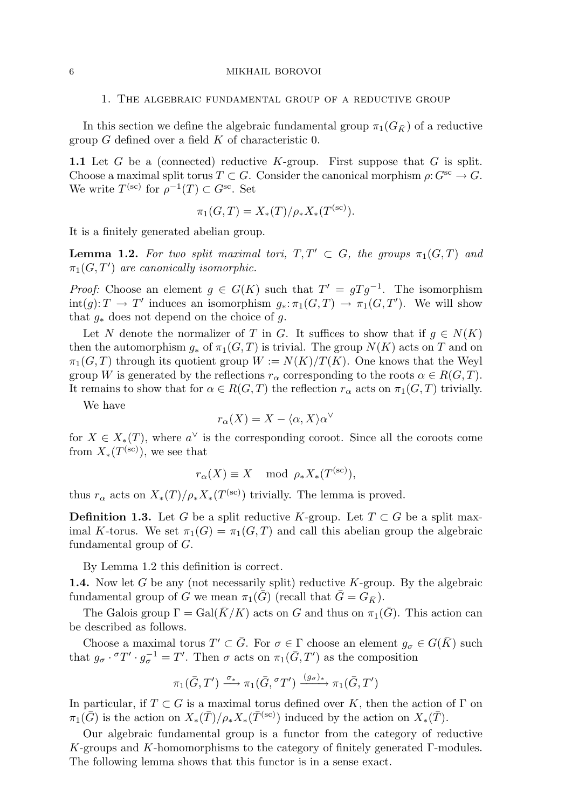#### 6 MIKHAIL BOROVOI

1. The algebraic fundamental group of a reductive group

In this section we define the algebraic fundamental group  $\pi_1(G_{\bar{K}})$  of a reductive group  $G$  defined over a field  $K$  of characteristic 0.

1.1 Let  $G$  be a (connected) reductive  $K$ -group. First suppose that  $G$  is split. Choose a maximal split torus  $T \subset G$ . Consider the canonical morphism  $\rho: G^{sc} \to G$ . We write  $T^{(\text{sc})}$  for  $\rho^{-1}(T) \subset G^{\text{sc}}$ . Set

$$
\pi_1(G, T) = X_*(T) / \rho_* X_*(T^{(\text{sc})}).
$$

It is a finitely generated abelian group.

**Lemma 1.2.** For two split maximal tori,  $T, T' \subset G$ , the groups  $\pi_1(G, T)$  and  $\pi_1(G, T')$  are canonically isomorphic.

*Proof:* Choose an element  $g \in G(K)$  such that  $T' = gTg^{-1}$ . The isomorphism  $\text{int}(g): T \to T'$  induces an isomorphism  $g_*: \pi_1(G,T) \to \pi_1(G,T')$ . We will show that  $g_*$  does not depend on the choice of g.

Let N denote the normalizer of T in G. It suffices to show that if  $q \in N(K)$ then the automorphism  $g_*$  of  $\pi_1(G,T)$  is trivial. The group  $N(K)$  acts on T and on  $\pi_1(G,T)$  through its quotient group  $W := N(K)/T(K)$ . One knows that the Weyl group W is generated by the reflections  $r_{\alpha}$  corresponding to the roots  $\alpha \in R(G,T)$ . It remains to show that for  $\alpha \in R(G,T)$  the reflection  $r_{\alpha}$  acts on  $\pi_1(G,T)$  trivially.

We have

$$
r_{\alpha}(X) = X - \langle \alpha, X \rangle \alpha^{\vee}
$$

for  $X \in X_*(T)$ , where  $a^{\vee}$  is the corresponding coroot. Since all the coroots come from  $X_*(T^{(sc)})$ , we see that

$$
r_{\alpha}(X) \equiv X \mod \rho_* X_*(T^{(\text{sc})}),
$$

thus  $r_{\alpha}$  acts on  $X_*(T)/\rho_* X_*(T^{(sc)})$  trivially. The lemma is proved.

**Definition 1.3.** Let G be a split reductive K-group. Let  $T \subset G$  be a split maximal K-torus. We set  $\pi_1(G) = \pi_1(G, T)$  and call this abelian group the algebraic fundamental group of G.

By Lemma 1.2 this definition is correct.

**1.4.** Now let G be any (not necessarily split) reductive K-group. By the algebraic fundamental group of G we mean  $\pi_1(\bar{G})$  (recall that  $\bar{G} = G_{\bar{K}}$ ).

The Galois group  $\Gamma = \text{Gal}(\bar{K}/K)$  acts on G and thus on  $\pi_1(\bar{G})$ . This action can be described as follows.

Choose a maximal torus  $T' \subset \overline{G}$ . For  $\sigma \in \Gamma$  choose an element  $g_{\sigma} \in G(\overline{K})$  such that  $g_{\sigma} \cdot {}^{\sigma}T' \cdot g_{\sigma}^{-1} = T'$ . Then  $\sigma$  acts on  $\pi_1(\bar{G}, T')$  as the composition

$$
\pi_1(\bar{G},T') \xrightarrow{\sigma_*} \pi_1(\bar{G},{}^{\sigma}T') \xrightarrow{(g_{\sigma})_*} \pi_1(\bar{G},T')
$$

In particular, if  $T \subset G$  is a maximal torus defined over K, then the action of  $\Gamma$  on  $\pi_1(\bar{G})$  is the action on  $X_*(\bar{T})/\rho_* X_*(\bar{T}^{(sc)})$  induced by the action on  $X_*(\bar{T})$ .

Our algebraic fundamental group is a functor from the category of reductive K-groups and K-homomorphisms to the category of finitely generated  $\Gamma$ -modules. The following lemma shows that this functor is in a sense exact.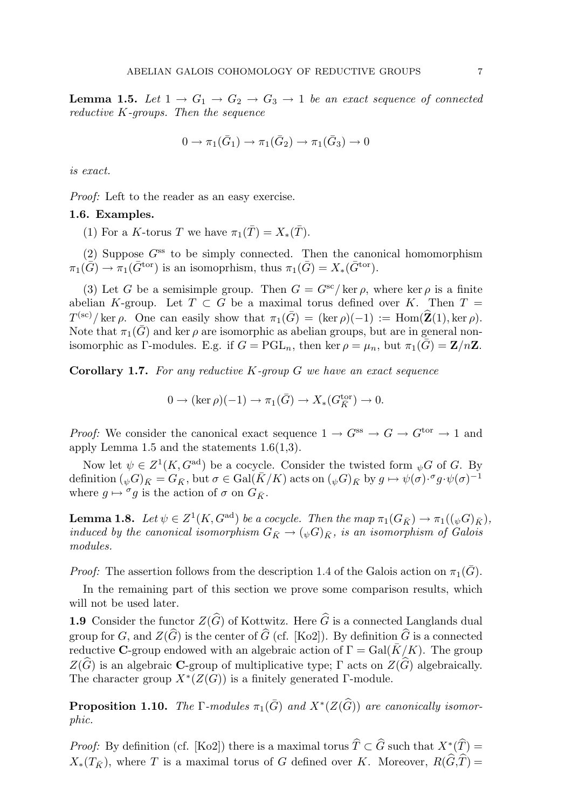**Lemma 1.5.** Let  $1 \rightarrow G_1 \rightarrow G_2 \rightarrow G_3 \rightarrow 1$  be an exact sequence of connected reductive K-groups. Then the sequence

$$
0 \to \pi_1(\bar{G}_1) \to \pi_1(\bar{G}_2) \to \pi_1(\bar{G}_3) \to 0
$$

is exact.

Proof: Left to the reader as an easy exercise.

#### 1.6. Examples.

(1) For a K-torus T we have  $\pi_1(\overline{T}) = X_*(\overline{T})$ .

(2) Suppose  $G^{ss}$  to be simply connected. Then the canonical homomorphism  $\pi_1(\bar{G}) \to \pi_1(\bar{G}^{\text{tor}})$  is an isomoprhism, thus  $\pi_1(\bar{G}) = X_*(\bar{G}^{\text{tor}})$ .

(3) Let G be a semisimple group. Then  $G = G^{sc}/\text{ker }\rho$ , where  $\text{ker }\rho$  is a finite abelian K-group. Let  $T \subset G$  be a maximal torus defined over K. Then  $T =$  $T^{(\text{sc})}/\ker \rho$ . One can easily show that  $\pi_1(\bar{G}) = (\ker \rho)(-1) := \text{Hom}(\widehat{\mathbf{Z}}(1), \ker \rho)$ . Note that  $\pi_1(\bar{G})$  and ker  $\rho$  are isomorphic as abelian groups, but are in general nonisomorphic as Γ-modules. E.g. if  $G = \text{PGL}_n$ , then ker  $\rho = \mu_n$ , but  $\pi_1(\bar{G}) = \mathbf{Z}/n\mathbf{Z}$ .

**Corollary 1.7.** For any reductive  $K$ -group  $G$  we have an exact sequence

$$
0 \to (\ker \rho)(-1) \to \pi_1(\bar{G}) \to X_*(G_{\bar{K}}^{\text{tor}}) \to 0.
$$

*Proof:* We consider the canonical exact sequence  $1 \rightarrow G^{ss} \rightarrow G \rightarrow G^{tor} \rightarrow 1$  and apply Lemma 1.5 and the statements 1.6(1,3).

Now let  $\psi \in Z^1(K, G^{\text{ad}})$  be a cocycle. Consider the twisted form  $_{\psi}G$  of G. By  $\text{definition } (\psi G)_{\bar{K}} = G_{\bar{K}}, \text{ but } \sigma \in \text{Gal}(\bar{K}/K) \text{ acts on } (\psi G)_{\bar{K}} \text{ by } g \mapsto \psi(\sigma) \cdot^{\sigma} g \cdot \psi(\sigma)^{-1}$ where  $g \mapsto \sigma g$  is the action of  $\sigma$  on  $G_{\bar{K}}$ .

**Lemma 1.8.** Let  $\psi \in Z^1(K, G^{\text{ad}})$  be a cocycle. Then the map  $\pi_1(G_{\bar{K}}) \to \pi_1((\psi \overline{G})_{\bar{K}})$ , induced by the canonical isomorphism  $G_{\bar{K}} \to (\psi G)_{\bar{K}}$ , is an isomorphism of Galois modules.

*Proof:* The assertion follows from the description 1.4 of the Galois action on  $\pi_1(\overline{G})$ .

In the remaining part of this section we prove some comparison results, which will not be used later.

1.9 Consider the functor  $Z(\widehat{G})$  of Kottwitz. Here  $\widehat{G}$  is a connected Langlands dual group for G, and  $Z(\widehat{G})$  is the center of  $\widehat{G}$  (cf. [Ko2]). By definition  $\widehat{G}$  is a connected reductive C-group endowed with an algebraic action of  $\Gamma = \text{Gal}(\bar{K}/K)$ . The group  $Z(\widehat{G})$  is an algebraic **C**-group of multiplicative type; Γ acts on  $Z(\widehat{G})$  algebraically. The character group  $X^*(Z(G))$  is a finitely generated  $\Gamma$ -module.

**Proposition 1.10.** The  $\Gamma$ -modules  $\pi_1(\bar{G})$  and  $X^*(Z(\widehat{G}))$  are canonically isomorphic.

*Proof:* By definition (cf. [Ko2]) there is a maximal torus  $\hat{T} \subset \hat{G}$  such that  $X^*(\hat{T}) =$  $X_*(T_{\bar K})$ , where T is a maximal torus of G defined over K. Moreover,  $R(\hat G,\hat T)=$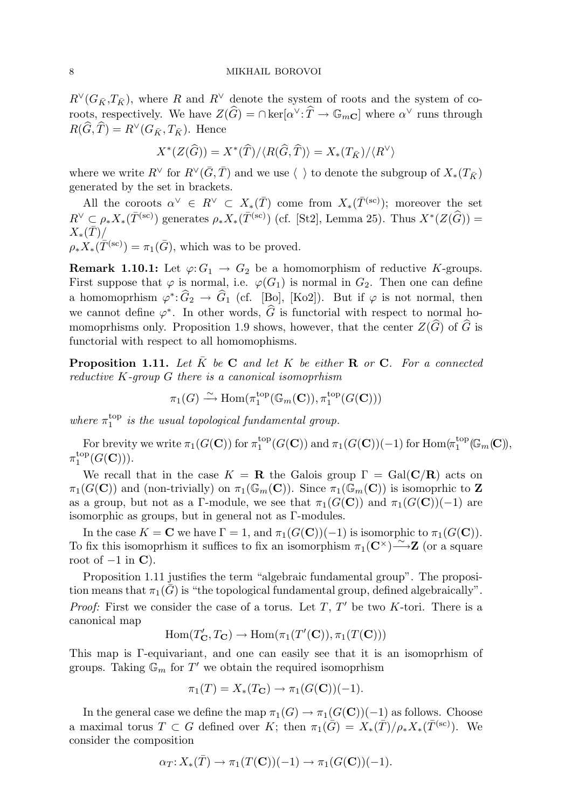$R^{\vee}(G_{\bar{K}},T_{\bar{K}})$ , where R and  $R^{\vee}$  denote the system of roots and the system of coroots, respectively. We have  $Z(\widehat{G}) = \cap \text{ker}[\alpha^{\vee} : \widehat{T} \to \mathbb{G}_{m\mathbb{C}}]$  where  $\alpha^{\vee}$  runs through  $R(\widehat{G}, \widehat{T}) = R^{\vee}(G_{\bar{K}}, T_{\bar{K}})$ . Hence

$$
X^*(Z(\widehat{G})) = X^*(\widehat{T})/\langle R(\widehat{G}, \widehat{T})\rangle = X_*(T_{\bar{K}})/\langle R^{\vee}\rangle
$$

where we write  $R^\vee$  for  $R^\vee(\bar{G}, \bar{T})$  and we use  $\langle \ \rangle$  to denote the subgroup of  $X_*(T_{\bar{K}})$ generated by the set in brackets.

All the coroots  $\alpha^{\vee} \in R^{\vee} \subset X_*(\bar{T})$  come from  $X_*(\bar{T}^{(\text{sc})})$ ; moreover the set  $R^{\vee} \subset \rho_* X_*(\overline{T}^{(\text{sc})})$  generates  $\rho_* X_*(\overline{T}^{(\text{sc})})$  (cf. [St2], Lemma 25). Thus  $X^*(Z(\widehat{G})) =$  $X_*(T)$ /  $\rho_* X_*(\overline{T}^{(\text{sc})}) = \pi_1(\overline{G})$ , which was to be proved.

**Remark 1.10.1:** Let  $\varphi: G_1 \to G_2$  be a homomorphism of reductive K-groups. First suppose that  $\varphi$  is normal, i.e.  $\varphi(G_1)$  is normal in  $G_2$ . Then one can define a homomoprhism  $\varphi^* \colon \widehat{G}_2 \to \widehat{G}_1$  (cf. [Bo], [Ko2]). But if  $\varphi$  is not normal, then we cannot define  $\varphi^*$ . In other words,  $\widehat{G}$  is functorial with respect to normal homomoprhisms only. Proposition 1.9 shows, however, that the center  $Z(\widehat{G})$  of  $\widehat{G}$  is functorial with respect to all homomophisms.

**Proposition 1.11.** Let  $\overline{K}$  be C and let K be either **R** or C. For a connected reductive K-group G there is a canonical isomoprhism

$$
\pi_1(G) \xrightarrow{\sim} \text{Hom}(\pi_1^{\text{top}}(\mathbb{G}_m(\mathbf{C})), \pi_1^{\text{top}}(G(\mathbf{C})))
$$

where  $\pi_1^{\text{top}}$  $i_{1}^{\text{top}}$  is the usual topological fundamental group.

For brevity we write  $\pi_1(G(\mathbf{C}))$  for  $\pi_1^{\text{top}}$  $_{1}^{\text{top}}(G(\mathbf{C}))$  and  $\pi_1(G(\mathbf{C}))(-1)$  for  $\text{Hom}(\pi_1^{\text{top}})$  $_{1}^{\operatorname*{top}}(\!\mathbb{G}_{m}(\mathbf{C})\!) ,$  $\pi_1^{\mathrm{top}}$  $_1^{\text{top}}(G({\bf C}))).$ 

We recall that in the case  $K = \mathbf{R}$  the Galois group  $\Gamma = \text{Gal}(\mathbf{C}/\mathbf{R})$  acts on  $\pi_1(G(\mathbf{C}))$  and (non-trivially) on  $\pi_1(\mathbb{G}_m(\mathbf{C}))$ . Since  $\pi_1(\mathbb{G}_m(\mathbf{C}))$  is isomoprhic to Z as a group, but not as a Γ-module, we see that  $\pi_1(G(\mathbf{C}))$  and  $\pi_1(G(\mathbf{C}))(-1)$  are isomorphic as groups, but in general not as Γ-modules.

In the case  $K = \mathbf{C}$  we have  $\Gamma = 1$ , and  $\pi_1(G(\mathbf{C}))(-1)$  is isomorphic to  $\pi_1(G(\mathbf{C}))$ . To fix this isomoprhism it suffices to fix an isomorphism  $\pi_1(\mathbf{C}^{\times}) \longrightarrow \mathbf{Z}$  (or a square root of  $-1$  in  $\mathbf{C}$ ).

Proposition 1.11 justifies the term "algebraic fundamental group". The proposition means that  $\pi_1(G)$  is "the topological fundamental group, defined algebraically". *Proof:* First we consider the case of a torus. Let  $T$ ,  $T'$  be two K-tori. There is a canonical map

 $\text{Hom}(T'_{\mathbf{C}}, T_{\mathbf{C}}) \to \text{Hom}(\pi_1(T'(\mathbf{C})), \pi_1(T(\mathbf{C})))$ 

This map is Γ-equivariant, and one can easily see that it is an isomoprhism of groups. Taking  $\mathbb{G}_m$  for  $T'$  we obtain the required isomoprhism

$$
\pi_1(T) = X_*(T_{\mathbf{C}}) \to \pi_1(G(\mathbf{C}))(-1).
$$

In the general case we define the map  $\pi_1(G) \to \pi_1(G(\mathbf{C}))(-1)$  as follows. Choose a maximal torus  $T \subset G$  defined over K; then  $\pi_1(\bar{G}) = X_*(\bar{T})/\rho_*X_*(\bar{T}^{(sc)})$ . We consider the composition

$$
\alpha_T: X_*(\bar{T}) \to \pi_1(T(\mathbf{C}))(-1) \to \pi_1(G(\mathbf{C}))(-1).
$$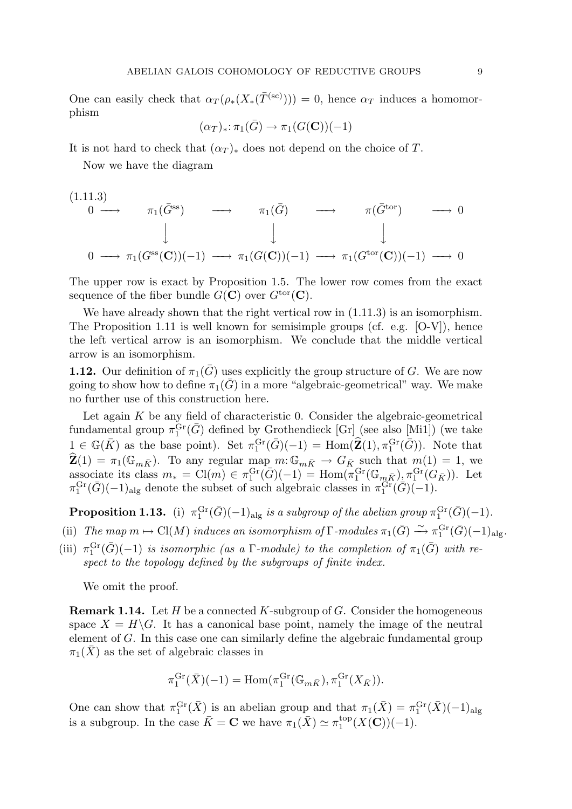One can easily check that  $\alpha_T(\rho_*(X_*(\overline{T}^{(sc)}))) = 0$ , hence  $\alpha_T$  induces a homomorphism

$$
(\alpha_T)_* \colon \pi_1(\bar{G}) \to \pi_1(G(\mathbf{C}))(-1)
$$

It is not hard to check that  $(\alpha_T)_*$  does not depend on the choice of T.

Now we have the diagram

$$
(1.11.3)
$$
\n
$$
0 \longrightarrow \pi_1(\bar{G}^{ss}) \longrightarrow \pi_1(\bar{G}) \longrightarrow \pi(\bar{G}^{tor}) \longrightarrow 0
$$
\n
$$
\downarrow \qquad \qquad \downarrow \qquad \qquad \downarrow
$$
\n
$$
0 \longrightarrow \pi_1(G^{ss}(\mathbf{C}))(-1) \longrightarrow \pi_1(G(\mathbf{C}))(-1) \longrightarrow \pi_1(G^{tor}(\mathbf{C}))(-1) \longrightarrow 0
$$

The upper row is exact by Proposition 1.5. The lower row comes from the exact sequence of the fiber bundle  $G(\mathbf{C})$  over  $G^{\text{tor}}(\mathbf{C})$ .

We have already shown that the right vertical row in  $(1.11.3)$  is an isomorphism. The Proposition 1.11 is well known for semisimple groups (cf. e.g. [O-V]), hence the left vertical arrow is an isomorphism. We conclude that the middle vertical arrow is an isomorphism.

**1.12.** Our definition of  $\pi_1(\bar{G})$  uses explicitly the group structure of G. We are now going to show how to define  $\pi_1(\bar{G})$  in a more "algebraic-geometrical" way. We make no further use of this construction here.

Let again  $K$  be any field of characteristic 0. Consider the algebraic-geometrical fundamental group  $\pi_1^{\text{Gr}}(\bar{G})$  defined by Grothendieck [Gr] (see also [Mi1]) (we take  $1 \in \mathbb{G}(\overline{K})$  as the base point). Set  $\pi_1^{\text{Gr}}(\overline{G})(-1) = \text{Hom}(\widehat{\mathbf{Z}}(1), \pi_1^{\text{Gr}}(\overline{G}))$ . Note that  $\widehat{\mathbf{Z}}(1) = \pi_1(\mathbb{G}_{m\bar{K}})$ . To any regular map  $m: \mathbb{G}_{m\bar{K}} \to G_{\bar{K}}$  such that  $m(1) = 1$ , we associate its class  $m_* = \text{Cl}(m) \in \pi_1^{\text{Gr}}(\bar{G})(-1) = \text{Hom}(\pi_1^{\text{Gr}}(\mathbb{G}_{m\bar{K}}), \pi_1^{\text{Gr}}(G_{\bar{K}})).$  Let  $\pi_1^{\text{Gr}}(\bar{G})(-1)_{\text{alg}}$  denote the subset of such algebraic classes in  $\pi_1^{\text{Gr}}(\bar{G})(-1)$ .

**Proposition 1.13.** (i)  $\pi_1^{\text{Gr}}(\bar{G})(-1)_{\text{alg}}$  is a subgroup of the abelian group  $\pi_1^{\text{Gr}}(\bar{G})(-1)$ .

- (ii) The map  $m \mapsto \mathrm{Cl}(M)$  induces an isomorphism of  $\Gamma$ -modules  $\pi_1(\bar{G}) \xrightarrow{\sim} \pi_1^{\mathrm{Gr}}(\bar{G})(-1)_{\mathrm{alg}}$ .
- (iii)  $\pi_1^{\text{Gr}}(\bar{G})(-1)$  is isomorphic (as a  $\Gamma$ -module) to the completion of  $\pi_1(\bar{G})$  with respect to the topology defined by the subgroups of finite index.

We omit the proof.

**Remark 1.14.** Let  $H$  be a connected  $K$ -subgroup of  $G$ . Consider the homogeneous space  $X = H\backslash G$ . It has a canonical base point, namely the image of the neutral element of G. In this case one can similarly define the algebraic fundamental group  $\pi_1(\bar{X})$  as the set of algebraic classes in

$$
\pi_1^{\text{Gr}}(\bar{X})(-1) = \text{Hom}(\pi_1^{\text{Gr}}(\mathbb{G}_{m\bar{K}}), \pi_1^{\text{Gr}}(X_{\bar{K}})).
$$

One can show that  $\pi_1^{\text{Gr}}(\bar{X})$  is an abelian group and that  $\pi_1(\bar{X}) = \pi_1^{\text{Gr}}(\bar{X})(-1)_{\text{alg}}$ is a subgroup. In the case  $\bar{K} = \mathbf{C}$  we have  $\pi_1(\bar{X}) \simeq \pi_1^{\text{top}}$  $_{1}^{top}(X({\bf C}))(-1).$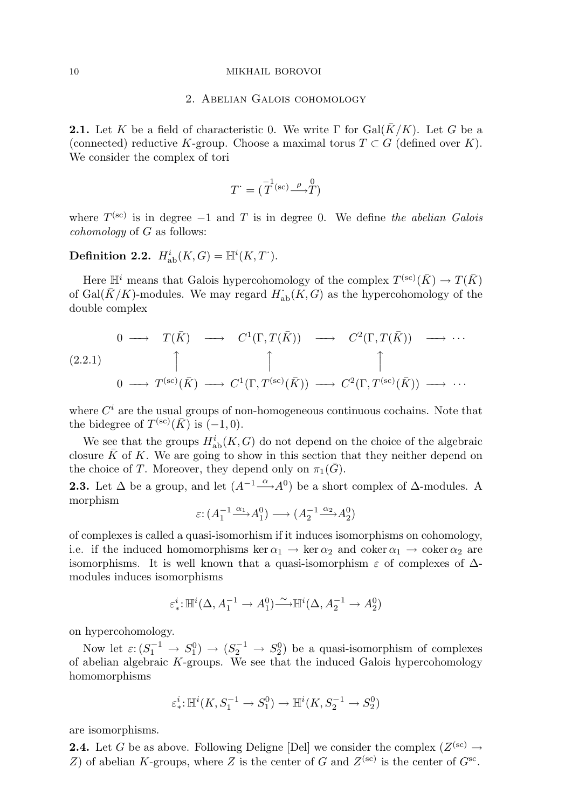#### 10 MIKHAIL BOROVOI

#### 2. Abelian Galois cohomology

**2.1.** Let K be a field of characteristic 0. We write  $\Gamma$  for Gal( $\bar{K}/K$ ). Let G be a (connected) reductive K-group. Choose a maximal torus  $T \subset G$  (defined over K). We consider the complex of tori

$$
T = (\overline{T}^{(sc)} \xrightarrow{\rho} \overline{T})
$$

where  $T^{(sc)}$  is in degree  $-1$  and T is in degree 0. We define the abelian Galois cohomology of G as follows:

# Definition 2.2.  $H^i_{ab}(K, G) = \mathbb{H}^i(K, T^*)$ .

Here  $\mathbb{H}^i$  means that Galois hypercohomology of the complex  $T^{(\text{sc})}(\bar{K}) \to T(\bar{K})$ of Gal( $\bar{K}/K$ )-modules. We may regard  $H_{ab}(\tilde{K}, G)$  as the hypercohomology of the double complex

(2.2.1) 0 −−→ T(K¯ ) −−→ C 1 (Γ, T(K¯ )) −−→ C 2 (Γ, T(K¯ )) −−→ · · · x x x 0 −−→ T (sc)(K¯ ) −−→ C 1 (Γ, T(sc)(K¯ )) −−→ C 2 (Γ, T(sc)(K¯ )) −−→ · · ·

where  $C<sup>i</sup>$  are the usual groups of non-homogeneous continuous cochains. Note that the bidegree of  $T^{(\text{sc})}(\bar{K})$  is  $(-1,0)$ .

We see that the groups  $H^i_{ab}(K, G)$  do not depend on the choice of the algebraic closure  $\overline{K}$  of K. We are going to show in this section that they neither depend on the choice of T. Moreover, they depend only on  $\pi_1(\bar{G})$ .

**2.3.** Let  $\Delta$  be a group, and let  $(A^{-1} \stackrel{\alpha}{\longrightarrow} A^{0})$  be a short complex of  $\Delta$ -modules. A morphism

$$
\varepsilon: (A_1^{-1} \xrightarrow{\alpha_1} A_1^0) \longrightarrow (A_2^{-1} \xrightarrow{\alpha_2} A_2^0)
$$

of complexes is called a quasi-isomorhism if it induces isomorphisms on cohomology, i.e. if the induced homomorphisms ker  $\alpha_1 \rightarrow \text{ker } \alpha_2$  and coker  $\alpha_1 \rightarrow \text{coker } \alpha_2$  are isomorphisms. It is well known that a quasi-isomorphism  $\varepsilon$  of complexes of  $\Delta$ modules induces isomorphisms

$$
\varepsilon^i_* \colon \mathbb{H}^i(\Delta, A_1^{-1} \to A_1^0) \xrightarrow{\sim} \mathbb{H}^i(\Delta, A_2^{-1} \to A_2^0)
$$

on hypercohomology.

Now let  $\varepsilon: (S_1^{-1} \to S_1^0) \to (S_2^{-1} \to S_2^0)$  be a quasi-isomorphism of complexes of abelian algebraic K-groups. We see that the induced Galois hypercohomology homomorphisms

$$
\varepsilon^i_*\!:\!\mathbb{H}^i(K,S_1^{-1}\to S_1^0)\to\mathbb{H}^i(K,S_2^{-1}\to S_2^0)
$$

are isomorphisms.

**2.4.** Let G be as above. Following Deligne [Del] we consider the complex  $(Z^{(\text{sc})} \rightarrow$ Z) of abelian K-groups, where Z is the center of G and  $Z^{(\text{sc})}$  is the center of  $G^{\text{sc}}$ .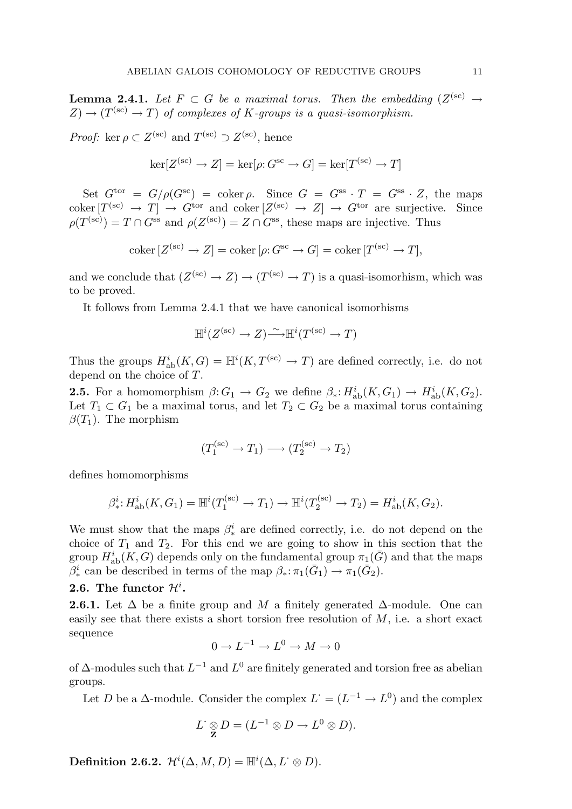**Lemma 2.4.1.** Let  $F \subset G$  be a maximal torus. Then the embedding  $(Z^{(\text{sc})} \rightarrow$  $Z \to (T^{(sc)} \to T)$  of complexes of K-groups is a quasi-isomorphism.

*Proof:* ker  $\rho \subset Z^{(\text{sc})}$  and  $T^{(\text{sc})} \supset Z^{(\text{sc})}$ , hence

$$
\ker[Z^{(\text{sc})} \to Z] = \ker[\rho : G^{\text{sc}} \to G] = \ker[T^{(\text{sc})} \to T]
$$

Set  $G^{\text{tor}} = G/\rho(G^{\text{sc}}) = \text{coker}\,\rho$ . Since  $G = G^{\text{ss}} \cdot T = G^{\text{ss}} \cdot Z$ , the maps  $\mathrm{coker}\,[T^{(\mathrm{sc})}\,\to\,T]\,\to\,G^{\mathrm{tor}}$  and  $\mathrm{coker}\,[Z^{(\mathrm{sc})}\,\to\,Z]\,\to\,G^{\mathrm{tor}}$  are surjective. Since  $\rho(T^{(sc)}) = T \cap G^{ss}$  and  $\rho(Z^{(sc)}) = Z \cap G^{ss}$ , these maps are injective. Thus

$$
\text{coker}\left[Z^{(\text{sc})} \to Z\right] = \text{coker}\left[\rho: G^{\text{sc}} \to G\right] = \text{coker}\left[T^{(\text{sc})} \to T\right],
$$

and we conclude that  $(Z^{(sc)} \to Z) \to (T^{(sc)} \to T)$  is a quasi-isomorhism, which was to be proved.

It follows from Lemma 2.4.1 that we have canonical isomorhisms

$$
\mathbb{H}^i(Z^{(\text{sc})}\to Z)\tilde{\longrightarrow}\mathbb{H}^i(T^{(\text{sc})}\to T)
$$

Thus the groups  $H^i_{ab}(K, G) = \mathbb{H}^i(K, T^{(sc)} \to T)$  are defined correctly, i.e. do not depend on the choice of T.

**2.5.** For a homomorphism  $\beta: G_1 \to G_2$  we define  $\beta_*: H^i_{ab}(K, G_1) \to H^i_{ab}(K, G_2)$ . Let  $T_1 \subset G_1$  be a maximal torus, and let  $T_2 \subset G_2$  be a maximal torus containing  $\beta(T_1)$ . The morphism

$$
(T_1^{(\text{sc})} \to T_1) \longrightarrow (T_2^{(\text{sc})} \to T_2)
$$

defines homomorphisms

$$
\beta^i_*: H^i_{\text{ab}}(K, G_1) = \mathbb{H}^i(T_1^{(\text{sc})} \to T_1) \to \mathbb{H}^i(T_2^{(\text{sc})} \to T_2) = H^i_{\text{ab}}(K, G_2).
$$

We must show that the maps  $\beta_*^i$  are defined correctly, i.e. do not depend on the choice of  $T_1$  and  $T_2$ . For this end we are going to show in this section that the group  $H^i_{ab}(K, G)$  depends only on the fundamental group  $\pi_1(\bar{G})$  and that the maps  $\beta^i_*$  can be described in terms of the map  $\beta_*: \pi_1(\bar{G}_1) \to \pi_1(\bar{G}_2)$ .

# 2.6. The functor  $\mathcal{H}^i$ .

**2.6.1.** Let  $\Delta$  be a finite group and M a finitely generated  $\Delta$ -module. One can easily see that there exists a short torsion free resolution of  $M$ , i.e. a short exact sequence

$$
0 \to L^{-1} \to L^0 \to M \to 0
$$

of  $\Delta$ -modules such that  $L^{-1}$  and  $L^0$  are finitely generated and torsion free as abelian groups.

Let D be a  $\Delta$ -module. Consider the complex  $L^{\dagger} = (L^{-1} \to L^{0})$  and the complex

$$
L^{\cdot} \underset{\mathbf{Z}}{\otimes} D = (L^{-1} \otimes D \to L^{0} \otimes D).
$$

Definition 2.6.2.  $\mathcal{H}^i(\Delta, M, D) = \mathbb{H}^i(\Delta, L^{\cdot} \otimes D).$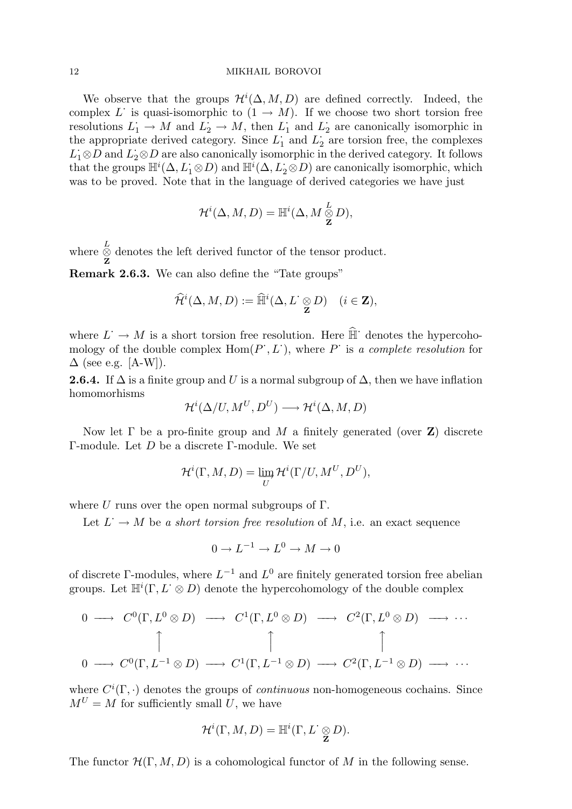#### 12 MIKHAIL BOROVOI

We observe that the groups  $\mathcal{H}^i(\Delta, M, D)$  are defined correctly. Indeed, the complex L is quasi-isomorphic to  $(1 \rightarrow M)$ . If we choose two short torsion free resolutions  $L_1 \rightarrow M$  and  $L_2 \rightarrow M$ , then  $L_1$  and  $L_2$  are canonically isomorphic in the appropriate derived category. Since  $L_1^{\text{-}}$  and  $L_2^{\text{-}}$  are torsion free, the complexes  $L_1 \otimes D$  and  $L_2 \otimes D$  are also canonically isomorphic in the derived category. It follows that the groups  $\mathbb{H}^i(\Delta, L_1 \otimes D)$  and  $\mathbb{H}^i(\Delta, L_2 \otimes D)$  are canonically isomorphic, which was to be proved. Note that in the language of derived categories we have just

$$
\mathcal{H}^i(\Delta, M, D) = \mathbb{H}^i(\Delta, M \overset{L}{\underset{\mathbf{Z}}{\otimes}} D),
$$

where  $\stackrel{L}{\otimes}$  $\otimes$  denotes the left derived functor of the tensor product.<br>**z** Remark 2.6.3. We can also define the "Tate groups"

$$
\widehat{\mathcal{H}}^i(\Delta, M, D) := \widehat{\mathbb{H}}^i(\Delta, L^{\cdot} \underset{\mathbf{Z}}{\otimes} D) \quad (i \in \mathbf{Z}),
$$

where  $L \to M$  is a short torsion free resolution. Here  $\widehat{\mathbb{H}}$  denotes the hypercohomology of the double complex  $\text{Hom}(P^*, L^*)$ , where P is a complete resolution for  $\Delta$  (see e.g. [A-W]).

**2.6.4.** If  $\Delta$  is a finite group and U is a normal subgroup of  $\Delta$ , then we have inflation homomorhisms

$$
\mathcal{H}^i(\Delta/U, M^U, D^U) \longrightarrow \mathcal{H}^i(\Delta, M, D)
$$

Now let  $\Gamma$  be a pro-finite group and M a finitely generated (over **Z**) discrete Γ-module. Let D be a discrete Γ-module. We set

$$
\mathcal{H}^i(\Gamma, M, D) = \varinjlim_{U} \mathcal{H}^i(\Gamma/U, M^U, D^U),
$$

where U runs over the open normal subgroups of  $\Gamma$ .

Let  $L^{\cdot} \to M$  be a short torsion free resolution of M, i.e. an exact sequence

$$
0 \to L^{-1} \to L^0 \to M \to 0
$$

of discrete  $\Gamma$ -modules, where  $L^{-1}$  and  $L^0$  are finitely generated torsion free abelian groups. Let  $\mathbb{H}^i(\Gamma, L^{\cdot} \otimes D)$  denote the hypercohomology of the double complex

$$
0 \longrightarrow C^{0}(\Gamma, L^{0} \otimes D) \longrightarrow C^{1}(\Gamma, L^{0} \otimes D) \longrightarrow C^{2}(\Gamma, L^{0} \otimes D) \longrightarrow \cdots
$$
  

$$
\uparrow \qquad \qquad \uparrow \qquad \qquad \uparrow
$$
  

$$
0 \longrightarrow C^{0}(\Gamma, L^{-1} \otimes D) \longrightarrow C^{1}(\Gamma, L^{-1} \otimes D) \longrightarrow C^{2}(\Gamma, L^{-1} \otimes D) \longrightarrow \cdots
$$

where  $C^i(\Gamma, \cdot)$  denotes the groups of *continuous* non-homogeneous cochains. Since  $M^U = M$  for sufficiently small U, we have

$$
\mathcal{H}^i(\Gamma, M, D) = \mathbb{H}^i(\Gamma, L^{\cdot} \underset{\mathbf{Z}}{\otimes} D).
$$

The functor  $\mathcal{H}(\Gamma, M, D)$  is a cohomological functor of M in the following sense.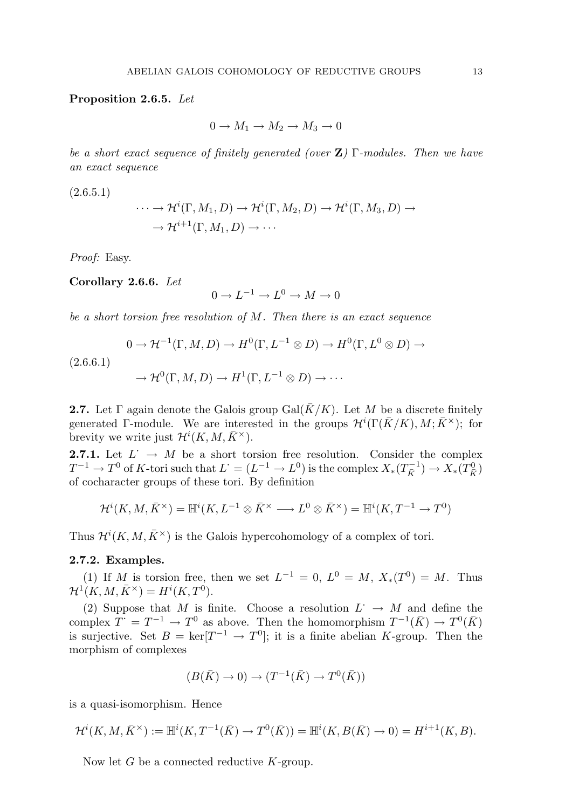Proposition 2.6.5. Let

 $0 \rightarrow M_1 \rightarrow M_2 \rightarrow M_3 \rightarrow 0$ 

be a short exact sequence of finitely generated (over  $\mathbf{Z}$ ) Γ-modules. Then we have an exact sequence

 $(2.6.5.1)$ 

$$
\cdots \to \mathcal{H}^i(\Gamma, M_1, D) \to \mathcal{H}^i(\Gamma, M_2, D) \to \mathcal{H}^i(\Gamma, M_3, D) \to
$$

$$
\to \mathcal{H}^{i+1}(\Gamma, M_1, D) \to \cdots
$$

Proof: Easy.

Corollary 2.6.6. Let

$$
0 \to L^{-1} \to L^0 \to M \to 0
$$

be a short torsion free resolution of  $M$ . Then there is an exact sequence

$$
0 \to {\mathcal H}^{-1}(\Gamma,M,D) \to H^0(\Gamma,L^{-1}\otimes D) \to H^0(\Gamma,L^0\otimes D) \to
$$

 $(2.6.6.1)$ 

$$
\to \mathcal{H}^0(\Gamma,M,D) \to H^1(\Gamma,L^{-1}\otimes D) \to \cdots
$$

**2.7.** Let  $\Gamma$  again denote the Galois group Gal( $\overline{K}/K$ ). Let M be a discrete finitely generated Γ-module. We are interested in the groups  $\mathcal{H}^{i}(\Gamma(\bar{K}/K), M; \bar{K}^{\times});$  for brevity we write just  $\mathcal{H}^i(K, M, \bar{K}^\times)$ .

**2.7.1.** Let  $L^{\cdot} \to M$  be a short torsion free resolution. Consider the complex  $T^{-1} \to T^0$  of K-tori such that  $L^{\cdot} = (L^{-1} \to L^0)$  is the complex  $X_*(T^{-1}_{\bar{K}}) \to X_*(T^0_{\bar{K}})$ of cocharacter groups of these tori. By definition

$$
\mathcal{H}^i(K, M, \bar{K}^\times) = \mathbb{H}^i(K, L^{-1} \otimes \bar{K}^\times \longrightarrow L^0 \otimes \bar{K}^\times) = \mathbb{H}^i(K, T^{-1} \longrightarrow T^0)
$$

Thus  $\mathcal{H}^{i}(K, M, \bar{K}^{\times})$  is the Galois hypercohomology of a complex of tori.

#### 2.7.2. Examples.

(1) If M is torsion free, then we set  $L^{-1} = 0$ ,  $L^{0} = M$ ,  $X_*(T^{0}) = M$ . Thus  $\mathcal{H}^1(K,M,\bar{K}^\times)=H^i(K,T^0).$ 

(2) Suppose that M is finite. Choose a resolution  $L^{\cdot} \to M$  and define the complex  $T^+ = T^{-1} \to T^0$  as above. Then the homomorphism  $T^{-1}(\bar{K}) \to T^0(\bar{K})$ is surjective. Set  $B = \text{ker}[T^{-1} \to T^0]$ ; it is a finite abelian K-group. Then the morphism of complexes

$$
(B(\bar K)\to 0)\to (T^{-1}(\bar K)\to T^0(\bar K))
$$

is a quasi-isomorphism. Hence

$$
\mathcal{H}^i(K, M, \bar{K}^{\times}) := \mathbb{H}^i(K, T^{-1}(\bar{K}) \to T^0(\bar{K})) = \mathbb{H}^i(K, B(\bar{K}) \to 0) = H^{i+1}(K, B).
$$

Now let  $G$  be a connected reductive  $K$ -group.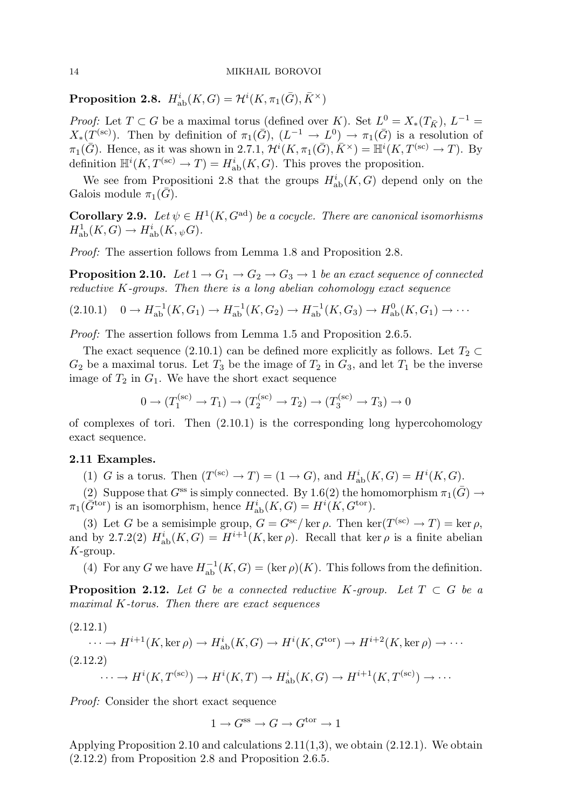Proposition 2.8.  $H^i_{\mathrm{ab}}(K,G) = \mathcal{H}^i(K,\pi_1(\bar{G}),\bar{K}^{\times})$ 

*Proof:* Let  $T \subset G$  be a maximal torus (defined over K). Set  $L^0 = X_*(T_{\bar{K}})$ ,  $L^{-1} =$  $X_*(T^{(\text{sc})})$ . Then by definition of  $\pi_1(\bar{G})$ ,  $(L^{-1} \to L^0) \to \pi_1(\bar{G})$  is a resolution of  $\pi_1(\bar{G})$ . Hence, as it was shown in 2.7.1,  $\mathcal{H}^i(K, \pi_1(\bar{G}), \bar{K}^\times) = \mathbb{H}^i(K, T^{(\text{sc})} \to T)$ . By definition  $\mathbb{H}^i(K, T^{(\text{sc})} \to T) = H^i_{\text{ab}}(K, G)$ . This proves the proposition.

We see from Propositioni 2.8 that the groups  $H^i_{ab}(K, G)$  depend only on the Galois module  $\pi_1(G)$ .

**Corollary 2.9.** Let  $\psi \in H^1(K, G^{\text{ad}})$  be a cocycle. There are canonical isomorhisms  $H^1_{\text{ab}}(K, G) \to H^i_{\text{ab}}(K, \psi G).$ 

Proof: The assertion follows from Lemma 1.8 and Proposition 2.8.

**Proposition 2.10.** Let  $1 \rightarrow G_1 \rightarrow G_2 \rightarrow G_3 \rightarrow 1$  be an exact sequence of connected reductive K-groups. Then there is a long abelian cohomology exact sequence

$$
(2.10.1) \quad 0 \to H^{-1}_{ab}(K, G_1) \to H^{-1}_{ab}(K, G_2) \to H^{-1}_{ab}(K, G_3) \to H^0_{ab}(K, G_1) \to \cdots
$$

Proof: The assertion follows from Lemma 1.5 and Proposition 2.6.5.

The exact sequence (2.10.1) can be defined more explicitly as follows. Let  $T_2 \subset$  $G_2$  be a maximal torus. Let  $T_3$  be the image of  $T_2$  in  $G_3$ , and let  $T_1$  be the inverse image of  $T_2$  in  $G_1$ . We have the short exact sequence

$$
0 \to (T_1^{(sc)} \to T_1) \to (T_2^{(sc)} \to T_2) \to (T_3^{(sc)} \to T_3) \to 0
$$

of complexes of tori. Then (2.10.1) is the corresponding long hypercohomology exact sequence.

#### 2.11 Examples.

(1) G is a torus. Then  $(T^{(sc)} \to T) = (1 \to G)$ , and  $H^i_{ab}(K, G) = H^i(K, G)$ .

(2) Suppose that  $G^{ss}$  is simply connected. By 1.6(2) the homomorphism  $\pi_1(\bar{G}) \to$  $\pi_1(\widetilde{G}^{\text{tor}})$  is an isomorphism, hence  $H^i_{ab}(K, G) = H^i(K, G^{\text{tor}})$ .

(3) Let G be a semisimple group,  $G = G^{sc}/\ker \rho$ . Then  $\ker(T^{(sc)} \to T) = \ker \rho$ , and by 2.7.2(2)  $H^i_{ab}(K, G) = H^{i+1}(K, \ker \rho)$ . Recall that  $\ker \rho$  is a finite abelian K-group.

(4) For any G we have  $H^{-1}_{ab}(K, G) = (\ker \rho)(K)$ . This follows from the definition.

**Proposition 2.12.** Let G be a connected reductive K-group. Let  $T \subset G$  be a maximal K-torus. Then there are exact sequences

 $\cdots \to H^{i+1}(K,\ker \rho) \to H^i_{\mathrm{ab}}(K,G) \to H^i(K,G^{\mathrm{tor}}) \to H^{i+2}(K,\ker \rho) \to \cdots$  $(2.12.1)$  $\cdots \to H^{i}(K, T^{(sc)}) \to H^{i}(K, T) \to H^{i}_{\text{ab}}(K, G) \to H^{i+1}(K, T^{(sc)}) \to \cdots$ (2.12.2)

Proof: Consider the short exact sequence

$$
1\to G^{\text{ss}}\to G\to G^{\text{tor}}\to 1
$$

Applying Proposition 2.10 and calculations  $2.11(1,3)$ , we obtain  $(2.12.1)$ . We obtain (2.12.2) from Proposition 2.8 and Proposition 2.6.5.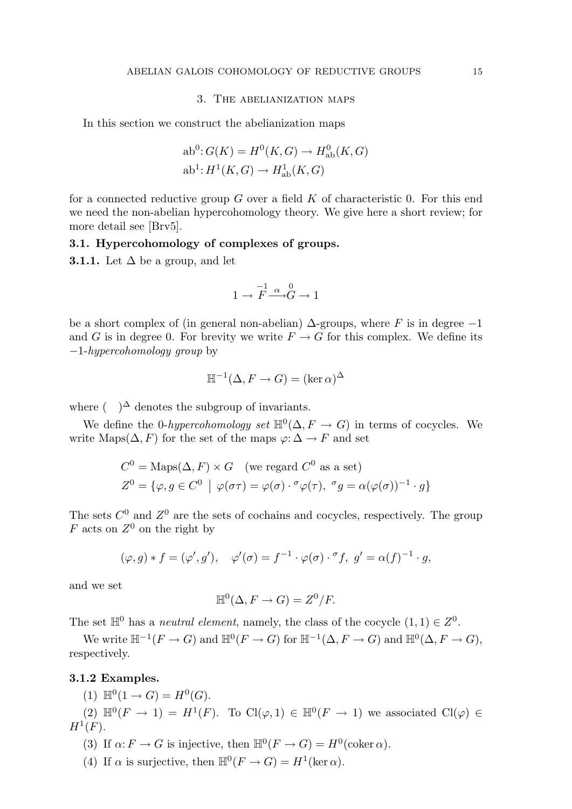#### 3. The abelianization maps

In this section we construct the abelianization maps

$$
ab^{0}: G(K) = H^{0}(K, G) \to H^{0}_{ab}(K, G)
$$
  

$$
ab^{1}: H^{1}(K, G) \to H^{1}_{ab}(K, G)
$$

for a connected reductive group  $G$  over a field  $K$  of characteristic 0. For this end we need the non-abelian hypercohomology theory. We give here a short review; for more detail see [Brv5].

# 3.1. Hypercohomology of complexes of groups.

**3.1.1.** Let  $\Delta$  be a group, and let

$$
1\to \overset{-1}{F}\overset{\alpha}{\longrightarrow}\overset{0}{G}\to 1
$$

be a short complex of (in general non-abelian)  $\Delta$ -groups, where F is in degree  $-1$ and G is in degree 0. For brevity we write  $F \to G$  for this complex. We define its −1-hypercohomology group by

$$
\mathbb{H}^{-1}(\Delta, F \to G) = (\ker \alpha)^{\Delta}
$$

where  $\left( \quad \right)^{\Delta}$  denotes the subgroup of invariants.

We define the 0-hypercohomology set  $\mathbb{H}^0(\Delta, F \to G)$  in terms of cocycles. We write Maps( $\Delta$ , F) for the set of the maps  $\varphi$ :  $\Delta \to F$  and set

$$
C^{0} = \text{Maps}(\Delta, F) \times G \quad \text{(we regard } C^{0} \text{ as a set)}
$$
\n
$$
Z^{0} = \{ \varphi, g \in C^{0} \mid \varphi(\sigma\tau) = \varphi(\sigma) \cdot \sigma \varphi(\tau), \ \sigma g = \alpha(\varphi(\sigma))^{-1} \cdot g \}
$$

The sets  $C^0$  and  $Z^0$  are the sets of cochains and cocycles, respectively. The group F acts on  $Z^0$  on the right by

$$
(\varphi, g) * f = (\varphi', g'), \quad \varphi'(\sigma) = f^{-1} \cdot \varphi(\sigma) \cdot \sigma, g' = \alpha(f)^{-1} \cdot g,
$$

and we set

$$
\mathbb{H}^0(\Delta, F \to G) = Z^0/F.
$$

The set  $\mathbb{H}^0$  has a *neutral element*, namely, the class of the cocycle  $(1,1) \in Z^0$ .

We write  $\mathbb{H}^{-1}(F \to G)$  and  $\mathbb{H}^0(F \to G)$  for  $\mathbb{H}^{-1}(\Delta, F \to G)$  and  $\mathbb{H}^0(\Delta, F \to G)$ , respectively.

# 3.1.2 Examples.

(1)  $\mathbb{H}^0(1 \to G) = H^0(G)$ .

(2)  $\mathbb{H}^0(F \to 1) = H^1(F)$ . To  $\text{Cl}(\varphi, 1) \in \mathbb{H}^0(F \to 1)$  we associated  $\text{Cl}(\varphi) \in$  $H^1(F)$ .

- (3) If  $\alpha: F \to G$  is injective, then  $\mathbb{H}^0(F \to G) = H^0(\mathrm{coker}\,\alpha)$ .
- (4) If  $\alpha$  is surjective, then  $\mathbb{H}^0(F \to G) = H^1(\ker \alpha)$ .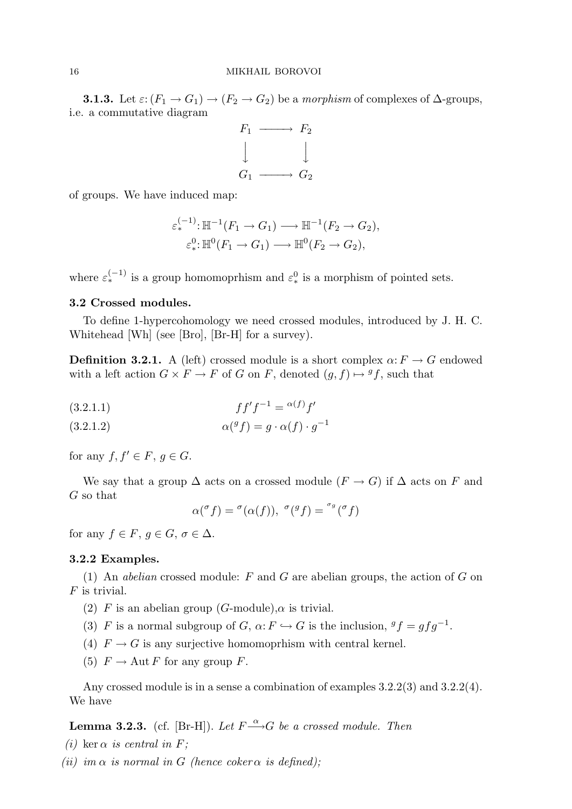**3.1.3.** Let  $\varepsilon: (F_1 \to G_1) \to (F_2 \to G_2)$  be a morphism of complexes of  $\Delta$ -groups, i.e. a commutative diagram



of groups. We have induced map:

$$
\varepsilon_*^{(-1)} : \mathbb{H}^{-1}(F_1 \to G_1) \longrightarrow \mathbb{H}^{-1}(F_2 \to G_2),
$$
  

$$
\varepsilon_*^0 : \mathbb{H}^0(F_1 \to G_1) \longrightarrow \mathbb{H}^0(F_2 \to G_2),
$$

where  $\varepsilon_*^{(-1)}$  is a group homomoprhism and  $\varepsilon_*^0$  is a morphism of pointed sets.

# 3.2 Crossed modules.

To define 1-hypercohomology we need crossed modules, introduced by J. H. C. Whitehead [Wh] (see [Bro], [Br-H] for a survey).

**Definition 3.2.1.** A (left) crossed module is a short complex  $\alpha: F \to G$  endowed with a left action  $G \times F \to F$  of G on F, denoted  $(g, f) \mapsto {}^gf$ , such that

(3.2.1.1) 
$$
ff'f^{-1} = \alpha(f)f'
$$

 $\alpha({}^gf) = g \cdot \alpha(f) \cdot g^{-1}$ (3.2.1.2)

for any  $f, f' \in F, g \in G$ .

We say that a group  $\Delta$  acts on a crossed module  $(F \to G)$  if  $\Delta$  acts on F and G so that

$$
\alpha({}^{\sigma}f) = {}^{\sigma}(\alpha(f)), \ {}^{\sigma}({}^gf) = {}^{\sigma_g}({}^{\sigma}f)
$$

for any  $f \in F$ ,  $q \in G$ ,  $\sigma \in \Delta$ .

#### 3.2.2 Examples.

(1) An abelian crossed module: F and G are abelian groups, the action of G on  $F$  is trivial.

- (2) F is an abelian group (G-module),  $\alpha$  is trivial.
- (3) F is a normal subgroup of G,  $\alpha$ :  $F \hookrightarrow G$  is the inclusion,  ${}^gf = gfg^{-1}$ .
- (4)  $F \to G$  is any surjective homomoprhism with central kernel.
- (5)  $F \to \text{Aut } F$  for any group F.

Any crossed module is in a sense a combination of examples 3.2.2(3) and 3.2.2(4). We have

**Lemma 3.2.3.** (cf. [Br-H]). Let  $F \stackrel{\alpha}{\longrightarrow} G$  be a crossed module. Then

- (i) ker  $\alpha$  is central in F;
- (ii) im  $\alpha$  is normal in G (hence coker  $\alpha$  is defined);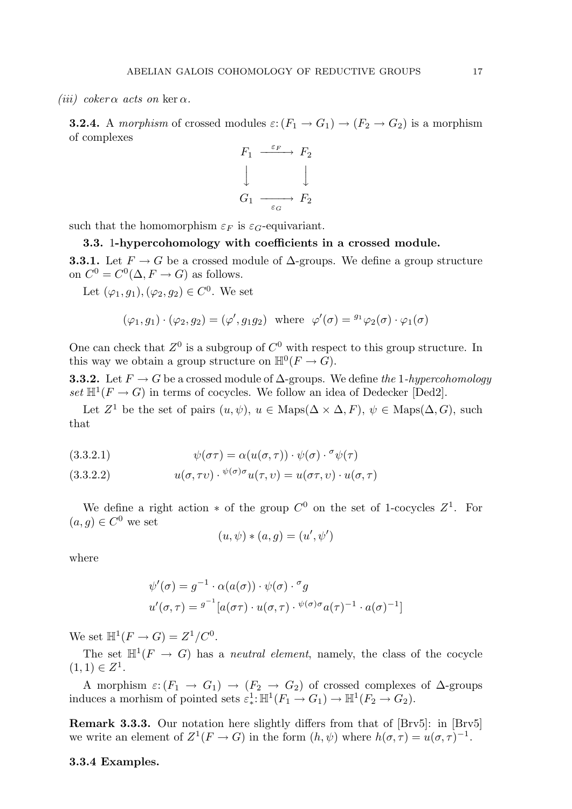(iii) coker  $\alpha$  acts on ker  $\alpha$ .

**3.2.4.** A morphism of crossed modules  $\varepsilon$ :  $(F_1 \rightarrow G_1) \rightarrow (F_2 \rightarrow G_2)$  is a morphism of complexes

$$
F_1 \xrightarrow{\varepsilon_F} F_2
$$
  
\n
$$
\downarrow \qquad \qquad \downarrow
$$
  
\n
$$
G_1 \xrightarrow{\varepsilon_G} F_2
$$

such that the homomorphism  $\varepsilon_F$  is  $\varepsilon_G$ -equivariant.

3.3. 1-hypercohomology with coefficients in a crossed module. **3.3.1.** Let  $F \to G$  be a crossed module of  $\Delta$ -groups. We define a group structure on  $C^0 = C^0(\Delta, F \to G)$  as follows.

Let  $(\varphi_1, g_1), (\varphi_2, g_2) \in C^0$ . We set

$$
(\varphi_1, g_1) \cdot (\varphi_2, g_2) = (\varphi', g_1 g_2)
$$
 where  $\varphi'(\sigma) = {}^{g_1} \varphi_2(\sigma) \cdot \varphi_1(\sigma)$ 

One can check that  $Z^0$  is a subgroup of  $C^0$  with respect to this group structure. In this way we obtain a group structure on  $\mathbb{H}^0(F \to G)$ .

**3.3.2.** Let  $F \to G$  be a crossed module of  $\Delta$ -groups. We define the 1-hypercohomology set  $\mathbb{H}^1(F \to G)$  in terms of cocycles. We follow an idea of Dedecker [Ded2].

Let  $Z^1$  be the set of pairs  $(u, \psi), u \in \text{Maps}(\Delta \times \Delta, F), \psi \in \text{Maps}(\Delta, G), \text{such}$ that

(3.3.2.1) 
$$
\psi(\sigma \tau) = \alpha(u(\sigma, \tau)) \cdot \psi(\sigma) \cdot {}^{\sigma} \psi(\tau)
$$

(3.3.2.2) 
$$
u(\sigma, \tau v) \cdot \sqrt[\psi(\sigma)\sigma]} u(\tau, v) = u(\sigma \tau, v) \cdot u(\sigma, \tau)
$$

We define a right action  $*$  of the group  $C^0$  on the set of 1-cocycles  $Z^1$ . For  $(a, g) \in C^0$  we set

$$
(u, \psi) * (a, g) = (u', \psi')
$$

where

$$
\psi'(\sigma) = g^{-1} \cdot \alpha(a(\sigma)) \cdot \psi(\sigma) \cdot^{\sigma} g
$$
  

$$
u'(\sigma, \tau) = g^{-1} [a(\sigma \tau) \cdot u(\sigma, \tau) \cdot \psi(\sigma) \sigma a(\tau)^{-1} \cdot a(\sigma)^{-1}]
$$

We set  $\mathbb{H}^1(F \to G) = Z^1/C^0$ .

The set  $\mathbb{H}^1(F \to G)$  has a *neutral element*, namely, the class of the cocycle  $(1,1) \in Z^1$ .

A morphism  $\varepsilon: (F_1 \to G_1) \to (F_2 \to G_2)$  of crossed complexes of  $\Delta$ -groups induces a morhism of pointed sets  $\varepsilon^1_* : \mathbb{H}^1(F_1 \to G_1) \to \mathbb{H}^1(F_2 \to G_2)$ .

Remark 3.3.3. Our notation here slightly differs from that of [Brv5]: in [Brv5] we write an element of  $Z^1(F \to G)$  in the form  $(h, \psi)$  where  $h(\sigma, \tau) = u(\sigma, \tau)^{-1}$ .

#### 3.3.4 Examples.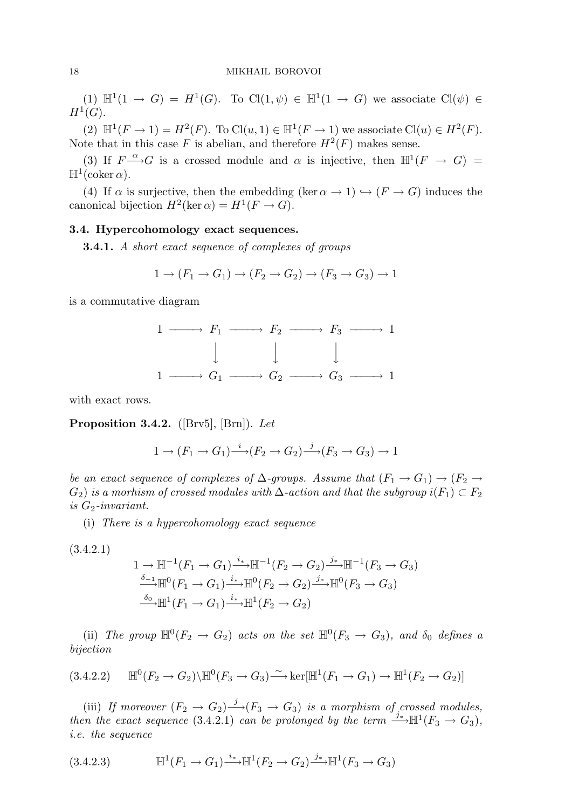(1)  $\mathbb{H}^1(1 \to G) = H^1(G)$ . To  $\text{Cl}(1,\psi) \in \mathbb{H}^1(1 \to G)$  we associate  $\text{Cl}(\psi) \in$  $H^1(G).$ 

(2)  $\mathbb{H}^1(F \to 1) = H^2(F)$ . To  $\text{Cl}(u, 1) \in \mathbb{H}^1(F \to 1)$  we associate  $\text{Cl}(u) \in H^2(F)$ . Note that in this case F is abelian, and therefore  $H^2(F)$  makes sense.

(3) If  $F \rightarrow G$  is a crossed module and  $\alpha$  is injective, then  $\mathbb{H}^1(F \to G)$  $\mathbb{H}^1(\text{coker }\alpha).$ 

(4) If  $\alpha$  is surjective, then the embedding (ker  $\alpha \to 1$ )  $\hookrightarrow (F \to G)$  induces the canonical bijection  $H^2(\ker \alpha) = H^1(F \to G)$ .

# 3.4. Hypercohomology exact sequences.

**3.4.1.** A short exact sequence of complexes of groups

$$
1 \rightarrow (F_1 \rightarrow G_1) \rightarrow (F_2 \rightarrow G_2) \rightarrow (F_3 \rightarrow G_3) \rightarrow 1
$$

is a commutative diagram



with exact rows.

**Proposition 3.4.2.** ([Brv5], [Brn]). Let

$$
1 \to (F_1 \to G_1) \xrightarrow{i} (F_2 \to G_2) \xrightarrow{j} (F_3 \to G_3) \to 1
$$

be an exact sequence of complexes of  $\Delta$ -groups. Assume that  $(F_1 \rightarrow G_1) \rightarrow (F_2 \rightarrow$  $G_2$ ) is a morhism of crossed modules with  $\Delta$ -action and that the subgroup  $i(F_1) \subset F_2$ is  $G_2$ -invariant.

(i) There is a hypercohomology exact sequence

$$
(3.4.2.1)
$$

$$
1 \to \mathbb{H}^{-1}(F_1 \to G_1) \xrightarrow{i_*} \mathbb{H}^{-1}(F_2 \to G_2) \xrightarrow{j_*} \mathbb{H}^{-1}(F_3 \to G_3)
$$
  
\n
$$
\xrightarrow{\delta_{-1}} \mathbb{H}^0(F_1 \to G_1) \xrightarrow{i_*} \mathbb{H}^0(F_2 \to G_2) \xrightarrow{j_*} \mathbb{H}^0(F_3 \to G_3)
$$
  
\n
$$
\xrightarrow{\delta_0} \mathbb{H}^1(F_1 \to G_1) \xrightarrow{i_*} \mathbb{H}^1(F_2 \to G_2)
$$

(ii) The group  $\mathbb{H}^0(F_2 \to G_2)$  acts on the set  $\mathbb{H}^0(F_3 \to G_3)$ , and  $\delta_0$  defines a bijection

$$
(3.4.2.2) \quad \mathbb{H}^0(F_2 \to G_2) \backslash \mathbb{H}^0(F_3 \to G_3) \xrightarrow{\sim} \ker[\mathbb{H}^1(F_1 \to G_1) \to \mathbb{H}^1(F_2 \to G_2)]
$$

(iii) If moreover  $(F_2 \to G_2) \stackrel{j}{\longrightarrow} (F_3 \to G_3)$  is a morphism of crossed modules, then the exact sequence (3.4.2.1) can be prolonged by the term  $\stackrel{j_*}{\longrightarrow} \mathbb{H}^1(F_3 \to G_3)$ , i.e. the sequence

(3.4.2.3) 
$$
\mathbb{H}^1(F_1 \to G_1) \xrightarrow{i_*} \mathbb{H}^1(F_2 \to G_2) \xrightarrow{j_*} \mathbb{H}^1(F_3 \to G_3)
$$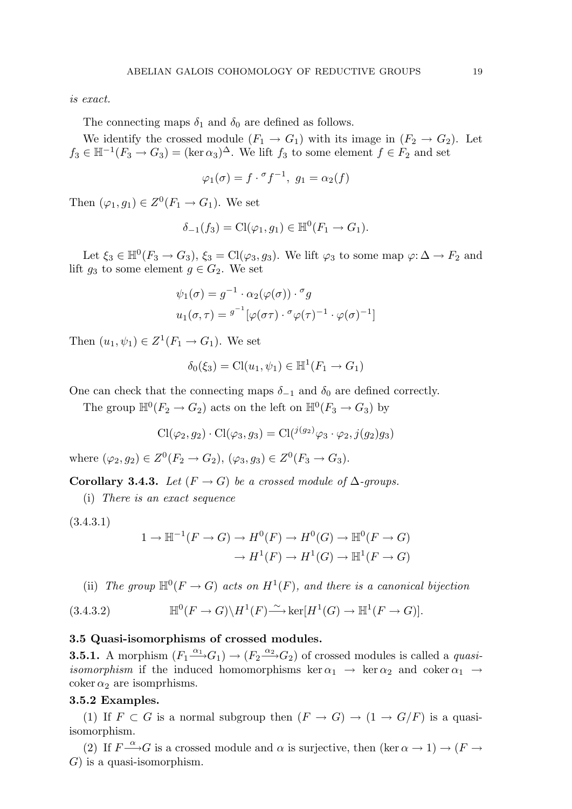is exact.

The connecting maps  $\delta_1$  and  $\delta_0$  are defined as follows.

We identify the crossed module  $(F_1 \rightarrow G_1)$  with its image in  $(F_2 \rightarrow G_2)$ . Let  $f_3 \in \mathbb{H}^{-1}(F_3 \to G_3) = (\ker \alpha_3)^{\Delta}$ . We lift  $f_3$  to some element  $f \in F_2$  and set

$$
\varphi_1(\sigma) = f \cdot \sigma f^{-1}, \ g_1 = \alpha_2(f)
$$

Then  $(\varphi_1, g_1) \in Z^0(F_1 \to G_1)$ . We set

$$
\delta_{-1}(f_3) = \text{Cl}(\varphi_1, g_1) \in \mathbb{H}^0(F_1 \to G_1).
$$

Let  $\xi_3 \in \mathbb{H}^0(F_3 \to G_3)$ ,  $\xi_3 = \text{Cl}(\varphi_3, g_3)$ . We lift  $\varphi_3$  to some map  $\varphi: \Delta \to F_2$  and lift  $g_3$  to some element  $g \in G_2$ . We set

$$
\psi_1(\sigma) = g^{-1} \cdot \alpha_2(\varphi(\sigma)) \cdot \sigma_g
$$
  

$$
u_1(\sigma, \tau) = g^{-1} [\varphi(\sigma \tau) \cdot \sigma \varphi(\tau)^{-1} \cdot \varphi(\sigma)^{-1}]
$$

Then  $(u_1, \psi_1) \in Z^1(F_1 \to G_1)$ . We set

$$
\delta_0(\xi_3) = \text{Cl}(u_1, \psi_1) \in \mathbb{H}^1(F_1 \to G_1)
$$

One can check that the connecting maps  $\delta_{-1}$  and  $\delta_0$  are defined correctly.

The group  $\mathbb{H}^0(F_2 \to G_2)$  acts on the left on  $\mathbb{H}^0(F_3 \to G_3)$  by

$$
Cl(\varphi_2, g_2) \cdot Cl(\varphi_3, g_3) = Cl(^{j(g_2)}\varphi_3 \cdot \varphi_2, j(g_2)g_3)
$$

where  $(\varphi_2, g_2) \in Z^0(F_2 \to G_2), (\varphi_3, g_3) \in Z^0(F_3 \to G_3).$ 

Corollary 3.4.3. Let  $(F \rightarrow G)$  be a crossed module of  $\Delta$ -groups.

(i) There is an exact sequence

$$
(3.4.3.1)
$$

$$
1 \to \mathbb{H}^{-1}(F \to G) \to H^0(F) \to H^0(G) \to \mathbb{H}^0(F \to G)
$$

$$
\to H^1(F) \to H^1(G) \to \mathbb{H}^1(F \to G)
$$

(ii) The group  $\mathbb{H}^0(F \to G)$  acts on  $H^1(F)$ , and there is a canonical bijection

(3.4.3.2) 
$$
\mathbb{H}^0(F \to G) \backslash H^1(F) \xrightarrow{\sim} \ker[H^1(G) \to \mathbb{H}^1(F \to G)].
$$

#### 3.5 Quasi-isomorphisms of crossed modules.

**3.5.1.** A morphism  $(F_1 \xrightarrow{\alpha_1} G_1) \rightarrow (F_2 \xrightarrow{\alpha_2} G_2)$  of crossed modules is called a *quasiisomorphism* if the induced homomorphisms ker  $\alpha_1 \rightarrow \text{ker } \alpha_2$  and coker  $\alpha_1 \rightarrow$ coker  $\alpha_2$  are isomprhisms.

#### 3.5.2 Examples.

(1) If  $F \subset G$  is a normal subgroup then  $(F \to G) \to (1 \to G/F)$  is a quasiisomorphism.

(2) If  $F \rightharpoonup G$  is a crossed module and  $\alpha$  is surjective, then  $(\ker \alpha \to 1) \to (F \to \alpha)$  $G$ ) is a quasi-isomorphism.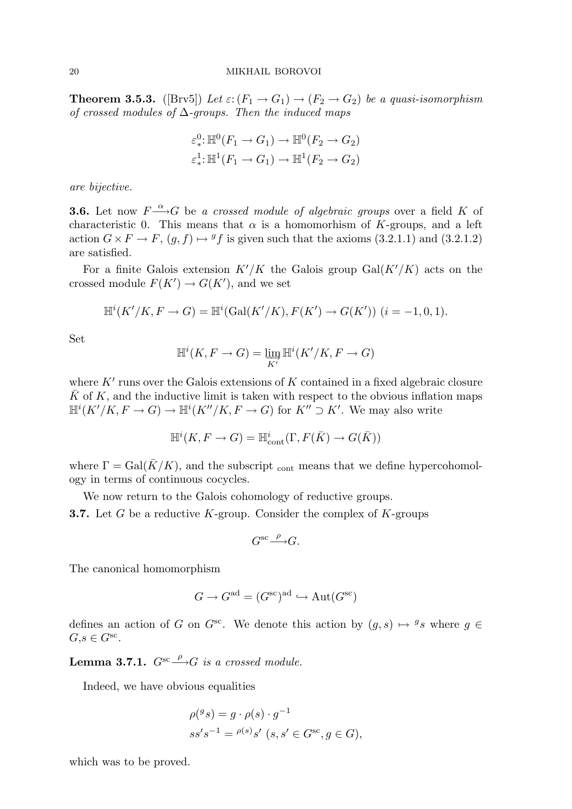**Theorem 3.5.3.** ([Brv5]) Let  $\varepsilon: (F_1 \to G_1) \to (F_2 \to G_2)$  be a quasi-isomorphism of crossed modules of  $\Delta$ -groups. Then the induced maps

$$
\varepsilon_*^0: \mathbb{H}^0(F_1 \to G_1) \to \mathbb{H}^0(F_2 \to G_2)
$$
  

$$
\varepsilon_*^1: \mathbb{H}^1(F_1 \to G_1) \to \mathbb{H}^1(F_2 \to G_2)
$$

are bijective.

**3.6.** Let now  $F \xrightarrow{\alpha} G$  be a crossed module of algebraic groups over a field K of characteristic 0. This means that  $\alpha$  is a homomorhism of K-groups, and a left action  $G \times F \to F$ ,  $(g, f) \mapsto {}^gf$  is given such that the axioms (3.2.1.1) and (3.2.1.2) are satisfied.

For a finite Galois extension  $K'/K$  the Galois group  $Gal(K'/K)$  acts on the crossed module  $F(K') \to G(K')$ , and we set

$$
\mathbb{H}^{i}(K'/K, F \to G) = \mathbb{H}^{i}(\text{Gal}(K'/K), F(K') \to G(K')) \ (i = -1, 0, 1).
$$

Set

$$
\mathbb{H}^i(K, F \to G) = \varinjlim_{K'} \mathbb{H}^i(K'/K, F \to G)
$$

where  $K'$  runs over the Galois extensions of K contained in a fixed algebraic closure  $\bar{K}$  of K, and the inductive limit is taken with respect to the obvious inflation maps  $\mathbb{H}^i(K'/K, F \to G) \to \mathbb{H}^i(K''/K, F \to G)$  for  $K'' \supset K'$ . We may also write

$$
\mathbb{H}^i(K, F \to G) = \mathbb{H}^i_{\text{cont}}(\Gamma, F(\bar{K}) \to G(\bar{K}))
$$

where  $\Gamma = \text{Gal}(\overline{K}/K)$ , and the subscript continuous that we define hypercohomology in terms of continuous cocycles.

We now return to the Galois cohomology of reductive groups.

**3.7.** Let G be a reductive K-group. Consider the complex of K-groups

$$
G^{\operatorname{sc}\nolimits}\xrightarrow{\rho} G.
$$

The canonical homomorphism

$$
G \to G^{\text{ad}} = (G^{\text{sc}})^{\text{ad}} \hookrightarrow \text{Aut}(G^{\text{sc}})
$$

defines an action of G on  $G^{sc}$ . We denote this action by  $(g, s) \mapsto {}^gs$  where  $g \in$  $G, s \in G^{\text{sc}}.$ 

**Lemma 3.7.1.**  $G^{sc} \stackrel{\rho}{\longrightarrow} G$  is a crossed module.

Indeed, we have obvious equalities

$$
\rho({}^g s) = g \cdot \rho(s) \cdot g^{-1}
$$
  

$$
ss's^{-1} = {}^{\rho(s)}s' \ (s, s' \in G^{\text{sc}}, g \in G),
$$

which was to be proved.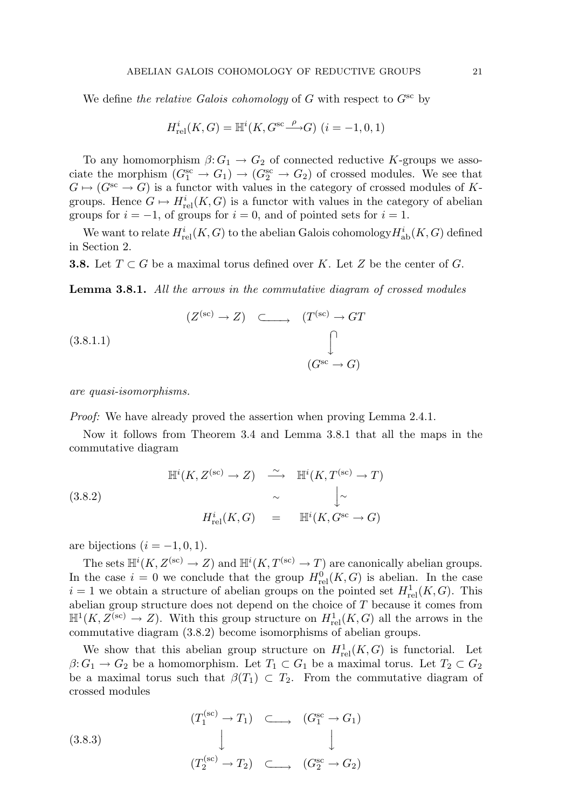We define the relative Galois cohomology of G with respect to  $G^{\rm sc}$  by

$$
H_{\mathrm{rel}}^{i}(K, G)=\mathbb{H}^{i}(K, G^{\mathrm{sc}} {\overset{\rho}{\longrightarrow}} G) \ (i=-1,0,1)
$$

To any homomorphism  $\beta: G_1 \to G_2$  of connected reductive K-groups we associate the morphism  $(G_1^{\text{sc}} \to G_1) \to (G_2^{\text{sc}} \to G_2)$  of crossed modules. We see that  $G \mapsto (G^{sc} \to G)$  is a functor with values in the category of crossed modules of Kgroups. Hence  $G \mapsto H^i_{rel}(K, G)$  is a functor with values in the category of abelian groups for  $i = -1$ , of groups for  $i = 0$ , and of pointed sets for  $i = 1$ .

We want to relate  $H_{\mathrm{rel}}^i(K, G)$  to the abelian Galois cohomology $H_{\mathrm{ab}}^i(K, G)$  defined in Section 2.

**3.8.** Let  $T \subset G$  be a maximal torus defined over K. Let Z be the center of G.

Lemma 3.8.1. All the arrows in the commutative diagram of crossed modules

$$
(Z^{(sc)} \to Z) \quad \subset \longrightarrow \quad (T^{(sc)} \to GT)
$$
\n
$$
(3.8.1.1)
$$
\n
$$
(G^{sc} \to G)
$$
\n
$$
(G^{sc} \to G)
$$

are quasi-isomorphisms.

Proof: We have already proved the assertion when proving Lemma 2.4.1.

Now it follows from Theorem 3.4 and Lemma 3.8.1 that all the maps in the commutative diagram

$$
\mathbb{H}^{i}(K, Z^{(\text{sc})} \to Z) \xrightarrow{\sim} \mathbb{H}^{i}(K, T^{(\text{sc})} \to T)
$$
\n
$$
\begin{array}{ccc}\n(3.8.2) & \sim & \downarrow^{\sim} \\
& H^{i}_{\text{rel}}(K, G) & = & \mathbb{H}^{i}(K, G^{\text{sc}} \to G)\n\end{array}
$$

are bijections  $(i = -1, 0, 1)$ .

The sets  $\mathbb{H}^i(K, Z^{(\text{sc})} \to Z)$  and  $\mathbb{H}^i(K, T^{(\text{sc})} \to T)$  are canonically abelian groups. In the case  $i = 0$  we conclude that the group  $H_{rel}^{0}(K, G)$  is abelian. In the case  $i = 1$  we obtain a structure of abelian groups on the pointed set  $H^1_{rel}(K, G)$ . This abelian group structure does not depend on the choice of T because it comes from  $\mathbb{H}^1(K, Z^{(\mathrm{sc})} \to Z)$ . With this group structure on  $H^1_{\mathrm{rel}}(K, G)$  all the arrows in the commutative diagram (3.8.2) become isomorphisms of abelian groups.

We show that this abelian group structure on  $H_{rel}^1(K, G)$  is functorial. Let  $\beta: G_1 \to G_2$  be a homomorphism. Let  $T_1 \subset G_1$  be a maximal torus. Let  $T_2 \subset G_2$ be a maximal torus such that  $\beta(T_1) \subset T_2$ . From the commutative diagram of crossed modules

$$
(3.8.3)
$$
\n
$$
(T_1^{(sc)} \to T_1) \quad \subset \longrightarrow \quad (G_1^{sc} \to G_1)
$$
\n
$$
(T_2^{(sc)} \to T_2) \quad \subset \longrightarrow \quad (G_2^{sc} \to G_2)
$$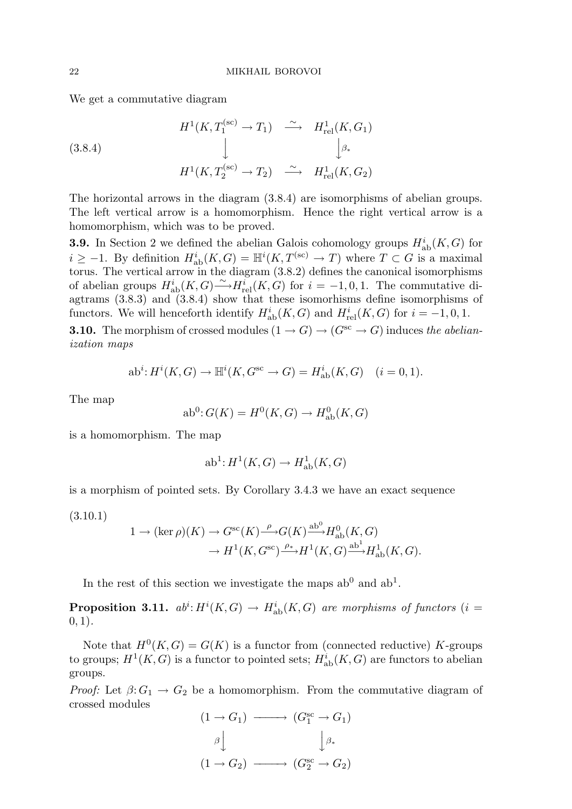We get a commutative diagram

(3.8.4)  

$$
H^1(K, T_1^{(sc)} \to T_1) \xrightarrow{\sim} H^1_{rel}(K, G_1)
$$

$$
\downarrow \qquad \qquad \downarrow \qquad \qquad \downarrow
$$

$$
H^1(K, T_2^{(sc)} \to T_2) \xrightarrow{\sim} H^1_{rel}(K, G_2)
$$

The horizontal arrows in the diagram (3.8.4) are isomorphisms of abelian groups. The left vertical arrow is a homomorphism. Hence the right vertical arrow is a homomorphism, which was to be proved.

**3.9.** In Section 2 we defined the abelian Galois cohomology groups  $H^i_{ab}(K, G)$  for  $i \geq -1$ . By definition  $H^i_{ab}(K, G) = \mathbb{H}^i(K, T^{(sc)} \to T)$  where  $T \subset G$  is a maximal torus. The vertical arrow in the diagram (3.8.2) defines the canonical isomorphisms of abelian groups  $H^i_{ab}(K, G) \stackrel{\sim}{\longrightarrow} H^i_{rel}(K, G)$  for  $i = -1, 0, 1$ . The commutative diagtrams (3.8.3) and (3.8.4) show that these isomorhisms define isomorphisms of functors. We will henceforth identify  $H_{ab}^i(K, G)$  and  $H_{rel}^i(K, G)$  for  $i = -1, 0, 1$ .

**3.10.** The morphism of crossed modules  $(1 \rightarrow G) \rightarrow (G^{sc} \rightarrow G)$  induces the abelianization maps

$$
\mathrm{ab}^i\colon\! H^i(K,G)\to\mathbb{H}^i(K,G^\mathrm{sc}\to G)=H^i_\mathrm{ab}(K,G)\quad (i=0,1).
$$

The map

$$
\mathrm{ab}^0 \colon G(K) = H^0(K, G) \to H^0_{\mathrm{ab}}(K, G)
$$

is a homomorphism. The map

$$
\mathrm{ab}^1: H^1(K, G) \to H^1_{\mathrm{ab}}(K, G)
$$

is a morphism of pointed sets. By Corollary 3.4.3 we have an exact sequence

(3.10.1)

$$
1 \to (\ker \rho)(K) \to G^{\rm sc}(K) \xrightarrow{\rho} G(K) \xrightarrow{\text{ab}^0} H_{\text{ab}}^0(K, G)
$$

$$
\to H^1(K, G^{\rm sc}) \xrightarrow{\rho_*} H^1(K, G) \xrightarrow{\text{ab}^1} H_{\text{ab}}^1(K, G).
$$

In the rest of this section we investigate the maps  $ab^0$  and  $ab^1$ .

**Proposition 3.11.**  $ab^i$ :  $H^i(K, G) \rightarrow H^i_{ab}(K, G)$  are morphisms of functors (i =  $(0, 1)$ .

Note that  $H^0(K, G) = G(K)$  is a functor from (connected reductive) K-groups to groups;  $H^1(K, G)$  is a functor to pointed sets;  $H^i_{ab}(K, G)$  are functors to abelian groups.

*Proof:* Let  $\beta: G_1 \to G_2$  be a homomorphism. From the commutative diagram of crossed modules

$$
(1 \to G_1) \longrightarrow (G_1^{\rm sc} \to G_1)
$$

$$
\beta \downarrow \qquad \qquad \downarrow \beta_*
$$

$$
(1 \to G_2) \longrightarrow (G_2^{\rm sc} \to G_2)
$$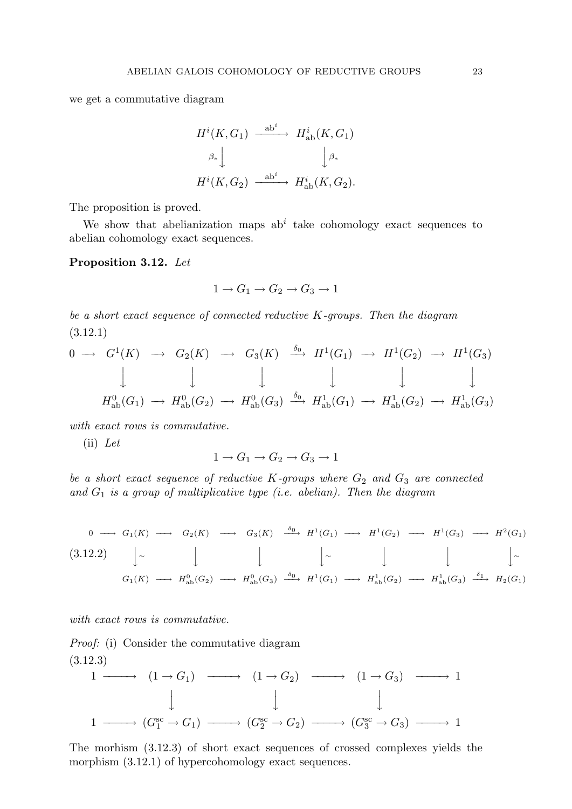we get a commutative diagram

$$
H^{i}(K, G_{1}) \xrightarrow{\operatorname{ab}^{i}} H^{i}_{\operatorname{ab}}(K, G_{1})
$$

$$
\beta_{*} \downarrow \qquad \qquad \downarrow \beta_{*}
$$

$$
H^{i}(K, G_{2}) \xrightarrow{\operatorname{ab}^{i}} H^{i}_{\operatorname{ab}}(K, G_{2}).
$$

The proposition is proved.

We show that abelianization maps  $ab^i$  take cohomology exact sequences to abelian cohomology exact sequences.

Proposition 3.12. Let

$$
1 \to G_1 \to G_2 \to G_3 \to 1
$$

be a short exact sequence of connected reductive K-groups. Then the diagram (3.12.1)

$$
0 \longrightarrow G^1(K) \longrightarrow G_2(K) \longrightarrow G_3(K) \xrightarrow{\delta_0} H^1(G_1) \longrightarrow H^1(G_2) \longrightarrow H^1(G_3)
$$
  

$$
\downarrow \qquad \qquad \downarrow \qquad \qquad \downarrow \qquad \qquad \downarrow \qquad \qquad \downarrow
$$
  

$$
H^0_{\text{ab}}(G_1) \longrightarrow H^0_{\text{ab}}(G_2) \longrightarrow H^0_{\text{ab}}(G_3) \xrightarrow{\delta_0} H^1_{\text{ab}}(G_1) \longrightarrow H^1_{\text{ab}}(G_2) \longrightarrow H^1_{\text{ab}}(G_3)
$$

with exact rows is commutative.

(ii) Let

$$
1 \to G_1 \to G_2 \to G_3 \to 1
$$

be a short exact sequence of reductive  $K$ -groups where  $G_2$  and  $G_3$  are connected and  $G_1$  is a group of multiplicative type (i.e. abelian). Then the diagram

$$
\begin{array}{ccccccccc}\n0 & \longrightarrow & G_1(K) & \longrightarrow & G_2(K) & \longrightarrow & G_3(K) & \xrightarrow{\delta_0} & H^1(G_1) & \longrightarrow & H^1(G_2) & \longrightarrow & H^1(G_3) & \longrightarrow & H^2(G_1) \\
\end{array}
$$
\n
$$
\begin{array}{ccccccc}\n(3.12.2) & \downarrow & \downarrow & \downarrow & \downarrow & \downarrow & \downarrow & \downarrow \\
 & G_1(K) & \longrightarrow & H^0_{ab}(G_2) & \longrightarrow & H^0_{ab}(G_3) & \xrightarrow{\delta_0} & H^1(G_1) & \longrightarrow & H^1_{ab}(G_2) & \longrightarrow & H^1_{ab}(G_3) & \xrightarrow{\delta_1} & H_2(G_1)\n\end{array}
$$

with exact rows is commutative.

Proof: (i) Consider the commutative diagram (3.12.3)

$$
\begin{array}{ccccccc}\n1 & \longrightarrow & (1 \to G_1) & \longrightarrow & (1 \to G_2) & \longrightarrow & (1 \to G_3) & \longrightarrow & 1 \\
 & & & & & & & \\
 & & & & & & & \\
1 & \longrightarrow & (G_1^{\text{sc}} \to G_1) & \longrightarrow & (G_2^{\text{sc}} \to G_2) & \longrightarrow & (G_3^{\text{sc}} \to G_3) & \longrightarrow & 1\n\end{array}
$$

The morhism (3.12.3) of short exact sequences of crossed complexes yields the morphism  $(3.12.1)$  of hypercohomology exact sequences.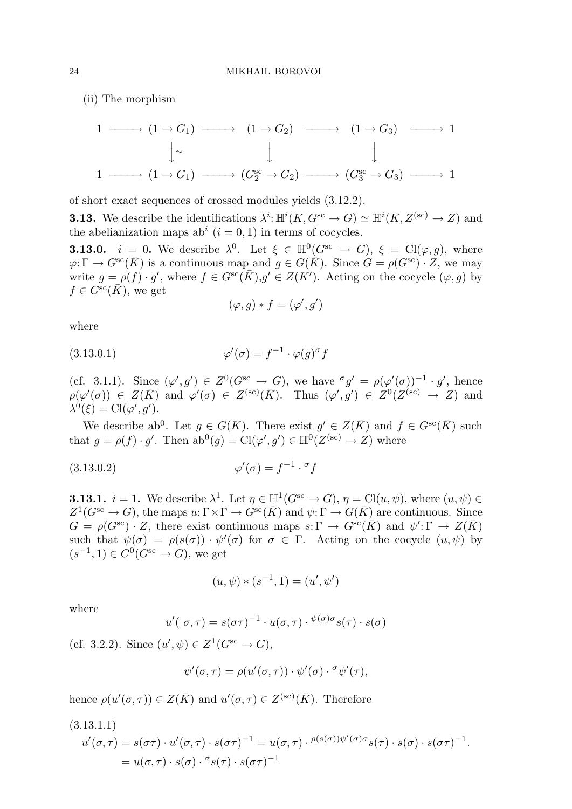(ii) The morphism

$$
1 \longrightarrow (1 \rightarrow G_1) \longrightarrow (1 \rightarrow G_2) \longrightarrow (1 \rightarrow G_3) \longrightarrow 1
$$
  

$$
\downarrow \sim \qquad \qquad \downarrow \qquad \qquad \downarrow
$$
  

$$
1 \longrightarrow (1 \rightarrow G_1) \longrightarrow (G_2^{\text{sc}} \rightarrow G_2) \longrightarrow (G_3^{\text{sc}} \rightarrow G_3) \longrightarrow 1
$$

of short exact sequences of crossed modules yields (3.12.2).

**3.13.** We describe the identifications  $\lambda^i: \mathbb{H}^i(K, G^{\text{sc}} \to G) \simeq \mathbb{H}^i(K, Z^{(\text{sc})} \to Z)$  and the abelianization maps ab<sup>i</sup>  $(i = 0, 1)$  in terms of cocycles.

**3.13.0.**  $i = 0$ . We describe  $\lambda^0$ . Let  $\xi \in \mathbb{H}^0(G^{sc} \to G)$ ,  $\xi = \text{Cl}(\varphi, g)$ , where  $\varphi: \Gamma \to G^{\rm sc}(\bar{K})$  is a continuous map and  $q \in G(\bar{K})$ . Since  $G = \rho(G^{\rm sc}) \cdot Z$ , we may write  $g = \rho(f) \cdot g'$ , where  $f \in G^{sc}(\overline{K}), g' \in Z(K')$ . Acting on the cocycle  $(\varphi, g)$  by  $f \in G^{\rm sc}(\bar{K})$ , we get

$$
(\varphi, g) * f = (\varphi', g')
$$

where

(3.13.0.1) 
$$
\varphi'(\sigma) = f^{-1} \cdot \varphi(g)^{\sigma} f
$$

(cf. 3.1.1). Since  $(\varphi', g') \in Z^0(G^{sc} \to G)$ , we have  $\sigma g' = \rho(\varphi'(\sigma))^{-1} \cdot g'$ , hence  $\rho(\varphi'(\sigma)) \in Z(\bar{K})$  and  $\varphi'(\sigma) \in Z^{(\rm sc)}(\bar{K})$ . Thus  $(\varphi', g') \in Z^{0}(Z^{(\rm sc)} \to Z)$  and  $\lambda^0(\xi) = \mathrm{Cl}(\varphi', g').$ 

We describe ab<sup>0</sup>. Let  $g \in G(K)$ . There exist  $g' \in Z(\overline{K})$  and  $f \in G^{sc}(\overline{K})$  such that  $g = \rho(f) \cdot g'$ . Then  $ab^0(g) = \text{Cl}(\varphi', g') \in \mathbb{H}^0(Z^{(\text{sc})} \to Z)$  where

$$
\varphi'(\sigma) = f^{-1} \cdot {}^{\sigma} f
$$

**3.13.1.**  $i = 1$ . We describe  $\lambda^1$ . Let  $\eta \in \mathbb{H}^1(G^{sc} \to G)$ ,  $\eta = \text{Cl}(u, \psi)$ , where  $(u, \psi) \in$  $Z^1(G^{sc} \to G)$ , the maps  $u: \Gamma \times \Gamma \to G^{sc}(\bar{K})$  and  $\psi: \Gamma \to G(\bar{K})$  are continuous. Since  $G = \rho(G^{\text{sc}}) \cdot Z$ , there exist continuous maps  $s: \Gamma \to G^{\text{sc}}(\overline{K})$  and  $\psi': \Gamma \to Z(\overline{K})$ such that  $\psi(\sigma) = \rho(s(\sigma)) \cdot \psi'(\sigma)$  for  $\sigma \in \Gamma$ . Acting on the cocycle  $(u, \psi)$  by  $(s^{-1}, 1) \in C^0(G^{sc} \to G)$ , we get

$$
(u, \psi) * (s^{-1}, 1) = (u', \psi')
$$

where

$$
u'(\sigma,\tau) = s(\sigma\tau)^{-1} \cdot u(\sigma,\tau) \cdot \psi^{(\sigma)\sigma} s(\tau) \cdot s(\sigma)
$$

(cf. 3.2.2). Since  $(u', \psi) \in Z^1(G^{sc} \to G)$ ,

$$
\psi'(\sigma,\tau) = \rho(u'(\sigma,\tau)) \cdot \psi'(\sigma) \cdot \sigma \psi'(\tau),
$$

hence  $\rho(u'(\sigma,\tau)) \in Z(\bar{K})$  and  $u'(\sigma,\tau) \in Z^{(\rm sc)}(\bar{K})$ . Therefore

$$
(3.13.1.1)
$$
  
\n
$$
u'(\sigma,\tau) = s(\sigma\tau) \cdot u'(\sigma,\tau) \cdot s(\sigma\tau)^{-1} = u(\sigma,\tau) \cdot \rho(s(\sigma))\psi'(\sigma)\sigma s(\tau) \cdot s(\sigma) \cdot s(\sigma\tau)^{-1}.
$$
  
\n
$$
= u(\sigma,\tau) \cdot s(\sigma) \cdot \sigma s(\tau) \cdot s(\sigma\tau)^{-1}
$$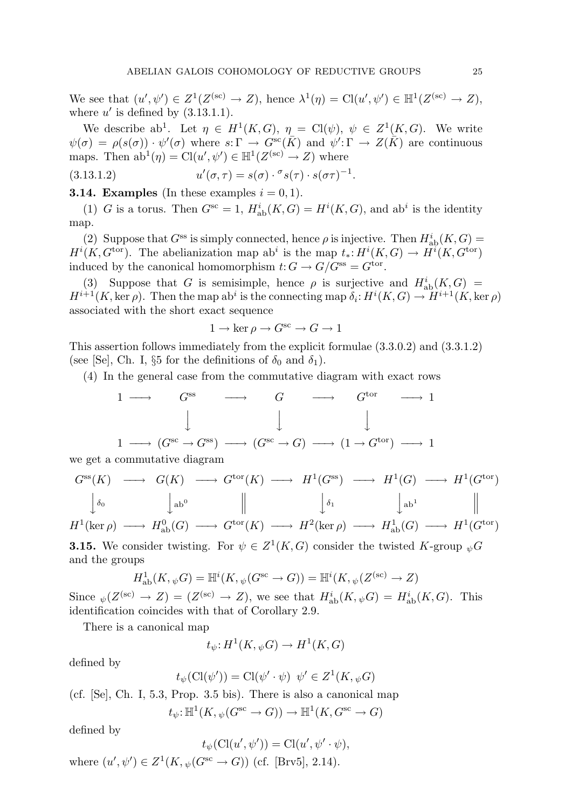We see that  $(u', \psi') \in Z^1(Z^{(\text{sc})} \to Z)$ , hence  $\lambda^1(\eta) = \text{Cl}(u', \psi') \in \mathbb{H}^1(Z^{(\text{sc})} \to Z)$ , where  $u'$  is defined by  $(3.13.1.1)$ .

We describe ab<sup>1</sup>. Let  $\eta \in H^1(K, G)$ ,  $\eta = \text{Cl}(\psi)$ ,  $\psi \in Z^1(K, G)$ . We write  $\psi(\sigma) = \rho(s(\sigma)) \cdot \psi'(\sigma)$  where  $s: \Gamma \to G^{sc}(\bar{K})$  and  $\psi': \Gamma \to Z(\bar{K})$  are continuous maps. Then  $ab^1(\eta) = \text{Cl}(u', \psi') \in \mathbb{H}^1(Z^{(\text{sc})} \to Z)$  where

(3.13.1.2) 
$$
u'(\sigma, \tau) = s(\sigma) \cdot \sigma s(\tau) \cdot s(\sigma \tau)^{-1}.
$$

# **3.14. Examples** (In these examples  $i = 0, 1$ ).

(1) G is a torus. Then  $G^{sc} = 1$ ,  $H^i_{ab}(K, G) = H^i(K, G)$ , and ab<sup>i</sup> is the identity map.

(2) Suppose that  $G^{ss}$  is simply connected, hence  $\rho$  is injective. Then  $H^i_{ab}(K, G) =$  $H^{i}(K, G^{\text{tor}})$ . The abelianization map ab<sup>i</sup> is the map  $t_{*}: H^{i}(K, G) \to H^{i}(K, G^{\text{tor}})$ induced by the canonical homomorphism  $t: G \to G/G^{ss} = G^{tor}$ .

(3) Suppose that G is semisimple, hence  $\rho$  is surjective and  $H^i_{ab}(K, G) =$  $H^{i+1}(K, \ker \rho)$ . Then the map ab<sup>i</sup> is the connecting map  $\delta_i: H^i(K, G) \to H^{i+1}(K, \ker \rho)$ associated with the short exact sequence

$$
1 \to \ker \rho \to G^{\rm sc} \to G \to 1
$$

This assertion follows immediately from the explicit formulae (3.3.0.2) and (3.3.1.2) (see [Se], Ch. I,  $\S5$  for the definitions of  $\delta_0$  and  $\delta_1$ ).

(4) In the general case from the commutative diagram with exact rows

$$
\begin{array}{ccccccc}\n1 & \longrightarrow & G^{\text{ss}} & \longrightarrow & G & \longrightarrow & G^{\text{tor}} & \longrightarrow & 1 \\
 & & & & & & & \\
1 & \longrightarrow & (G^{\text{sc}} \to G^{\text{ss}}) & \longrightarrow & (G^{\text{sc}} \to G) & \longrightarrow & (1 \to G^{\text{tor}}) & \longrightarrow & 1\n\end{array}
$$

we get a commutative diagram

$$
G^{\text{ss}}(K) \longrightarrow G(K) \longrightarrow G^{\text{tor}}(K) \longrightarrow H^1(G^{\text{ss}}) \longrightarrow H^1(G) \longrightarrow H^1(G^{\text{tor}})
$$
  

$$
\downarrow_{\delta_0} \qquad \qquad \downarrow_{\text{ab}^0} \qquad \qquad \parallel \qquad \qquad \downarrow_{\delta_1} \qquad \qquad \downarrow_{\text{ab}^1} \qquad \qquad \parallel
$$

 $H^1(\ker \rho) \longrightarrow H^0_{\mathrm{ab}}(G) \longrightarrow G^{\mathrm{tor}}(K) \longrightarrow H^2(\ker \rho) \longrightarrow H^1_{\mathrm{ab}}(G) \longrightarrow H^1(G^{\mathrm{tor}})$ 

**3.15.** We consider twisting. For  $\psi \in Z^1(K, G)$  consider the twisted K-group  $_{\psi}G$ and the groups

$$
H^1_{\text{ab}}(K, \psi G) = \mathbb{H}^i(K, \psi(G^{\text{sc}} \to G)) = \mathbb{H}^i(K, \psi(Z^{(\text{sc})} \to Z))
$$

Since  $\psi(Z^{(\text{sc})} \to Z) = (Z^{(\text{sc})} \to Z)$ , we see that  $H^i_{ab}(K, \psi \overline{G}) = H^i_{ab}(K, G)$ . This identification coincides with that of Corollary 2.9.

There is a canonical map

$$
t_{\psi}:H^1(K, {}_{\psi}G) \to H^1(K, G)
$$

defined by

$$
t_{\psi}(\mathrm{Cl}(\psi')) = \mathrm{Cl}(\psi' \cdot \psi) \ \psi' \in Z^{1}(K, \psi)G
$$

(cf. [Se], Ch. I, 5.3, Prop. 3.5 bis). There is also a canonical map

$$
t_{\psi}: \mathbb{H}^1(K, \psi(G^{\text{sc}} \to G)) \to \mathbb{H}^1(K, G^{\text{sc}} \to G)
$$

defined by

$$
t_{\psi}(\mathrm{Cl}(u',\psi')) = \mathrm{Cl}(u',\psi'\cdot\psi),
$$

where  $(u', \psi') \in Z^1(K, \psi(G^{\text{sc}} \to G))$  (cf. [Brv5], 2.14).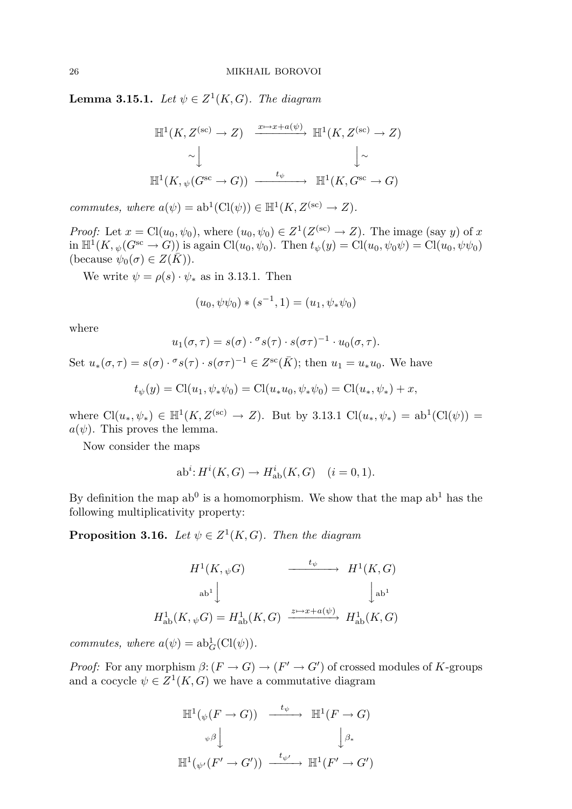**Lemma 3.15.1.** Let  $\psi \in Z^1(K, G)$ . The diagram

$$
\mathbb{H}^{1}(K, Z^{(\text{sc})} \to Z) \xrightarrow{x \mapsto x + a(\psi)} \mathbb{H}^{1}(K, Z^{(\text{sc})} \to Z)
$$
  

$$
\sim \downarrow \qquad \qquad \downarrow \sim
$$
  

$$
\mathbb{H}^{1}(K, \psi(G^{\text{sc}} \to G)) \xrightarrow{t_{\psi}} \mathbb{H}^{1}(K, G^{\text{sc}} \to G)
$$

commutes, where  $a(\psi) = ab^1(Cl(\psi)) \in \mathbb{H}^1(K, Z^{(sc)} \to Z)$ .

*Proof:* Let  $x = Cl(u_0, \psi_0)$ , where  $(u_0, \psi_0) \in Z^1(Z^{(sc)} \to Z)$ . The image (say y) of x in  $\mathbb{H}^1(K, \psi(G^{\text{sc}} \to G))$  is again  $\text{Cl}(u_0, \psi_0)$ . Then  $t_{\psi}(y) = \text{Cl}(u_0, \psi_0\psi) = \text{Cl}(u_0, \psi\psi_0)$ (because  $\psi_0(\sigma) \in Z(\overline{K})$ ).

We write  $\psi = \rho(s) \cdot \psi_*$  as in 3.13.1. Then

$$
(u_0, \psi \psi_0) * (s^{-1}, 1) = (u_1, \psi_* \psi_0)
$$

where

$$
u_1(\sigma,\tau) = s(\sigma) \cdot \sigma s(\tau) \cdot s(\sigma \tau)^{-1} \cdot u_0(\sigma,\tau).
$$

Set  $u_*(\sigma, \tau) = s(\sigma) \cdot {}^{\sigma} s(\tau) \cdot s(\sigma \tau)^{-1} \in Z^{\rm sc}(\bar{K});$  then  $u_1 = u_* u_0$ . We have

$$
t_{\psi}(y) = \text{Cl}(u_1, \psi_* \psi_0) = \text{Cl}(u_* u_0, \psi_* \psi_0) = \text{Cl}(u_*, \psi_*) + x,
$$

where  $Cl(u_*,\psi_*) \in \mathbb{H}^1(K, Z^{(\text{sc})} \to Z)$ . But by 3.13.1  $Cl(u_*,\psi_*) = ab^1(Cl(\psi)) =$  $a(\psi)$ . This proves the lemma.

Now consider the maps

$$
\mathrm{ab}^i \colon \! H^i(K,G) \to H^i_{\mathrm{ab}}(K,G) \quad (i=0,1).
$$

By definition the map  $ab^0$  is a homomorphism. We show that the map  $ab^1$  has the following multiplicativity property:

**Proposition 3.16.** Let  $\psi \in Z^1(K, G)$ . Then the diagram

$$
H^{1}(K, \psi G) \longrightarrow H^{1}(K, G)
$$
  
\n
$$
ab^{1} \downarrow \qquad \qquad b^{1}
$$
  
\n
$$
H^{1}_{ab}(K, \psi G) = H^{1}_{ab}(K, G) \xrightarrow{z \mapsto x + a(\psi)} H^{1}_{ab}(K, G)
$$

commutes, where  $a(\psi) = ab_G^1(Cl(\psi)).$ 

*Proof:* For any morphism  $\beta: (F \to G) \to (F' \to G')$  of crossed modules of K-groups and a cocycle  $\psi \in Z^1(K, G)$  we have a commutative diagram

$$
\mathbb{H}^{1}(\psi(F \to G)) \xrightarrow{t_{\psi}} \mathbb{H}^{1}(F \to G)
$$
  

$$
\downarrow^{\beta} \downarrow^{\beta}
$$
  

$$
\mathbb{H}^{1}(\psi'(F' \to G')) \xrightarrow{t_{\psi'}} \mathbb{H}^{1}(F' \to G')
$$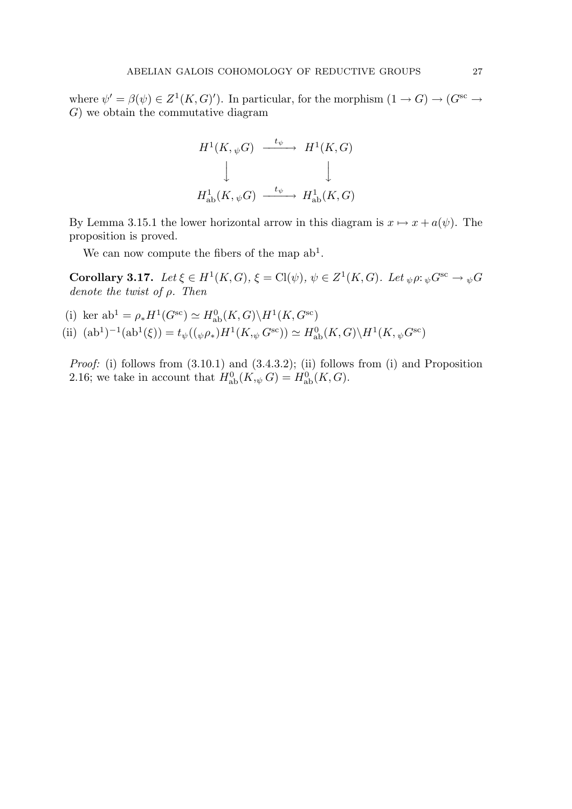where  $\psi' = \beta(\psi) \in Z^1(K, G)'$ ). In particular, for the morphism  $(1 \to G) \to (G^{\text{sc}} \to$ G) we obtain the commutative diagram

$$
H^1(K, \psi G) \xrightarrow{t_{\psi}} H^1(K, G)
$$
  

$$
\downarrow \qquad \qquad \downarrow
$$
  

$$
H^1_{\text{ab}}(K, \psi G) \xrightarrow{t_{\psi}} H^1_{\text{ab}}(K, G)
$$

By Lemma 3.15.1 the lower horizontal arrow in this diagram is  $x \mapsto x + a(\psi)$ . The proposition is proved.

We can now compute the fibers of the map  $ab^1$ .

**Corollary 3.17.** Let  $\xi \in H^1(K, G)$ ,  $\xi = \text{Cl}(\psi)$ ,  $\psi \in Z^1(K, G)$ . Let  $_{\psi}\rho :_{\psi}G^{\text{sc}} \to_{\psi}G$ denote the twist of  $\rho$ . Then

(i) ker  $ab^1 = \rho_* H^1(G^{sc}) \simeq H^0_{ab}(K, G) \backslash H^1(K, G^{sc})$ (ii)  $(ab^1)^{-1}(ab^1(\xi)) = t_{\psi}((\psi \rho_*)H^1(K, \psi G^{\text{sc}})) \simeq H^0_{ab}(K, G) \backslash H^1(K, \psi G^{\text{sc}})$ 

Proof: (i) follows from  $(3.10.1)$  and  $(3.4.3.2)$ ; (ii) follows from (i) and Proposition 2.16; we take in account that  $H_{ab}^{0}(K, \psi \ G) = H_{ab}^{0}(K, G)$ .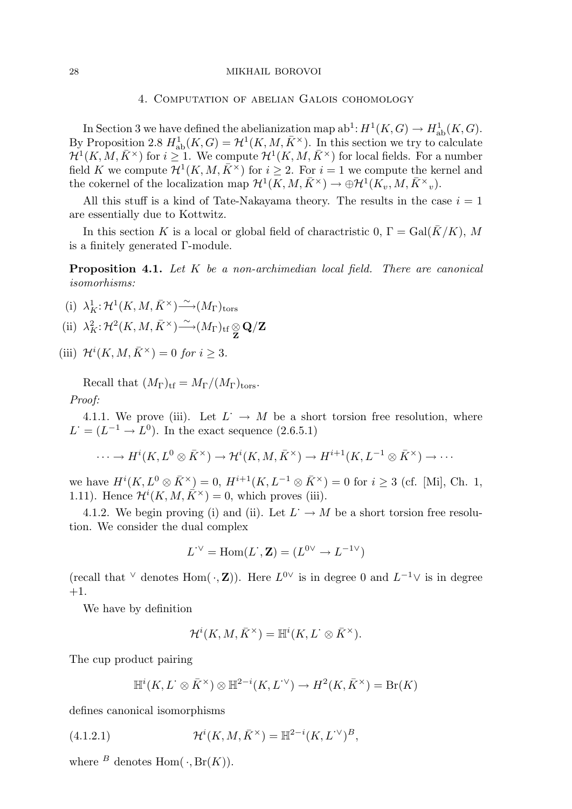#### 28 MIKHAIL BOROVOI

# 4. Computation of abelian Galois cohomology

In Section 3 we have defined the abelianization map  $ab^1$ :  $H^1(K, G) \to H^1_{ab}(K, G)$ . By Proposition 2.8  $H^1_{ab}(K, G) = \mathcal{H}^1(K, M, \bar{K}^\times)$ . In this section we try to calculate  $\mathcal{H}^1(K,M,\bar{K}^{\times})$  for  $i \geq 1$ . We compute  $\mathcal{H}^1(K,M,\bar{K}^{\times})$  for local fields. For a number field K we compute  $\mathcal{H}^1(K, M, \bar{K}^\times)$  for  $i \geq 2$ . For  $i = 1$  we compute the kernel and the cokernel of the localization map  $\mathcal{H}^1(K, M, \bar{K}^\times) \to \bigoplus \mathcal{H}^1(K_v, M, \bar{K}^\times)_v$ .

All this stuff is a kind of Tate-Nakayama theory. The results in the case  $i = 1$ are essentially due to Kottwitz.

In this section K is a local or global field of charactristic 0,  $\Gamma = \text{Gal}(\bar{K}/K)$ , M is a finitely generated Γ-module.

Proposition 4.1. Let K be a non-archimedian local field. There are canonical isomorhisms:

(i) 
$$
\lambda_K^1: \mathcal{H}^1(K, M, \bar{K}^\times) \xrightarrow{\sim} (M_\Gamma)_{\text{tors}}
$$

- (ii)  $\lambda_K^2: \mathcal{H}^2(K, M, \bar{K}^\times) \longrightarrow (M_\Gamma)_{\mathrm{tf}} \underset{\mathbf{Z}}{\otimes} \mathbf{Q}/\mathbf{Z}$
- (iii)  $\mathcal{H}^i(K, M, \bar{K}^\times) = 0$  for  $i \geq 3$ .

Recall that  $(M_{\Gamma})_{\text{tf}} = M_{\Gamma}/(M_{\Gamma})_{\text{tors}}$ . Proof:

4.1.1. We prove (iii). Let  $L^+ \to M$  be a short torsion free resolution, where  $L^{\cdot} = (L^{-1} \rightarrow L^{0})$ . In the exact sequence (2.6.5.1)

$$
\cdots \to H^{i}(K, L^{0} \otimes \bar{K}^{\times}) \to \mathcal{H}^{i}(K, M, \bar{K}^{\times}) \to H^{i+1}(K, L^{-1} \otimes \bar{K}^{\times}) \to \cdots
$$

we have  $H^{i}(K, L^{0} \otimes \bar{K}^{\times}) = 0$ ,  $H^{i+1}(K, L^{-1} \otimes \bar{K}^{\times}) = 0$  for  $i \geq 3$  (cf. [Mi], Ch. 1, 1.11). Hence  $\mathcal{H}^{i}(K, M, \overline{K}^{\times}) = 0$ , which proves (iii).

4.1.2. We begin proving (i) and (ii). Let  $L^{\cdot} \to M$  be a short torsion free resolution. We consider the dual complex

$$
L^{\cdot \vee} = \text{Hom}(L^{\cdot}, \mathbf{Z}) = (L^{0\vee} \to L^{-1\vee})
$$

(recall that  $\vee$  denotes Hom $(\cdot, \mathbf{Z})$ ). Here  $L^{0\vee}$  is in degree 0 and  $L^{-1}\vee$  is in degree  $+1.$ 

We have by definition

$$
\mathcal{H}^i(K,M,\bar{K}^\times)=\mathbb{H}^i(K,L^\cdot\otimes \bar{K}^\times).
$$

The cup product pairing

$$
\mathbb{H}^i(K, L^\cdot \otimes \bar K^\times) \otimes \mathbb{H}^{2-i}(K, L^{\cdot \vee}) \to H^2(K, \bar K^\times) = \operatorname{Br}(K)
$$

defines canonical isomorphisms

(4.1.2.1) 
$$
\mathcal{H}^{i}(K, M, \bar{K}^{\times}) = \mathbb{H}^{2-i}(K, L^{\vee})^{B},
$$

where  $B$  denotes Hom $(\cdot, Br(K))$ .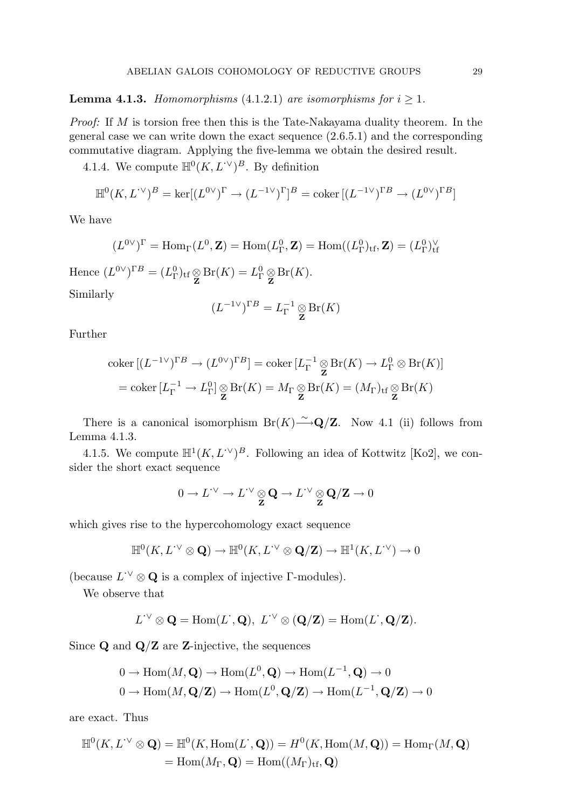# **Lemma 4.1.3.** Homomorphisms (4.1.2.1) are isomorphisms for  $i \geq 1$ .

Proof: If M is torsion free then this is the Tate-Nakayama duality theorem. In the general case we can write down the exact sequence (2.6.5.1) and the corresponding commutative diagram. Applying the five-lemma we obtain the desired result.

4.1.4. We compute  $\mathbb{H}^0(K, L^{\cdot \vee})^B$ . By definition

$$
\mathbb{H}^0(K, L^{\cdot \vee})^B = \ker[(L^{0\vee})^{\Gamma} \to (L^{-1\vee})^{\Gamma}]^B = \text{coker} [(L^{-1\vee})^{\Gamma B} \to (L^{0\vee})^{\Gamma B}]
$$

We have

$$
(L^{0\vee})^{\Gamma} = \text{Hom}_{\Gamma}(L^{0}, \mathbf{Z}) = \text{Hom}(L^{0}_{\Gamma}, \mathbf{Z}) = \text{Hom}((L^{0}_{\Gamma})_{\text{tf}}, \mathbf{Z}) = (L^{0}_{\Gamma})^{\vee}_{\text{tf}}
$$

Hence  $(L^{0\vee})^{\Gamma B} = (L^0_{\Gamma})_{\text{tf}} \underset{\mathbf{Z}}{\otimes} \text{Br}(K) = L^0_{\Gamma} \underset{\mathbf{Z}}{\otimes} \text{Br}(K).$ Similarly

$$
(L^{-1}\vee)^{\Gamma B} = L_{\Gamma}^{-1} \underset{\mathbf{Z}}{\otimes} \mathrm{Br}(K)
$$

Further

$$
\operatorname{coker} \left[ (L^{-1}{}^{\vee})^{\Gamma B} \to (L^{0}{}^{\vee})^{\Gamma B} \right] = \operatorname{coker} \left[ L_{\Gamma}^{-1} \underset{\mathbf{Z}}{\otimes} \operatorname{Br}(K) \to L_{\Gamma}^{0} \otimes \operatorname{Br}(K) \right]
$$

$$
= \operatorname{coker} \left[ L_{\Gamma}^{-1} \to L_{\Gamma}^{0} \right] \underset{\mathbf{Z}}{\otimes} \operatorname{Br}(K) = M_{\Gamma} \underset{\mathbf{Z}}{\otimes} \operatorname{Br}(K) = (M_{\Gamma})_{\operatorname{tf}} \underset{\mathbf{Z}}{\otimes} \operatorname{Br}(K)
$$

There is a canonical isomorphism  $Br(K) \longrightarrow Q/Z$ . Now 4.1 (ii) follows from Lemma 4.1.3.

4.1.5. We compute  $\mathbb{H}^1(K, L^{\vee})^B$ . Following an idea of Kottwitz [Ko2], we consider the short exact sequence

$$
0 \to L^{\prime \vee} \to L^{\prime \vee} \underset{\mathbf{Z}}{\otimes} \mathbf{Q} \to L^{\prime \vee} \underset{\mathbf{Z}}{\otimes} \mathbf{Q}/\mathbf{Z} \to 0
$$

which gives rise to the hypercohomology exact sequence

$$
\mathbb{H}^0(K, L^{\cdot \vee} \otimes \mathbf{Q}) \to \mathbb{H}^0(K, L^{\cdot \vee} \otimes \mathbf{Q}/\mathbf{Z}) \to \mathbb{H}^1(K, L^{\cdot \vee}) \to 0
$$

(because  $L^{\prime\vee} \otimes \mathbf{Q}$  is a complex of injective  $\Gamma$ -modules).

We observe that

$$
L^{\cdot\vee} \otimes \mathbf{Q} = \text{Hom}(L^{\cdot}, \mathbf{Q}), \ L^{\cdot\vee} \otimes (\mathbf{Q}/\mathbf{Z}) = \text{Hom}(L^{\cdot}, \mathbf{Q}/\mathbf{Z}).
$$

Since  $Q$  and  $Q/Z$  are Z-injective, the sequences

$$
0 \to \text{Hom}(M, \mathbf{Q}) \to \text{Hom}(L^0, \mathbf{Q}) \to \text{Hom}(L^{-1}, \mathbf{Q}) \to 0
$$
  

$$
0 \to \text{Hom}(M, \mathbf{Q}/\mathbf{Z}) \to \text{Hom}(L^0, \mathbf{Q}/\mathbf{Z}) \to \text{Hom}(L^{-1}, \mathbf{Q}/\mathbf{Z}) \to 0
$$

are exact. Thus

$$
\mathbb{H}^0(K, L^{\cdot \vee} \otimes \mathbf{Q}) = \mathbb{H}^0(K, \text{Hom}(L^{\cdot}, \mathbf{Q})) = H^0(K, \text{Hom}(M, \mathbf{Q})) = \text{Hom}_{\Gamma}(M, \mathbf{Q})
$$
  
= Hom(M<sub>\Gamma</sub>,  $\mathbf{Q}$ ) = Hom((M<sub>\Gamma</sub>)<sub>tf</sub>,  $\mathbf{Q}$ )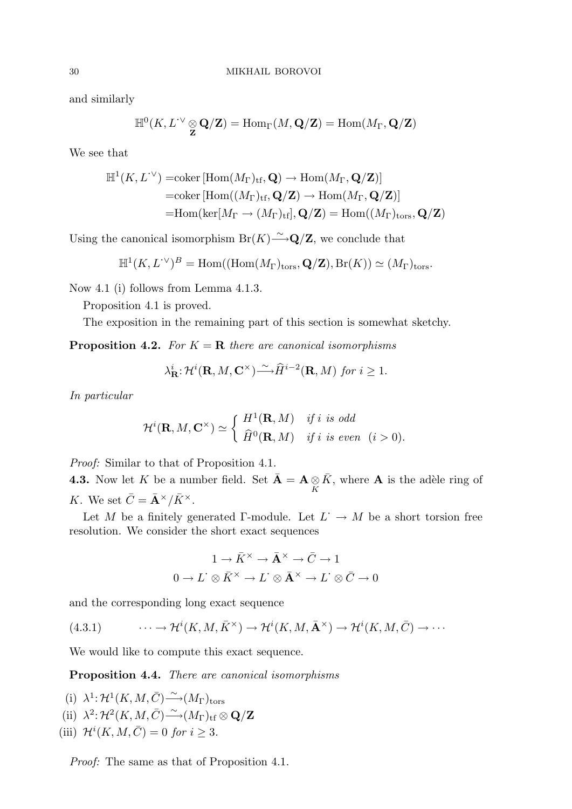and similarly

$$
\mathbb{H}^0(K, L^{\text{-}\vee} \underset{\mathbf{Z}}{\otimes} \mathbf{Q}/\mathbf{Z}) = \text{Hom}_{\Gamma}(M, \mathbf{Q}/\mathbf{Z}) = \text{Hom}(M_{\Gamma}, \mathbf{Q}/\mathbf{Z})
$$

We see that

$$
\mathbb{H}^1(K, L^{\prime \vee}) = \text{coker} [\text{Hom}(M_{\Gamma})_{\text{tf}}, \mathbf{Q}) \to \text{Hom}(M_{\Gamma}, \mathbf{Q}/\mathbf{Z})]
$$
  
= \text{coker} [\text{Hom}((M\_{\Gamma})\_{\text{tf}}, \mathbf{Q}/\mathbf{Z}) \to \text{Hom}(M\_{\Gamma}, \mathbf{Q}/\mathbf{Z})]  
= \text{Hom}(\text{ker}[M\_{\Gamma} \to (M\_{\Gamma})\_{\text{tf}}], \mathbf{Q}/\mathbf{Z}) = \text{Hom}((M\_{\Gamma})\_{\text{tors}}, \mathbf{Q}/\mathbf{Z})

Using the canonical isomorphism  $Br(K) \longrightarrow Q/Z$ , we conclude that

$$
\mathbb{H}^1(K, L^{\cdot \vee})^B = \text{Hom}((\text{Hom}(M_{\Gamma})_{\text{tors}}, \mathbf{Q}/\mathbf{Z}), \text{Br}(K)) \simeq (M_{\Gamma})_{\text{tors}}.
$$

Now 4.1 (i) follows from Lemma 4.1.3.

Proposition 4.1 is proved.

The exposition in the remaining part of this section is somewhat sketchy.

**Proposition 4.2.** For  $K = \mathbf{R}$  there are canonical isomorphisms

$$
\lambda_{\mathbf{R}}^{i} \mathcal{H}^{i}(\mathbf{R}, M, \mathbf{C}^{\times}) \tilde{\longrightarrow} \hat{H}^{i-2}(\mathbf{R}, M) \text{ for } i \geq 1.
$$

In particular

$$
\mathcal{H}^i(\mathbf{R}, M, \mathbf{C}^\times) \simeq \begin{cases} H^1(\mathbf{R}, M) & \text{if } i \text{ is odd} \\ \widehat{H}^0(\mathbf{R}, M) & \text{if } i \text{ is even } (i > 0). \end{cases}
$$

Proof: Similar to that of Proposition 4.1.

**4.3.** Now let K be a number field. Set  $\bar{\mathbf{A}} = \mathbf{A} \underset{K}{\otimes} \bar{K}$ , where **A** is the adèle ring of K. We set  $\bar{C} = \bar{\mathbf{A}}^{\times}/\bar{K}^{\times}$ .

Let M be a finitely generated  $\Gamma$ -module. Let  $L^{\cdot} \to M$  be a short torsion free resolution. We consider the short exact sequences

$$
1 \to \bar{K}^{\times} \to \bar{\mathbf{A}}^{\times} \to \bar{C} \to 1
$$

$$
0 \to L^{\cdot} \otimes \bar{K}^{\times} \to L^{\cdot} \otimes \bar{\mathbf{A}}^{\times} \to L^{\cdot} \otimes \bar{C} \to 0
$$

and the corresponding long exact sequence

(4.3.1) 
$$
\cdots \to \mathcal{H}^i(K, M, \bar{K}^\times) \to \mathcal{H}^i(K, M, \bar{\mathbf{A}}^\times) \to \mathcal{H}^i(K, M, \bar{C}) \to \cdots
$$

We would like to compute this exact sequence.

Proposition 4.4. There are canonical isomorphisms

(i)  $\lambda^1: \mathcal{H}^1(K, M, \overline{C}) \longrightarrow M_{\Gamma}$ <sub>tors</sub> (ii)  $\lambda^2: \mathcal{H}^2(K, M, \overline{C}) \tilde{\longrightarrow} (M_{\Gamma})_{\mathrm{tf}} \otimes \mathbf{Q}/\mathbf{Z}$ (iii)  $\mathcal{H}^i(K, M, \overline{C}) = 0$  for  $i \geq 3$ .

Proof: The same as that of Proposition 4.1.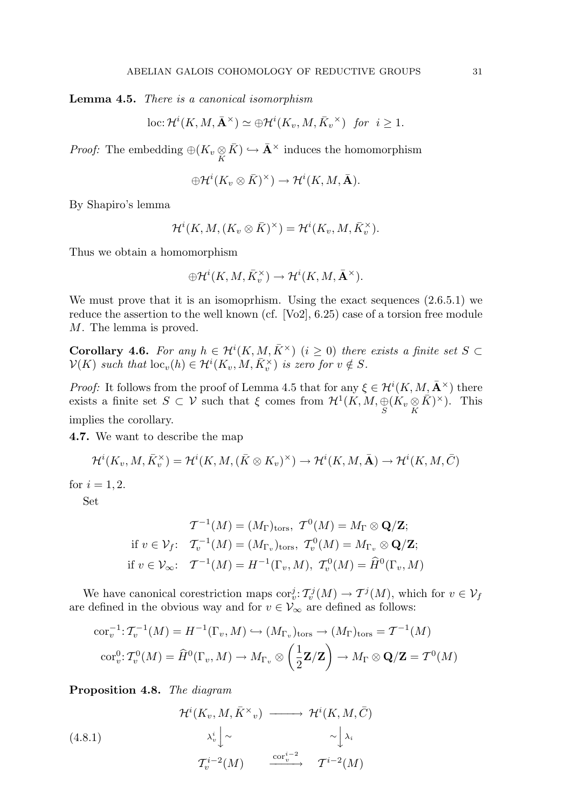Lemma 4.5. There is a canonical isomorphism

loc: 
$$
\mathcal{H}^i(K, M, \bar{\mathbf{A}}^{\times}) \simeq \bigoplus \mathcal{H}^i(K_v, M, \bar{K}_v^{\times})
$$
 for  $i \geq 1$ .

*Proof:* The embedding  $\bigoplus (K_v \underset{K}{\otimes} \bar{K}) \hookrightarrow \bar{A}^{\times}$  induces the homomorphism

$$
\oplus \mathcal{H}^i(K_v \otimes \bar{K})^{\times}) \to \mathcal{H}^i(K,M,\bar{\mathbf{A}}).
$$

By Shapiro's lemma

$$
\mathcal{H}^i(K, M, (K_v\otimes \bar{K})^{\times})=\mathcal{H}^i(K_v, M, \bar{K}_v^{\times}).
$$

Thus we obtain a homomorphism

$$
\oplus \mathcal{H}^i(K,M,\bar{K}^\times_v) \to \mathcal{H}^i(K,M,\bar{\mathbf{A}}^\times).
$$

We must prove that it is an isomoprhism. Using the exact sequences  $(2.6.5.1)$  we reduce the assertion to the well known (cf. [Vo2], 6.25) case of a torsion free module M. The lemma is proved.

**Corollary 4.6.** For any  $h \in H^{i}(K, M, \overline{K}^{\times})$  ( $i \geq 0$ ) there exists a finite set  $S \subset$  $\mathcal{V}(K)$  such that  $\mathrm{loc}_{v}(h) \in \mathcal{H}^{i}(K_{v}, M, \overline{K}_{v}^{\times})$  is zero for  $v \notin S$ .

*Proof:* It follows from the proof of Lemma 4.5 that for any  $\xi \in H^{i}(K, M, \bar{\mathbf{A}}^{\times})$  there exists a finite set  $S \subset \mathcal{V}$  such that  $\xi$  comes from  $\mathcal{H}^1(K, M, \underset{S}{\oplus} (K_v \underset{K}{\otimes} \overline{K})^{\times})$ . This implies the corollary.

4.7. We want to describe the map

$$
\mathcal{H}^i(K_v, M, \bar{K}_v^{\times}) = \mathcal{H}^i(K, M, (\bar{K} \otimes K_v)^{\times}) \to \mathcal{H}^i(K, M, \bar{\mathbf{A}}) \to \mathcal{H}^i(K, M, \bar{C})
$$

for  $i = 1, 2$ .

Set

$$
\mathcal{T}^{-1}(M) = (M_{\Gamma})_{\text{tors}}, \ \mathcal{T}^{0}(M) = M_{\Gamma} \otimes \mathbf{Q}/\mathbf{Z};
$$
  
if  $v \in \mathcal{V}_{f}$ :  $\mathcal{T}_{v}^{-1}(M) = (M_{\Gamma_{v}})_{\text{tors}}, \ \mathcal{T}_{v}^{0}(M) = M_{\Gamma_{v}} \otimes \mathbf{Q}/\mathbf{Z};$   
if  $v \in \mathcal{V}_{\infty}$ :  $\mathcal{T}^{-1}(M) = H^{-1}(\Gamma_{v}, M), \ \mathcal{T}_{v}^{0}(M) = \widehat{H}^{0}(\Gamma_{v}, M)$ 

We have canonical corestriction maps  $\mathrm{cor}^j_v: \mathcal{T}^j_v(M) \to \mathcal{T}^j(M)$ , which for  $v \in \mathcal{V}_f$ are defined in the obvious way and for  $v \in V_{\infty}$  are defined as follows:

$$
\operatorname{cor}_{v}^{-1}: \mathcal{T}_{v}^{-1}(M) = H^{-1}(\Gamma_{v}, M) \hookrightarrow (M_{\Gamma_{v}})_{\operatorname{tors}} \to (M_{\Gamma})_{\operatorname{tors}} = \mathcal{T}^{-1}(M)
$$

$$
\operatorname{cor}_{v}^{0}: \mathcal{T}_{v}^{0}(M) = \widehat{H}^{0}(\Gamma_{v}, M) \to M_{\Gamma_{v}} \otimes \left(\frac{1}{2}\mathbf{Z}/\mathbf{Z}\right) \to M_{\Gamma} \otimes \mathbf{Q}/\mathbf{Z} = \mathcal{T}^{0}(M)
$$

Proposition 4.8. The diagram

(4.8.1)  
\n
$$
\begin{array}{ccc}\n\mathcal{H}^{i}(K_{v},M,\bar{K}^{\times}{}_{v}) & \longrightarrow & \mathcal{H}^{i}(K,M,\bar{C}) \\
& \lambda_{v}^{i} \Big| \sim & \sim \Big| \lambda_{i} \\
\mathcal{T}_{v}^{i-2}(M) & \xrightarrow{\text{cor}_{v}^{i-2}} & \mathcal{T}^{i-2}(M)\n\end{array}
$$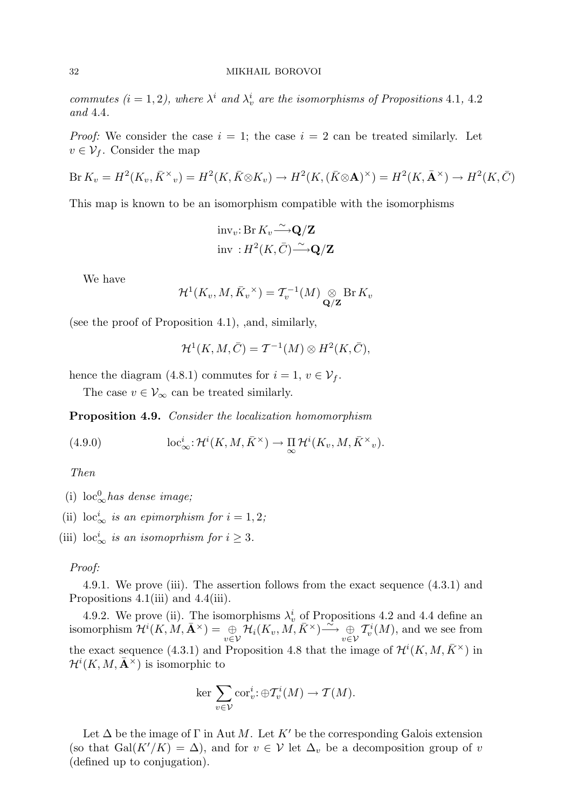commutes  $(i = 1, 2)$ , where  $\lambda^i$  and  $\lambda^i_v$  are the isomorphisms of Propositions 4.1, 4.2 and 4.4.

*Proof:* We consider the case  $i = 1$ ; the case  $i = 2$  can be treated similarly. Let  $v \in \mathcal{V}_f$ . Consider the map

$$
\text{Br}\,K_v = H^2(K_v, \bar{K}^\times)_v = H^2(K, \bar{K} \otimes K_v) \to H^2(K, (\bar{K} \otimes \mathbf{A})^\times) = H^2(K, \bar{\mathbf{A}}^\times) \to H^2(K, \bar{C})
$$

This map is known to be an isomorphism compatible with the isomorphisms

$$
\mathrm{inv}_v: \mathrm{Br} K_v \frac{\sim}{\longrightarrow} \mathbf{Q}/\mathbf{Z}
$$
  
inv:  $H^2(K, \bar{C}) \frac{\sim}{\longrightarrow} \mathbf{Q}/\mathbf{Z}$ 

We have

$$
\mathcal{H}^1(K_v, M, \bar{K}_v^{\times}) = \mathcal{T}_v^{-1}(M) \underset{\mathbf{Q}/\mathbf{Z}}{\otimes} \operatorname{Br} K_v
$$

(see the proof of Proposition 4.1), ,and, similarly,

$$
\mathcal{H}^1(K, M, \overline{C}) = \mathcal{T}^{-1}(M) \otimes H^2(K, \overline{C}),
$$

hence the diagram (4.8.1) commutes for  $i = 1, v \in V_f$ .

The case  $v \in V_{\infty}$  can be treated similarly.

Proposition 4.9. Consider the localization homomorphism

(4.9.0) 
$$
\qquad \qquad \mathrm{loc}^i_{\infty} : \mathcal{H}^i(K, M, \bar{K}^{\times}) \to \prod_{\infty} \mathcal{H}^i(K_v, M, \bar{K}^{\times}{}_{v}).
$$

Then

- (i)  $\mathrm{loc}_{\infty}^0$  has dense image;
- (ii)  $\mathrm{loc}^i_{\infty}$  is an epimorphism for  $i = 1, 2;$
- (iii)  $\mathrm{loc}^i_{\infty}$  is an isomoprhism for  $i \geq 3$ .

# Proof:

4.9.1. We prove (iii). The assertion follows from the exact sequence (4.3.1) and Propositions 4.1(iii) and 4.4(iii).

4.9.2. We prove (ii). The isomorphisms  $\lambda_v^i$  of Propositions 4.2 and 4.4 define an isomorphism  $\mathcal{H}^{i}(K, M, \bar{\mathbf{A}}^{\times}) = \bigoplus_{v \in \mathcal{V}} \mathcal{H}_{i}(K_v, M, \bar{K}^{\times}) \stackrel{\sim}{\longrightarrow} \bigoplus_{v \in \mathcal{V}}$ v∈V  $\mathcal{T}_{v}^{i}(M)$ , and we see from the exact sequence (4.3.1) and Proposition 4.8 that the image of  $\mathcal{H}^{i}(K, M, \bar{K}^{\times})$  in  $\mathcal{H}^i(K, M, \bar{\mathbf{A}}^{\times})$  is isomorphic to

$$
\ker \sum_{v \in \mathcal{V}} \mathrm{cor}^i_v : \oplus \mathcal{T}^i_v(M) \to \mathcal{T}(M).
$$

Let  $\Delta$  be the image of  $\Gamma$  in Aut M. Let K' be the corresponding Galois extension (so that Gal(K'/K) =  $\Delta$ ), and for  $v \in V$  let  $\Delta_v$  be a decomposition group of v (defined up to conjugation).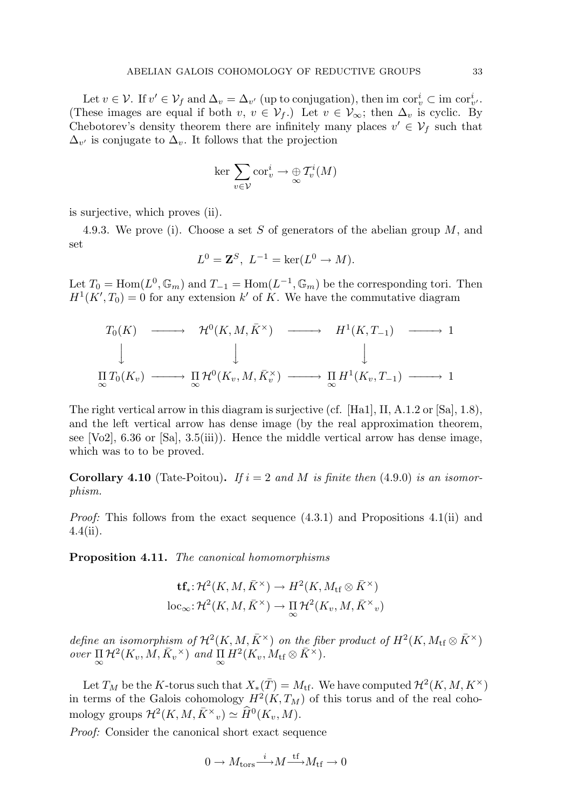Let  $v \in V$ . If  $v' \in V_f$  and  $\Delta_v = \Delta_{v'}$  (up to conjugation), then im  $\operatorname{cor}^i_v \subset \operatorname{im} \operatorname{cor}^i_{v'}$ . (These images are equal if both  $v, v \in V_f$ .) Let  $v \in V_\infty$ ; then  $\Delta_v$  is cyclic. By Chebotorev's density theorem there are infinitely many places  $v' \in V_f$  such that  $\Delta_{v'}$  is conjugate to  $\Delta_v$ . It follows that the projection

$$
\ker \sum_{v \in \mathcal{V}} \operatorname{cor}^i_v \to \bigoplus_{\infty} T^i_v(M)
$$

is surjective, which proves (ii).

4.9.3. We prove (i). Choose a set S of generators of the abelian group M, and set

$$
L^0 = \mathbf{Z}^S, L^{-1} = \ker(L^0 \to M).
$$

Let  $T_0 = \text{Hom}(L^0, \mathbb{G}_m)$  and  $T_{-1} = \text{Hom}(L^{-1}, \mathbb{G}_m)$  be the corresponding tori. Then  $H<sup>1</sup>(K', T<sub>0</sub>) = 0$  for any extension k' of K. We have the commutative diagram

$$
T_0(K) \longrightarrow \mathcal{H}^0(K, M, \bar{K}^{\times}) \longrightarrow H^1(K, T_{-1}) \longrightarrow 1
$$
  
\n
$$
\downarrow \qquad \qquad \downarrow \qquad \qquad \downarrow
$$
  
\n
$$
\Pi T_0(K_v) \longrightarrow \Pi \mathcal{H}^0(K_v, M, \bar{K}_v^{\times}) \longrightarrow \Pi H^1(K_v, T_{-1}) \longrightarrow 1
$$

The right vertical arrow in this diagram is surjective (cf. [Ha1], II, A.1.2 or [Sa], 1.8), and the left vertical arrow has dense image (by the real approximation theorem, see  $[Vo2]$ , 6.36 or  $[Sal, 3.5(iii))$ . Hence the middle vertical arrow has dense image, which was to to be proved.

**Corollary 4.10** (Tate-Poitou). If  $i = 2$  and M is finite then (4.9.0) is an isomorphism.

*Proof:* This follows from the exact sequence  $(4.3.1)$  and Propositions  $4.1(ii)$  and 4.4(ii).

Proposition 4.11. The canonical homomorphisms

$$
\mathbf{tf}_{*} \colon \mathcal{H}^{2}(K, M, \bar{K}^{\times}) \to H^{2}(K, M_{\mathrm{tf}} \otimes \bar{K}^{\times})
$$
  

$$
\mathrm{loc}_{\infty} \colon \mathcal{H}^{2}(K, M, \bar{K}^{\times}) \to \mathop{\Pi}_{\infty} \mathcal{H}^{2}(K_{v}, M, \bar{K}^{\times}_{v})
$$

define an isomorphism of  $\mathcal{H}^2(K, M, \bar{K}^\times)$  on the fiber product of  $H^2(K, M_{\rm tf} \otimes \bar{K}^\times)$ over  $\Pi_{\infty} \mathcal{H}^2(K_v, M, \bar{K}_v^{\times})$  and  $\Pi_{\infty} H^2(K_v, M_{\text{tf}} \otimes \bar{K}^{\times}).$ 

Let  $T_M$  be the K-torus such that  $X_*(\bar{T}) = M_{\textrm{tf}}$ . We have computed  $\mathcal{H}^2(K,M,K^{\times})$ in terms of the Galois cohomology  $H^2(K,T_M)$  of this torus and of the real cohomology groups  $\mathcal{H}^2(K, M, \bar{K}^\times v) \simeq \widehat{H}^0(K_v, M)$ .

Proof: Consider the canonical short exact sequence

$$
0 \to M_{\rm tors}{\xrightarrow{i}} M {\xrightarrow{\rm tf}} M_{\rm tf} \to 0
$$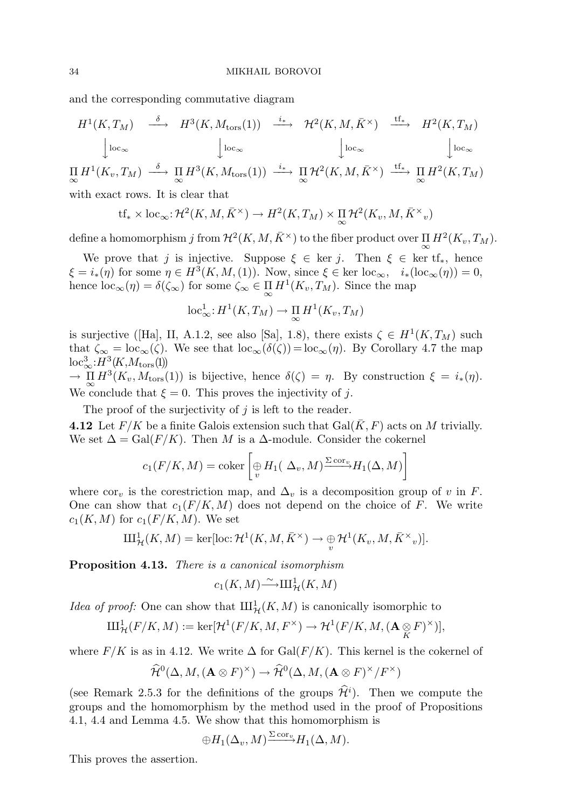and the corresponding commutative diagram

$$
H^{1}(K, T_{M}) \xrightarrow{\delta} H^{3}(K, M_{\text{tors}}(1)) \xrightarrow{i_{*}} \mathcal{H}^{2}(K, M, \bar{K}^{\times}) \xrightarrow{\text{tf}_{*}} H^{2}(K, T_{M})
$$

$$
\downarrow \text{loc}_{\infty} \qquad \qquad \downarrow \text{loc}_{\infty} \qquad \qquad \downarrow \text{loc}_{\infty} \qquad \qquad \downarrow \text{loc}_{\infty}
$$

$$
\prod_{\infty} H^{1}(K_{v}, T_{M}) \xrightarrow{\delta} \prod_{\infty} H^{3}(K, M_{\text{tors}}(1)) \xrightarrow{i_{*}} \prod_{\infty} H^{2}(K, M, \bar{K}^{\times}) \xrightarrow{\text{tf}_{*}} \prod_{\infty} H^{2}(K, T_{M})
$$

with exact rows. It is clear that

$$
tf_* \times \text{loc}_{\infty}: \mathcal{H}^2(K, M, \bar{K}^\times) \to H^2(K, T_M) \times \prod_{\infty} \mathcal{H}^2(K_v, M, \bar{K}^\times_v)
$$

define a homomorphism  $j$  from  $\mathcal{H}^2(K,M,\bar{K}^\times)$  to the fiber product over  $\prod_{\infty} H^2(K_v,T_M)$ .

We prove that j is injective. Suppose  $\xi \in \text{ker } j$ . Then  $\xi \in \text{ker } tf_*,$  hence  $\xi = i_*(\eta)$  for some  $\eta \in H^3(K, M, (1))$ . Now, since  $\xi \in \text{ker loc}_{\infty}, i_*(\text{loc}_{\infty}(\eta)) = 0$ , hence  $\mathrm{loc}_{\infty}(\eta) = \delta(\zeta_{\infty})$  for some  $\zeta_{\infty} \in \prod_{\infty} H^1(K_v, T_M)$ . Since the map

$$
\mathrm{loc}^1_{\infty}: H^1(K, T_M) \to \prod_{\infty} H^1(K_v, T_M)
$$

is surjective ([Ha], II, A.1.2, see also [Sa], 1.8), there exists  $\zeta \in H^1(K,T_M)$  such that  $\zeta_{\infty} = \text{loc}_{\infty}(\zeta)$ . We see that  $\text{loc}_{\infty}(\delta(\zeta)) = \text{loc}_{\infty}(\eta)$ . By Corollary 4.7 the map  $\mathrm{loc}^3_\infty: H^3(K, M_{\mathrm{tors}}(1))$ 

 $\to \prod_{\infty} H^3(K_v, M_{\text{tors}}(1))$  is bijective, hence  $\delta(\zeta) = \eta$ . By construction  $\xi = i_*(\eta)$ . We conclude that  $\xi = 0$ . This proves the injectivity of j.

The proof of the surjectivity of  $j$  is left to the reader.

4.12 Let  $F/K$  be a finite Galois extension such that  $Gal(\overline{K}, F)$  acts on M trivially. We set  $\Delta = \text{Gal}(F/K)$ . Then M is a  $\Delta$ -module. Consider the cokernel

$$
c_1(F/K, M) = \text{coker}\left[\bigoplus_v H_1(\Delta_v, M)^{\Sigma \text{ cor}_v} H_1(\Delta, M)\right]
$$

where cor<sub>v</sub> is the corestriction map, and  $\Delta_v$  is a decomposition group of v in F. One can show that  $c_1(F/K, M)$  does not depend on the choice of F. We write  $c_1(K, M)$  for  $c_1(F/K, M)$ . We set

$$
\mathrm{III}_{\mathcal{H}}^1(K,M) = \mathrm{ker}[\mathrm{loc}\,:\mathcal{H}^1(K,M,\bar{K}^\times) \to \underset{v}{\oplus} \mathcal{H}^1(K_v,M,\bar{K}^\times)_v].
$$

Proposition 4.13. There is a canonical isomorphism

$$
c_1(K,M) \tilde{\longrightarrow} \mathrm{III}^1_{\mathcal{H}}(K,M)
$$

*Idea of proof:* One can show that  $\amalg_{\mathcal{H}}^1(K, M)$  is canonically isomorphic to

$$
\mathrm{III}_{\mathcal{H}}^1(F/K, M) := \mathrm{ker}[\mathcal{H}^1(F/K, M, F^\times) \to \mathcal{H}^1(F/K, M, (\mathbf{A} \underset{K}{\otimes} F)^\times)],
$$

where  $F/K$  is as in 4.12. We write  $\Delta$  for  $Gal(F/K)$ . This kernel is the cokernel of

$$
\widehat{\mathcal{H}}^{0}(\Delta, M, (\mathbf{A} \otimes F)^{\times}) \to \widehat{\mathcal{H}}^{0}(\Delta, M, (\mathbf{A} \otimes F)^{\times}/F^{\times})
$$

(see Remark 2.5.3 for the definitions of the groups  $\hat{\mathcal{H}}^i$ ). Then we compute the groups and the homomorphism by the method used in the proof of Propositions 4.1, 4.4 and Lemma 4.5. We show that this homomorphism is

$$
\oplus H_1(\Delta_v, M) \xrightarrow{\Sigma \operatorname{cor}_v} H_1(\Delta, M).
$$

This proves the assertion.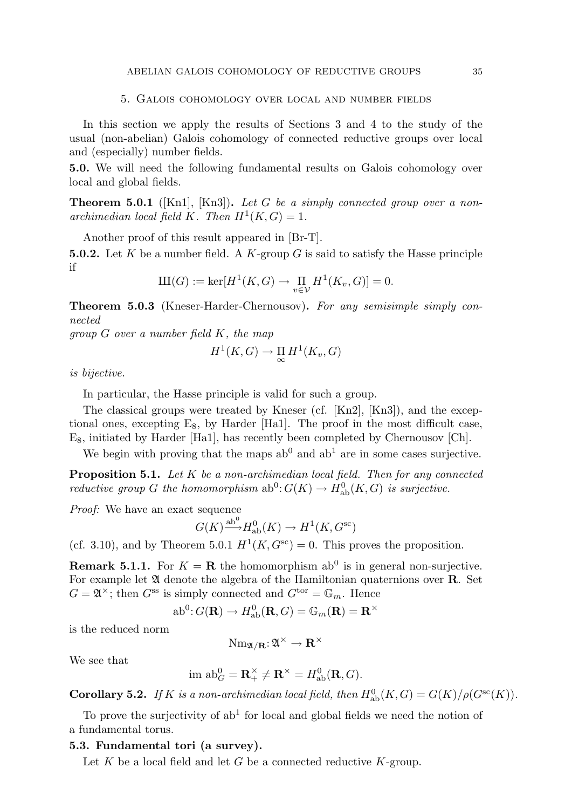### 5. Galois cohomology over local and number fields

In this section we apply the results of Sections 3 and 4 to the study of the usual (non-abelian) Galois cohomology of connected reductive groups over local and (especially) number fields.

5.0. We will need the following fundamental results on Galois cohomology over local and global fields.

**Theorem 5.0.1** ([Kn1], [Kn3]). Let G be a simply connected group over a nonarchimedian local field K. Then  $H^1(K, G) = 1$ .

Another proof of this result appeared in [Br-T].

**5.0.2.** Let K be a number field. A K-group G is said to satisfy the Hasse principle if

$$
\mathrm{III}(G) := \ker[H^1(K, G) \to \prod_{v \in \mathcal{V}} H^1(K_v, G)] = 0.
$$

Theorem 5.0.3 (Kneser-Harder-Chernousov). For any semisimple simply connected

group G over a number field K, the map

$$
H^1(K, G) \to \prod_{\infty} H^1(K_v, G)
$$

is bijective.

In particular, the Hasse principle is valid for such a group.

The classical groups were treated by Kneser (cf. [Kn2], [Kn3]), and the exceptional ones, excepting  $E_8$ , by Harder [Ha1]. The proof in the most difficult case, E8, initiated by Harder [Ha1], has recently been completed by Chernousov [Ch].

We begin with proving that the maps  $ab^0$  and  $ab^1$  are in some cases surjective.

**Proposition 5.1.** Let  $K$  be a non-archimedian local field. Then for any connected reductive group G the homomorphism  $ab^0: G(K) \to H^0_{ab}(K, G)$  is surjective.

Proof: We have an exact sequence

$$
G(K) \xrightarrow{\text{ab}^0} H_{\text{ab}}^0(K) \to H^1(K, G^{\text{sc}})
$$

(cf. 3.10), and by Theorem 5.0.1  $H^1(K, G^{\text{sc}}) = 0$ . This proves the proposition.

**Remark 5.1.1.** For  $K = \mathbf{R}$  the homomorphism ab<sup>0</sup> is in general non-surjective. For example let  $\mathfrak A$  denote the algebra of the Hamiltonian quaternions over  $\mathbf R$ . Set  $G = \mathfrak{A}^{\times}$ ; then  $G^{\text{ss}}$  is simply connected and  $G^{\text{tor}} = \mathbb{G}_m$ . Hence

$$
\mathrm{ab}^0 \colon G(\mathbf{R}) \to H^0_\mathrm{ab}(\mathbf{R}, G) = \mathbb{G}_m(\mathbf{R}) = \mathbf{R}^\times
$$

is the reduced norm

$$
\mathrm{Nm}_{\mathfrak{A}/\mathbf{R}}\!\!:\!\mathfrak{A}^\times\rightarrow\mathbf{R}^\times
$$

We see that

$$
\text{im ab}_G^0 = \mathbf{R}_+^{\times} \neq \mathbf{R}^{\times} = H_{\text{ab}}^0(\mathbf{R}, G).
$$

**Corollary 5.2.** If K is a non-archimedian local field, then  $H^0_{ab}(K, G) = G(K)/\rho(G^{sc}(K))$ .

To prove the surjectivity of  $ab<sup>1</sup>$  for local and global fields we need the notion of a fundamental torus.

# 5.3. Fundamental tori (a survey).

Let  $K$  be a local field and let  $G$  be a connected reductive  $K$ -group.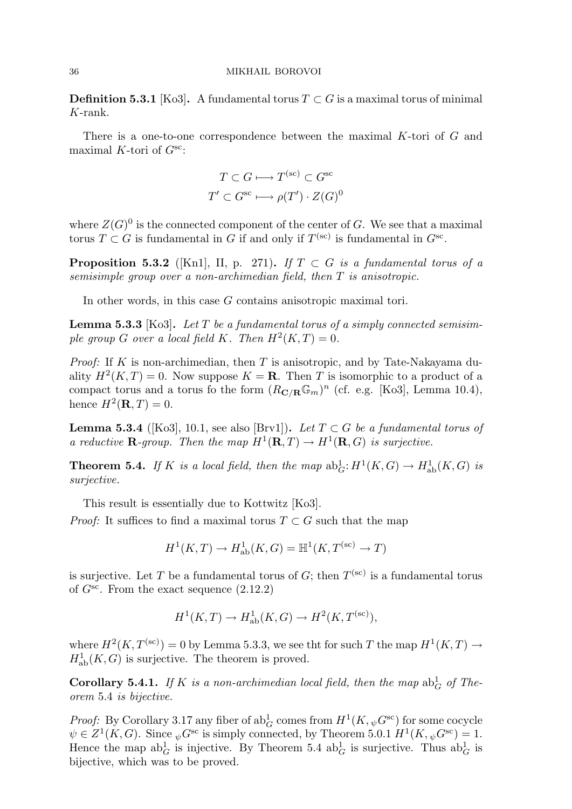**Definition 5.3.1** [Ko3]. A fundamental torus  $T \subset G$  is a maximal torus of minimal K-rank.

There is a one-to-one correspondence between the maximal K-tori of G and maximal K-tori of  $G^{sc}$ :

$$
T \subset G \longmapsto T^{(\text{sc})} \subset G^{\text{sc}}
$$

$$
T' \subset G^{\text{sc}} \longmapsto \rho(T') \cdot Z(G)^0
$$

where  $Z(G)^0$  is the connected component of the center of G. We see that a maximal torus  $T \subset G$  is fundamental in G if and only if  $T^{(sc)}$  is fundamental in  $G^{sc}$ .

**Proposition 5.3.2** ([Kn1], II, p. 271). If  $T \subset G$  is a fundamental torus of a semisimple group over a non-archimedian field, then T is anisotropic.

In other words, in this case G contains anisotropic maximal tori.

**Lemma 5.3.3** [Ko3]. Let T be a fundamental torus of a simply connected semisimple group G over a local field K. Then  $H^2(K,T) = 0$ .

*Proof:* If K is non-archimedian, then T is anisotropic, and by Tate-Nakayama duality  $H^2(K,T) = 0$ . Now suppose  $K = \mathbf{R}$ . Then T is isomorphic to a product of a compact torus and a torus fo the form  $(R_{\mathbf{C}/\mathbf{R}}\mathbb{G}_m)^n$  (cf. e.g. [Ko3], Lemma 10.4), hence  $H^2(\mathbf{R}, T) = 0$ .

**Lemma 5.3.4** ([Ko3], 10.1, see also [Brv1]). Let  $T \subset G$  be a fundamental torus of a reductive **R**-group. Then the map  $H^1(\mathbf{R},T) \to H^1(\mathbf{R},G)$  is surjective.

**Theorem 5.4.** If K is a local field, then the map  $ab_G^1$ :  $H^1(K, G) \to H^1_{ab}(K, G)$  is surjective.

This result is essentially due to Kottwitz [Ko3].

*Proof:* It suffices to find a maximal torus  $T \subset G$  such that the map

$$
H^1(K, T) \to H^1_{\text{ab}}(K, G) = \mathbb{H}^1(K, T^{(\text{sc})} \to T)
$$

is surjective. Let T be a fundamental torus of G; then  $T^{(sc)}$  is a fundamental torus of  $G^{sc}$ . From the exact sequence  $(2.12.2)$ 

$$
H^1(K, T) \to H^1_{\text{ab}}(K, G) \to H^2(K, T^{(\text{sc})}),
$$

where  $H^2(K, T^{(\text{sc})}) = 0$  by Lemma 5.3.3, we see tht for such T the map  $H^1(K, T) \to$  $H^1_{ab}(K, G)$  is surjective. The theorem is proved.

**Corollary 5.4.1.** If K is a non-archimedian local field, then the map  $ab_G^1$  of Theorem 5.4 is bijective.

*Proof:* By Corollary 3.17 any fiber of  $ab_G^1$  comes from  $H^1(K, \psi G^{\text{sc}})$  for some cocycle  $\psi \in Z^1(K, G)$ . Since  $\psi G^{\rm sc}$  is simply connected, by Theorem 5.0.1  $H^1(K, \psi G^{\rm sc}) = 1$ . Hence the map  $ab_G^1$  is injective. By Theorem 5.4  $ab_G^1$  is surjective. Thus  $ab_G^1$  is bijective, which was to be proved.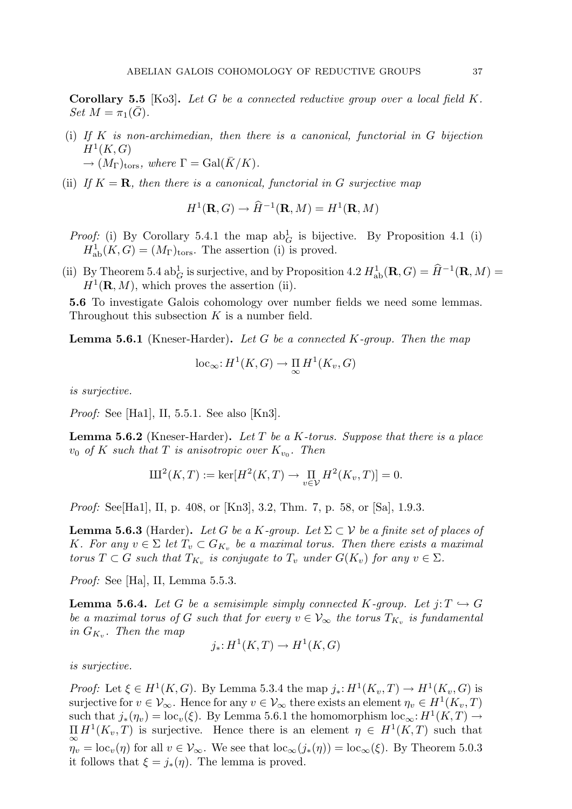**Corollary 5.5** [Ko3]. Let G be a connected reductive group over a local field  $K$ . Set  $M = \pi_1(\bar{G})$ .

- (i) If K is non-archimedian, then there is a canonical, functorial in  $G$  bijection  $H^1(K,G)$  $\rightarrow (M_{\Gamma})_{\text{tors}},$  where  $\Gamma = \text{Gal}(K/K)$ .
- (ii) If  $K = \mathbf{R}$ , then there is a canonical, functorial in G surjective map

$$
H^1(\mathbf{R}, G) \to \widehat{H}^{-1}(\mathbf{R}, M) = H^1(\mathbf{R}, M)
$$

*Proof:* (i) By Corollary 5.4.1 the map  $ab_G^1$  is bijective. By Proposition 4.1 (i)  $H^1_{ab}(K, G) = (M_{\Gamma})_{\text{tors}}$ . The assertion (i) is proved.

(ii) By Theorem 5.4 ab<sup>1</sup><sub>G</sub> is surjective, and by Proposition 4.2  $H^1_{ab}(\mathbf{R}, G) = \hat{H}^{-1}(\mathbf{R}, M) = H^1(\mathbf{R}, M)$  $H^1(\mathbf{R}, M)$ , which proves the assertion (ii).

5.6 To investigate Galois cohomology over number fields we need some lemmas. Throughout this subsection  $K$  is a number field.

**Lemma 5.6.1** (Kneser-Harder). Let G be a connected K-group. Then the map

$$
\mathrm{loc}_{\infty} : H^1(K, G) \to \prod_{\infty} H^1(K_v, G)
$$

is surjective.

Proof: See [Ha1], II, 5.5.1. See also [Kn3].

**Lemma 5.6.2** (Kneser-Harder). Let T be a K-torus. Suppose that there is a place  $v_0$  of K such that T is anisotropic over  $K_{v_0}$ . Then

$$
III^{2}(K, T) := \ker[H^{2}(K, T) \to \prod_{v \in V} H^{2}(K_{v}, T)] = 0.
$$

Proof: See[Ha1], II, p. 408, or [Kn3], 3.2, Thm. 7, p. 58, or [Sa], 1.9.3.

**Lemma 5.6.3** (Harder). Let G be a K-group. Let  $\Sigma \subset V$  be a finite set of places of K. For any  $v \in \Sigma$  let  $T_v \subset G_{K_v}$  be a maximal torus. Then there exists a maximal torus  $T \subset G$  such that  $T_{K_v}$  is conjugate to  $T_v$  under  $G(K_v)$  for any  $v \in \Sigma$ .

Proof: See [Ha], II, Lemma 5.5.3.

**Lemma 5.6.4.** Let G be a semisimple simply connected K-group. Let  $j: T \hookrightarrow G$ be a maximal torus of G such that for every  $v \in V_{\infty}$  the torus  $T_{K_v}$  is fundamental in  $G_{K_v}$ . Then the map

$$
j_*: H^1(K, T) \to H^1(K, G)
$$

is surjective.

*Proof:* Let  $\xi \in H^1(K, G)$ . By Lemma 5.3.4 the map  $j_*: H^1(K_v, T) \to H^1(K_v, G)$  is surjective for  $v \in V_{\infty}$ . Hence for any  $v \in V_{\infty}$  there exists an element  $\eta_v \in H^1(K_v, T)$ such that  $j_*(\eta_v) = \text{loc}_v(\xi)$ . By Lemma 5.6.1 the homomorphism  $\text{loc}_{\infty} : H^1(K,T) \to$  $\prod_{\infty} H^1(K_v, T)$  is surjective. Hence there is an element  $\eta \in H^1(K, T)$  such that  $\eta_v = \text{loc}_v(\eta)$  for all  $v \in V_\infty$ . We see that  $\text{loc}_\infty(j_*(\eta)) = \text{loc}_\infty(\xi)$ . By Theorem 5.0.3 it follows that  $\xi = j_*(\eta)$ . The lemma is proved.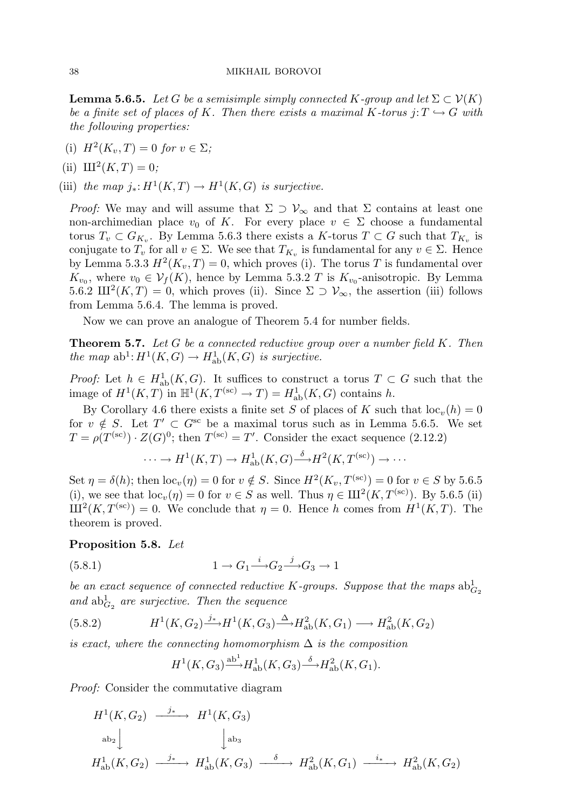**Lemma 5.6.5.** Let G be a semisimple simply connected K-group and let  $\Sigma \subset V(K)$ be a finite set of places of K. Then there exists a maximal K-torus  $i: T \hookrightarrow G$  with the following properties:

- (i)  $H^2(K_v, T) = 0$  for  $v \in \Sigma$ ;
- (ii)  $III^2(K, T) = 0;$

(iii) the map  $j_*: H^1(K,T) \to H^1(K,G)$  is surjective.

Proof: We may and will assume that  $\Sigma \supset V_{\infty}$  and that  $\Sigma$  contains at least one non-archimedian place  $v_0$  of K. For every place  $v \in \Sigma$  choose a fundamental torus  $T_v \subset G_{K_v}$ . By Lemma 5.6.3 there exists a K-torus  $T \subset G$  such that  $T_{K_v}$  is conjugate to  $T_v$  for all  $v \in \Sigma$ . We see that  $T_{K_v}$  is fundamental for any  $v \in \Sigma$ . Hence by Lemma 5.3.3  $H^2(K_v, T) = 0$ , which proves (i). The torus T is fundamental over  $K_{v_0}$ , where  $v_0 \in \mathcal{V}_f(K)$ , hence by Lemma 5.3.2 T is  $K_{v_0}$ -anisotropic. By Lemma 5.6.2  $\mathop{\rm III}\nolimits^2(K,T) = 0$ , which proves (ii). Since  $\Sigma \supset \mathcal{V}_{\infty}$ , the assertion (iii) follows from Lemma 5.6.4. The lemma is proved.

Now we can prove an analogue of Theorem 5.4 for number fields.

**Theorem 5.7.** Let G be a connected reductive group over a number field  $K$ . Then the map  $ab^1$ :  $H^1(K, G) \to H^1_{ab}(K, G)$  is surjective.

*Proof:* Let  $h \in H^1_{ab}(K, G)$ . It suffices to construct a torus  $T \subset G$  such that the image of  $H^1(K, T)$  in  $\mathbb{H}^1(K, T^{(\text{sc})} \to T) = H^1_{\text{ab}}(K, G)$  contains h.

By Corollary 4.6 there exists a finite set S of places of K such that  $\text{loc}_{v}(h) = 0$ for  $v \notin S$ . Let  $T' \subset G^{sc}$  be a maximal torus such as in Lemma 5.6.5. We set  $T = \rho(T^{(sc)}) \cdot Z(G)^0$ ; then  $T^{(sc)} = T'$ . Consider the exact sequence (2.12.2)

$$
\cdots \to H^1(K,T) \to H^1_{\mathrm{ab}}(K,G) \xrightarrow{\delta} H^2(K,T^{(\mathrm{sc})}) \to \cdots
$$

Set  $\eta = \delta(h)$ ; then  $\mathrm{loc}_{v}(\eta) = 0$  for  $v \notin S$ . Since  $H^2(K_v, T^{(\mathrm{sc})}) = 0$  for  $v \in S$  by 5.6.5 (i), we see that  $\text{loc}_{v}(\eta) = 0$  for  $v \in S$  as well. Thus  $\eta \in III^2(K, T^{(\text{sc})})$ . By 5.6.5 (ii)  $\text{III}^2(K, T^{(\text{sc})}) = 0$ . We conclude that  $\eta = 0$ . Hence h comes from  $H^1(K, T)$ . The theorem is proved.

#### Proposition 5.8. Let

(5.8.1) 1 → G<sup>1</sup> i −→G<sup>2</sup> j −→G<sup>3</sup> → 1

be an exact sequence of connected reductive K-groups. Suppose that the maps  $ab_{G_2}^1$ and  $ab_{G_2}^1$  are surjective. Then the sequence

(5.8.2) 
$$
H^1(K, G_2) \xrightarrow{j_*} H^1(K, G_3) \xrightarrow{\Delta} H^2_{\text{ab}}(K, G_1) \longrightarrow H^2_{\text{ab}}(K, G_2)
$$

is exact, where the connecting homomorphism  $\Delta$  is the composition

$$
H^1(K, G_3) \xrightarrow{\text{ab}^1} H^1_{\text{ab}}(K, G_3) \xrightarrow{\delta} H^2_{\text{ab}}(K, G_1).
$$

Proof: Consider the commutative diagram

$$
H^1(K, G_2) \xrightarrow{j_*} H^1(K, G_3)
$$
  
\n
$$
\downarrow^{\text{ab}_3} \qquad \qquad \downarrow^{\text{ab}_3}
$$
  
\n
$$
H^1_{\text{ab}}(K, G_2) \xrightarrow{j_*} H^1_{\text{ab}}(K, G_3) \xrightarrow{\delta} H^2_{\text{ab}}(K, G_1) \xrightarrow{i_*} H^2_{\text{ab}}(K, G_2)
$$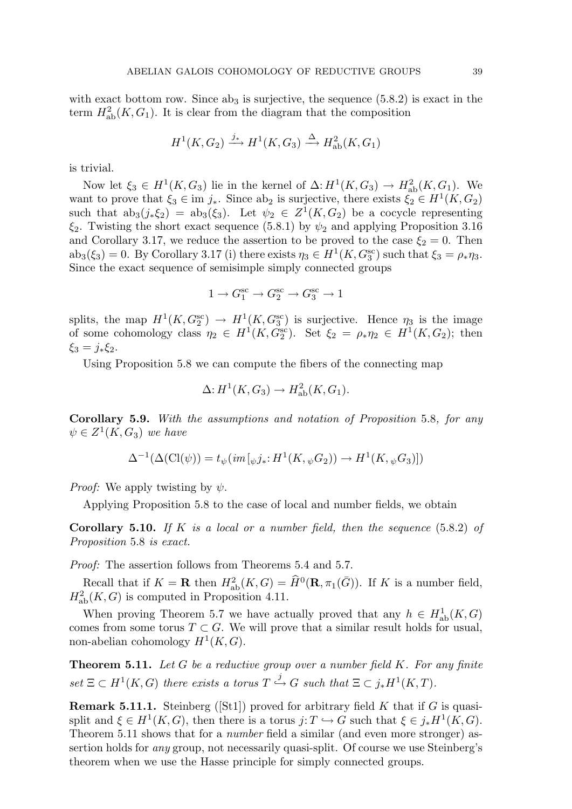with exact bottom row. Since  $ab_3$  is surjective, the sequence  $(5.8.2)$  is exact in the term  $H^2_{ab}(K, G_1)$ . It is clear from the diagram that the composition

$$
H^1(K, G_2) \xrightarrow{j_*} H^1(K, G_3) \xrightarrow{\Delta} H^2_{\text{ab}}(K, G_1)
$$

is trivial.

Now let  $\xi_3 \in H^1(K, G_3)$  lie in the kernel of  $\Delta: H^1(K, G_3) \to H^2_{ab}(K, G_1)$ . We want to prove that  $\xi_3 \in \text{im } j_*$ . Since ab<sub>2</sub> is surjective, there exists  $\xi_2 \in H^1(K, G_2)$ such that  $ab_3(j_*\xi_2) = ab_3(\xi_3)$ . Let  $\psi_2 \in Z^1(K, G_2)$  be a cocycle representing  $\xi_2$ . Twisting the short exact sequence (5.8.1) by  $\psi_2$  and applying Proposition 3.16 and Corollary 3.17, we reduce the assertion to be proved to the case  $\xi_2 = 0$ . Then  $ab_3(\xi_3) = 0$ . By Corollary 3.17 (i) there exists  $\eta_3 \in H^1(K, G_3^{\text{sc}})$  such that  $\xi_3 = \rho_* \eta_3$ . Since the exact sequence of semisimple simply connected groups

$$
1 \to G_1^{\rm sc} \to G_2^{\rm sc} \to G_3^{\rm sc} \to 1
$$

splits, the map  $H^1(K, G_2^{\text{sc}}) \to H^1(K, G_3^{\text{sc}})$  is surjective. Hence  $\eta_3$  is the image of some cohomology class  $\eta_2 \in H^1(K, G_2^{\text{sc}})$ . Set  $\xi_2 = \rho_* \eta_2 \in H^1(K, G_2)$ ; then  $\xi_3 = j_* \xi_2$ .

Using Proposition 5.8 we can compute the fibers of the connecting map

$$
\Delta: H^1(K, G_3) \to H^2_{\mathrm{ab}}(K, G_1).
$$

Corollary 5.9. With the assumptions and notation of Proposition 5.8, for any  $\psi \in Z^1(K,G_3)$  we have

$$
\Delta^{-1}(\Delta(\text{Cl}(\psi)) = t_{\psi}(im[\psi j_*:H^1(K, \psi G_2)) \to H^1(K, \psi G_3)])
$$

*Proof:* We apply twisting by  $\psi$ .

Applying Proposition 5.8 to the case of local and number fields, we obtain

**Corollary 5.10.** If K is a local or a number field, then the sequence  $(5.8.2)$  of Proposition 5.8 is exact.

Proof: The assertion follows from Theorems 5.4 and 5.7.

Recall that if  $K = \mathbf{R}$  then  $H^2_{ab}(K, G) = \widehat{H}^0(\mathbf{R}, \pi_1(\overline{G}))$ . If K is a number field,  $H^2_{ab}(K, G)$  is computed in Proposition 4.11.

When proving Theorem 5.7 we have actually proved that any  $h \in H^1_{ab}(K, G)$ comes from some torus  $T \subset G$ . We will prove that a similar result holds for usual, non-abelian cohomology  $H^1(K, G)$ .

**Theorem 5.11.** Let  $G$  be a reductive group over a number field  $K$ . For any finite  $set \ \Xi \subset H^1(K, G)$  there exists a torus  $T \stackrel{j}{\hookrightarrow} G$  such that  $\Xi \subset j_*H^1(K, T)$ .

**Remark 5.11.1.** Steinberg ([St1]) proved for arbitrary field  $K$  that if  $G$  is quasisplit and  $\xi \in H^1(K, G)$ , then there is a torus  $j: T \hookrightarrow G$  such that  $\xi \in j_*H^1(K, G)$ . Theorem 5.11 shows that for a number field a similar (and even more stronger) assertion holds for any group, not necessarily quasi-split. Of course we use Steinberg's theorem when we use the Hasse principle for simply connected groups.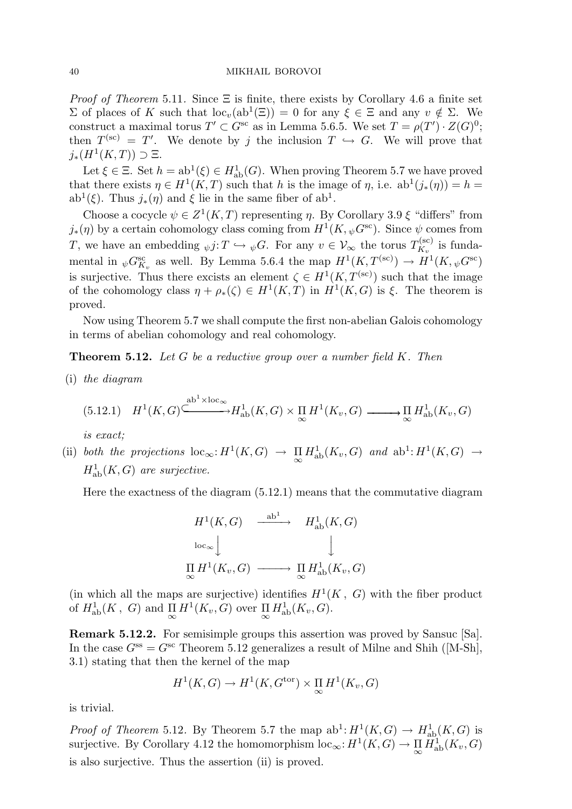*Proof of Theorem* 5.11. Since  $\Xi$  is finite, there exists by Corollary 4.6 a finite set  $\Sigma$  of places of K such that  $\text{loc}_{v}(\text{ab}^{1}(\Xi)) = 0$  for any  $\xi \in \Xi$  and any  $v \notin \Sigma$ . We construct a maximal torus  $T' \subset G^{sc}$  as in Lemma 5.6.5. We set  $T = \rho(T') \cdot Z(G)^0$ ; then  $T^{(sc)} = T'$ . We denote by j the inclusion  $T \hookrightarrow G$ . We will prove that  $j_*(H^1(K,T)) \supset \Xi.$ 

Let  $\xi \in \Xi$ . Set  $h = ab^1(\xi) \in H^1_{ab}(G)$ . When proving Theorem 5.7 we have proved that there exists  $\eta \in H^1(K,T)$  such that h is the image of  $\eta$ , i.e.  $ab^1(j_*(\eta)) = h =$ ab<sup>1</sup>( $\xi$ ). Thus  $j_*(\eta)$  and  $\xi$  lie in the same fiber of ab<sup>1</sup>.

Choose a cocycle  $\psi \in Z^1(K,T)$  representing  $\eta$ . By Corollary 3.9  $\xi$  "differs" from  $j_*(\eta)$  by a certain cohomology class coming from  $H^1(K, \psi G^{\text{sc}})$ . Since  $\psi$  comes from T, we have an embedding  $\psi j: T \hookrightarrow \psi G$ . For any  $v \in V_{\infty}$  the torus  $T_{K_v}^{(\text{sc})}$  $\chi^{\rm (sc)}_{K_v}$  is fundamental in  $_{\psi}G_{K_{\nu}}^{\rm sc}$  as well. By Lemma 5.6.4 the map  $H^1(K,T^{(\rm sc)}) \to H^1(K,{}_{\psi}G^{\rm sc})$ is surjective. Thus there excists an element  $\zeta \in H^1(K, T^{(sc)})$  such that the image of the cohomology class  $\eta + \rho_*(\zeta) \in H^1(K,T)$  in  $H^1(K,G)$  is  $\xi$ . The theorem is proved.

Now using Theorem 5.7 we shall compute the first non-abelian Galois cohomology in terms of abelian cohomology and real cohomology.

**Theorem 5.12.** Let  $G$  be a reductive group over a number field  $K$ . Then

(i) the diagram

$$
(5.12.1) \quad H^1(K, G) \xrightarrow{ab^1 \times \text{loc}_{\infty}} H^1_{ab}(K, G) \times \prod_{\infty} H^1(K_v, G) \xrightarrow{\cdots} \prod_{\infty} H^1_{ab}(K_v, G)
$$

is exact;

(ii) both the projections  $\text{loc}_{\infty}: H^1(K, G) \to \prod_{\infty} H^1_{ab}(K_v, G)$  and  $ab^1: H^1(K, G) \to$  $H^1_{ab}(K, G)$  are surjective.

Here the exactness of the diagram (5.12.1) means that the commutative diagram

$$
H^1(K, G) \xrightarrow{\text{ab}^1} H^1_{\text{ab}}(K, G)
$$
  
\n
$$
\downarrow \qquad \qquad \downarrow
$$
  
\n
$$
\prod_{\infty} H^1(K_v, G) \longrightarrow \prod_{\infty} H^1_{\text{ab}}(K_v, G)
$$

(in which all the maps are surjective) identifies  $H^1(K, G)$  with the fiber product of  $H^1_{ab}(K, G)$  and  $\prod_{\infty} H^1(K_v, G)$  over  $\prod_{\infty} H^1_{ab}(K_v, G)$ .

Remark 5.12.2. For semisimple groups this assertion was proved by Sansuc [Sa]. In the case  $G^{ss} = G^{sc}$  Theorem 5.12 generalizes a result of Milne and Shih ([M-Sh], 3.1) stating that then the kernel of the map

$$
H^1(K, G) \to H^1(K, G^{\text{tor}}) \times \underset{\infty}{\Pi} H^1(K_v, G)
$$

is trivial.

*Proof of Theorem* 5.12. By Theorem 5.7 the map  $ab^1: H^1(K, G) \to H^1_{ab}(K, G)$  is surjective. By Corollary 4.12 the homomorphism  $\mathrm{loc}_{\infty}: H^1(K, G) \to \prod_{\infty} H^1_{ab}(K_v, G)$ is also surjective. Thus the assertion (ii) is proved.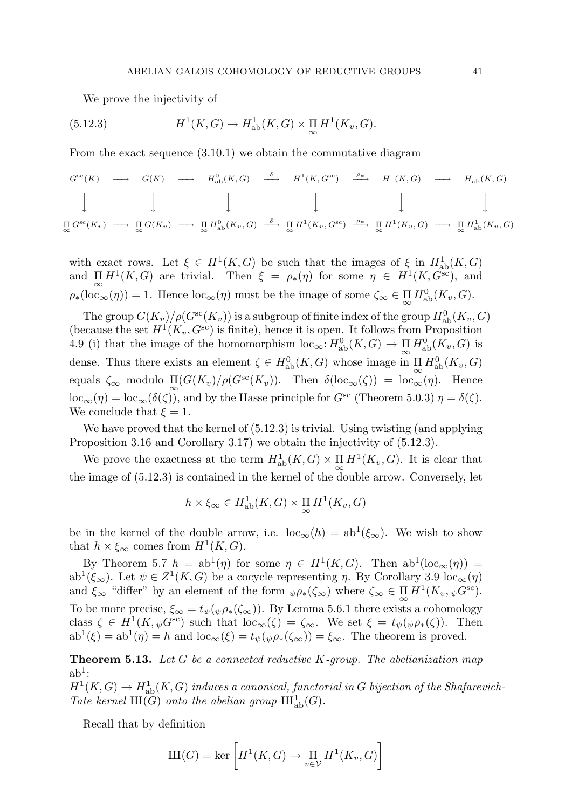We prove the injectivity of

(5.12.3) 
$$
H^1(K, G) \to H^1_{\text{ab}}(K, G) \times \underset{\infty}{\Pi} H^1(K_v, G).
$$

From the exact sequence  $(3.10.1)$  we obtain the commutative diagram

$$
G^{\rm sc}(K) \longrightarrow G(K) \longrightarrow H^0_{\rm ab}(K, G) \stackrel{\delta}{\longrightarrow} H^1(K, G^{\rm sc}) \stackrel{\rho_*}{\longrightarrow} H^1(K, G) \longrightarrow H^1_{\rm ab}(K, G)
$$
  

$$
\downarrow \qquad \qquad \downarrow \qquad \qquad \downarrow \qquad \qquad \downarrow \qquad \qquad \downarrow
$$
  

$$
\prod_{\infty} G^{\rm sc}(K_v) \longrightarrow \prod_{\infty} G(K_v) \longrightarrow \prod_{\infty} H^0_{\rm ab}(K_v, G) \stackrel{\delta}{\longrightarrow} \prod_{\infty} H^1(K_v, G^{\rm sc}) \stackrel{\rho_*}{\longrightarrow} \prod_{\infty} H^1(K_v, G) \longrightarrow \prod_{\infty} H^1_{\rm ab}(K_v, G)
$$

with exact rows. Let  $\xi \in H^1(K, G)$  be such that the images of  $\xi$  in  $H^1_{ab}(K, G)$ and  $\prod_{\infty} H^1(K, G)$  are trivial. Then  $\xi = \rho_*(\eta)$  for some  $\eta \in H^1(K, G^{\overline{\text{sc}}})$ , and  $\rho_*(\mathrm{loc}_{\infty}(\eta)) = 1$ . Hence  $\mathrm{loc}_{\infty}(\eta)$  must be the image of some  $\zeta_{\infty} \in \prod_{\infty} H^0_{ab}(K_v, G)$ .

The group  $G(K_v)/\rho(G^{\rm sc}(K_v))$  is a subgroup of finite index of the group  $H^0_{\rm ab}(K_v,G)$ (because the set  $H^1(K_v, G^{\text{sc}})$  is finite), hence it is open. It follows from Proposition 4.9 (i) that the image of the homomorphism  $\mathrm{loc}_{\infty} : H^0_{ab}(K, G) \to \prod_{\infty} H^0_{ab}(K_v, G)$  is dense. Thus there exists an element  $\zeta \in H^0_{ab}(K, G)$  whose image in  $\prod_{\infty} H^0_{ab}(K_v, G)$ equals  $\zeta_{\infty}$  modulo  $\Pi(G(K_v)/\rho(G^{sc}(K_v))$ . Then  $\delta(\text{loc}_{\infty}(\zeta)) = \text{loc}_{\infty}(\eta)$ . Hence  $\mathrm{loc}_{\infty}(\eta) = \mathrm{loc}_{\infty}(\delta(\zeta))$ , and by the Hasse principle for  $G^{\mathrm{sc}}$  (Theorem 5.0.3)  $\eta = \delta(\zeta)$ . We conclude that  $\xi = 1$ .

We have proved that the kernel of  $(5.12.3)$  is trivial. Using twisting (and applying Proposition 3.16 and Corollary 3.17) we obtain the injectivity of (5.12.3).

We prove the exactness at the term  $H^1_{ab}(K, G) \times \prod_{\infty} H^1(K_v, G)$ . It is clear that the image of (5.12.3) is contained in the kernel of the double arrow. Conversely, let

$$
h \times \xi_{\infty} \in H^1_{\mathrm{ab}}(K, G) \times \prod_{\infty} H^1(K_v, G)
$$

be in the kernel of the double arrow, i.e.  $\text{loc}_{\infty}(h) = ab^1(\xi_{\infty})$ . We wish to show that  $h \times \xi_{\infty}$  comes from  $H^1(K, G)$ .

By Theorem 5.7  $h = ab^1(\eta)$  for some  $\eta \in H^1(K, G)$ . Then  $ab^1(loc_{\infty}(\eta)) =$ ab<sup>1</sup>( $\xi_{\infty}$ ). Let  $\psi \in Z^1(K, G)$  be a cocycle representing  $\eta$ . By Corollary 3.9 loc<sub> $\infty(\eta)$ </sub> and  $\xi_{\infty}$  "differ" by an element of the form  $_{\psi}\rho_{*}(\zeta_{\infty})$  where  $\zeta_{\infty} \in \Pi H^{1}(K_{v}, \psi G^{\text{sc}})$ . ∞ To be more precise,  $\xi_{\infty} = t_{\psi}(\psi \rho_*(\zeta_{\infty}))$ . By Lemma 5.6.1 there exists a cohomology class  $\zeta \in H^1(K, \psi G^{\rm sc})$  such that  $\mathrm{loc}_{\infty}(\zeta) = \zeta_{\infty}$ . We set  $\xi = t_{\psi}(\psi \rho_*(\zeta))$ . Then  $ab^1(\xi) = ab^1(\eta) = h$  and  $bc_{\infty}(\xi) = t_{\psi}(\psi \rho_*(\zeta_{\infty})) = \xi_{\infty}$ . The theorem is proved.

**Theorem 5.13.** Let G be a connected reductive  $K$ -group. The abelianization map  $ab<sup>1</sup>$ :

 $H^1(K,G) \to H^1_{\rm ab}(K,G)$  induces a canonical, functorial in G bijection of the Shafarevich-Tate kernel  $\text{III}(G)$  onto the abelian group  $\text{III}^1_{ab}(G)$ .

Recall that by definition

$$
III(G) = \ker \left[ H^1(K, G) \to \prod_{v \in \mathcal{V}} H^1(K_v, G) \right]
$$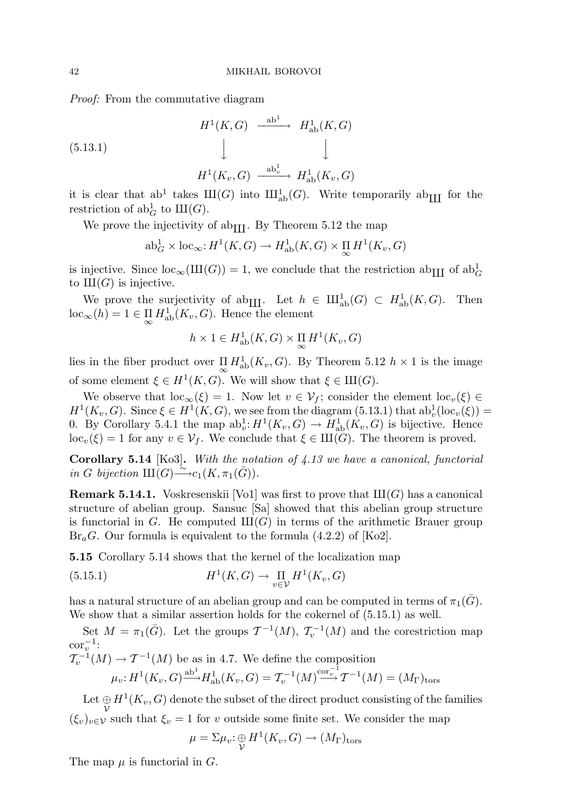Proof: From the commutative diagram

(5.13.1)  
\n
$$
H^1(K, G) \xrightarrow{\text{ab}^1} H^1_{\text{ab}}(K, G)
$$
  
\n $\downarrow \qquad \qquad \downarrow$   
\n $H^1(K_v, G) \xrightarrow{\text{ab}^1_v} H^1_{\text{ab}}(K_v, G)$ 

it is clear that ab<sup>1</sup> takes  $III(G)$  into  $III_{ab}^1(G)$ . Write temporarily ab<sub>III</sub> for the restriction of  $ab_G^1$  to  $III(G)$ .

We prove the injectivity of ab<sub>III</sub>. By Theorem 5.12 the map

$$
\mathrm{ab}_{G}^{1} \times \mathrm{loc}_{\infty} \colon H^{1}(K, G) \to H_{\mathrm{ab}}^{1}(K, G) \times \prod_{\infty} H^{1}(K_{v}, G)
$$

is injective. Since  $\mathrm{loc}_{\infty}(\mathrm{III}(G)) = 1$ , we conclude that the restriction  $\mathrm{ab}_{\mathrm{III}}$  of  $\mathrm{ab}^1_G$ to  $III(G)$  is injective.

We prove the surjectivity of ab<sub>III</sub>. Let  $h \in \mathrm{III}_{ab}^1(G) \subset H_{ab}^1(K, G)$ . Then  $\mathrm{loc}_{\infty}(h) = 1 \in \prod_{\infty} H^1_{\mathrm{ab}}(K_v, G)$ . Hence the element

$$
h \times 1 \in H^1_{\mathrm{ab}}(K, G) \times \prod_{\infty} H^1(K_v, G)
$$

lies in the fiber product over  $\prod_{\infty} H_{ab}^1(K_v, G)$ . By Theorem 5.12  $h \times 1$  is the image of some element  $\xi \in H^1(K, G)$ . We will show that  $\xi \in III(G)$ .

We observe that  $\text{loc}_{\infty}(\xi) = 1$ . Now let  $v \in V_f$ ; consider the element  $\text{loc}_{v}(\xi) \in$  $H^1(K_v, G)$ . Since  $\xi \in H^1(K, G)$ , we see from the diagram (5.13.1) that  $ab_v^1(\text{loc}_v(\xi)) =$ 0. By Corollary 5.4.1 the map  $ab_v^1: H^1(K_v, G) \to H^1_{ab}(K_v, G)$  is bijective. Hence  $\mathrm{loc}_v(\xi) = 1$  for any  $v \in \mathcal{V}_f$ . We conclude that  $\xi \in \mathrm{III}(G)$ . The theorem is proved.

**Corollary 5.14** [Ko3]. With the notation of  $4.13$  we have a canonical, functorial in G bijection  $\text{III}(G) \xrightarrow{\sim} c_1(K, \pi_1(\bar{G})).$ 

**Remark 5.14.1.** Voskresenskii [Vo1] was first to prove that  $III(G)$  has a canonical structure of abelian group. Sansuc [Sa] showed that this abelian group structure is functorial in G. He computed  $III(G)$  in terms of the arithmetic Brauer group  $\text{Br}_aG$ . Our formula is equivalent to the formula (4.2.2) of [Ko2].

5.15 Corollary 5.14 shows that the kernel of the localization map

(5.15.1) 
$$
H^{1}(K, G) \to \prod_{v \in \mathcal{V}} H^{1}(K_{v}, G)
$$

has a natural structure of an abelian group and can be computed in terms of  $\pi_1(\overline{G})$ . We show that a similar assertion holds for the cokernel of (5.15.1) as well.

Set  $M = \pi_1(\bar{G})$ . Let the groups  $\mathcal{T}^{-1}(M)$ ,  $\mathcal{T}^{-1}(M)$  and the corestriction map  $\operatorname{cor}^{-1}_v$ :  $\mathcal{T}_v^{-1}$ 

$$
(M) \to \mathcal{T}^{-1}(M)
$$
 be as in 4.7. We define the composition  
 $\mu_v: H^1(K_v, G) \xrightarrow{\text{ab}^1} H^1_{\text{ab}}(K_v, G) = \mathcal{T}_v^{-1}(M) \xrightarrow{\text{cor}_v^{-1}} \mathcal{T}^{-1}(M) = (M_\Gamma)_{\text{tors}}$ 

Let  $\bigoplus_{\mathcal{V}} H^1(K_v, G)$  denote the subset of the direct product consisting of the families  $(\xi_v)_{v\in\mathcal{V}}$  such that  $\xi_v = 1$  for v outside some finite set. We consider the map

$$
\mu = \Sigma \mu_v : \bigoplus_{\mathcal{V}} H^1(K_v, G) \to (M_{\Gamma})_{\text{tors}}
$$

The map  $\mu$  is functorial in G.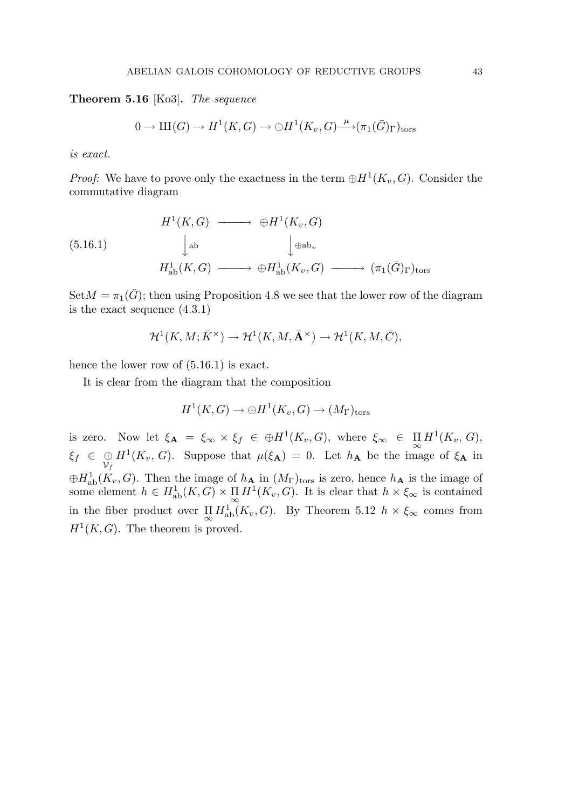Theorem 5.16 [Ko3]. The sequence

$$
0 \to \mathrm{III}(G) \to H^1(K,G) \to \oplus H^1(K_v,G) \xrightarrow{\mu} (\pi_1(\bar{G})_{\Gamma})_{\text{tors}}
$$

is exact.

*Proof:* We have to prove only the exactness in the term  $\bigoplus H^1(K_v, G)$ . Consider the commutative diagram

(5.16.1) 
$$
H^{1}(K, G) \longrightarrow \oplus H^{1}(K_{v}, G)
$$

$$
\downarrow_{\text{ab}} \qquad \qquad \downarrow_{\text{ab}_{v}}
$$

$$
H^{1}_{\text{ab}}(K, G) \longrightarrow \oplus H^{1}_{\text{ab}}(K_{v}, G) \longrightarrow (\pi_{1}(\bar{G})_{\Gamma})_{\text{tors}}
$$

 $Set M = \pi_1(\bar{G})$ ; then using Proposition 4.8 we see that the lower row of the diagram is the exact sequence (4.3.1)

$$
\mathcal{H}^1(K,M;\bar{K}^\times) \to \mathcal{H}^1(K,M,\bar{\mathbf{A}}^\times) \to \mathcal{H}^1(K,M,\bar{C}),
$$

hence the lower row of  $(5.16.1)$  is exact.

It is clear from the diagram that the composition

$$
H^1(K,G) \to \oplus H^1(K_v,G) \to (M_\Gamma)_{\rm tors}
$$

is zero. Now let  $\xi_{\mathbf{A}} = \xi_{\infty} \times \xi_f \in \oplus H^1(K_v, G)$ , where  $\xi_{\infty} \in \prod_{\infty} H^1(K_v, G)$ ,  $\xi_f \in \bigoplus_{\mathcal{V}_f}$  $H^1(K_v, G)$ . Suppose that  $\mu(\xi_A) = 0$ . Let  $h_A$  be the image of  $\xi_A$  in  $\oplus H_{ab}^1(K_v, G)$ . Then the image of  $h_{\mathbf{A}}$  in  $(M_{\Gamma})_{\text{tors}}$  is zero, hence  $h_{\mathbf{A}}$  is the image of some element  $h \in H^1_{ab}(K, G) \times \prod_{\infty} H^1(K_v, G)$ . It is clear that  $h \times \xi_{\infty}$  is contained in the fiber product over  $\prod_{\infty} H_{ab}^1(K_v, G)$ . By Theorem 5.12  $h \times \xi_{\infty}$  comes from  $H<sup>1</sup>(K, G)$ . The theorem is proved.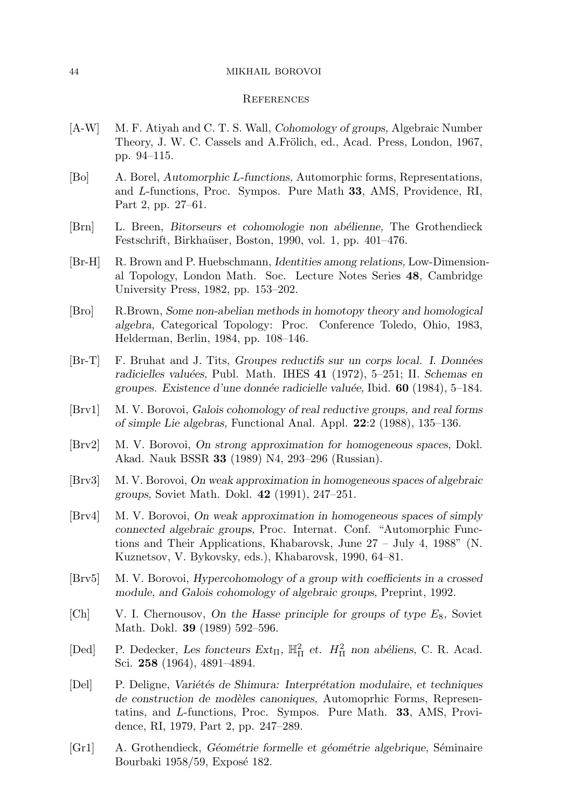#### 44 MIKHAIL BOROVOI

#### **REFERENCES**

- [A-W] M. F. Atiyah and C. T. S. Wall, Cohomology of groups, Algebraic Number Theory, J. W. C. Cassels and A.Frölich, ed., Acad. Press, London, 1967, pp. 94–115.
- [Bo] A. Borel, Automorphic L-functions, Automorphic forms, Representations, and L-functions, Proc. Sympos. Pure Math 33, AMS, Providence, RI, Part 2, pp. 27–61.
- [Brn] L. Breen, Bitorseurs et cohomologie non abélienne, The Grothendieck Festschrift, Birkhaüser, Boston, 1990, vol. 1, pp. 401–476.
- [Br-H] R. Brown and P. Huebschmann, Identities among relations, Low-Dimensional Topology, London Math. Soc. Lecture Notes Series 48, Cambridge University Press, 1982, pp. 153–202.
- [Bro] R.Brown, Some non-abelian methods in homotopy theory and homological algebra, Categorical Topology: Proc. Conference Toledo, Ohio, 1983, Helderman, Berlin, 1984, pp. 108–146.
- [Br-T] F. Bruhat and J. Tits, Groupes reductifs sur un corps local. I. Données radicielles valuées, Publ. Math. IHES 41 (1972), 5-251; II. Schemas en groupes. Existence d'une donnée radicielle valuée, Ibid.  $60$  (1984), 5–184.
- [Brv1] M. V. Borovoi, Galois cohomology of real reductive groups, and real forms of simple Lie algebras, Functional Anal. Appl. 22:2 (1988), 135–136.
- [Brv2] M. V. Borovoi, On strong approximation for homogeneous spaces, Dokl. Akad. Nauk BSSR 33 (1989) N4, 293–296 (Russian).
- [Brv3] M. V. Borovoi, On weak approximation in homogeneous spaces of algebraic groups, Soviet Math. Dokl. 42 (1991), 247–251.
- [Brv4] M. V. Borovoi, On weak approximation in homogeneous spaces of simply connected algebraic groups, Proc. Internat. Conf. "Automorphic Functions and Their Applications, Khabarovsk, June 27 – July 4, 1988" (N. Kuznetsov, V. Bykovsky, eds.), Khabarovsk, 1990, 64–81.
- [Brv5] M. V. Borovoi, Hypercohomology of a group with coefficients in a crossed module, and Galois cohomology of algebraic groups, Preprint, 1992.
- [Ch] V. I. Chernousov, On the Hasse principle for groups of type  $E_8$ , Soviet Math. Dokl. 39 (1989) 592–596.
- [Ded] P. Dedecker, Les foncteurs  $Ext_{\Pi}$ ,  $\mathbb{H}^2_{\Pi}$  et.  $H^2_{\Pi}$  non abéliens, C. R. Acad. Sci. 258 (1964), 4891–4894.
- [Del] P. Deligne, Variétés de Shimura: Interprétation modulaire, et techniques de construction de modèles canoniques, Automoprhic Forms, Representatins, and L-functions, Proc. Sympos. Pure Math. 33, AMS, Providence, RI, 1979, Part 2, pp. 247–289.
- [Gr1] A. Grothendieck, Géométrie formelle et géométrie algebrique, Séminaire Bourbaki 1958/59, Exposé 182.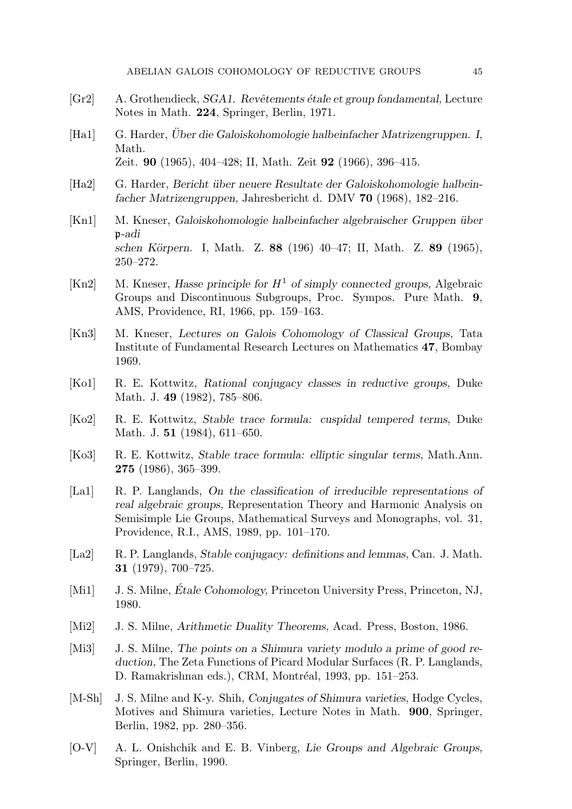- [Gr2] A. Grothendieck, *SGA1.* Revêtements étale et group fondamental, Lecture Notes in Math. 224, Springer, Berlin, 1971.
- [Ha1] G. Harder, Über die Galoiskohomologie halbeinfacher Matrizengruppen. I, Math. Zeit. 90 (1965), 404–428; II, Math. Zeit 92 (1966), 396–415.
- [Ha2] G. Harder, Bericht über neuere Resultate der Galoiskohomologie halbeinfacher Matrizengruppen, Jahresbericht d. DMV 70 (1968), 182–216.
- [Kn1] M. Kneser, Galoiskohomologie halbeinfacher algebraischer Gruppen über p-adi schen Körpern. I, Math. Z. 88 (196) 40–47; II, Math. Z. 89 (1965), 250–272.
- [Kn2] M. Kneser, Hasse principle for  $H^1$  of simply connected groups, Algebraic Groups and Discontinuous Subgroups, Proc. Sympos. Pure Math. 9, AMS, Providence, RI, 1966, pp. 159–163.
- [Kn3] M. Kneser, Lectures on Galois Cohomology of Classical Groups, Tata Institute of Fundamental Research Lectures on Mathematics 47, Bombay 1969.
- [Ko1] R. E. Kottwitz, Rational conjugacy classes in reductive groups, Duke Math. J. 49 (1982), 785–806.
- [Ko2] R. E. Kottwitz, Stable trace formula: cuspidal tempered terms, Duke Math. J. 51 (1984), 611–650.
- [Ko3] R. E. Kottwitz, Stable trace formula: elliptic singular terms, Math.Ann. 275 (1986), 365–399.
- [La1] R. P. Langlands, On the classification of irreducible representations of real algebraic groups, Representation Theory and Harmonic Analysis on Semisimple Lie Groups, Mathematical Surveys and Monographs, vol. 31, Providence, R.I., AMS, 1989, pp. 101–170.
- [La2] R. P. Langlands, Stable conjugacy: definitions and lemmas, Can. J. Math. 31 (1979), 700–725.
- [Mi1] J. S. Milne, *Étale Cohomology*, Princeton University Press, Princeton, NJ, 1980.
- [Mi2] J. S. Milne, Arithmetic Duality Theorems, Acad. Press, Boston, 1986.
- [Mi3] J. S. Milne, The points on a Shimura variety modulo a prime of good reduction, The Zeta Functions of Picard Modular Surfaces (R. P. Langlands, D. Ramakrishnan eds.), CRM, Montréal, 1993, pp. 151–253.
- [M-Sh] J. S. Milne and K-y. Shih, *Conjugates of Shimura varieties*, Hodge Cycles, Motives and Shimura varieties, Lecture Notes in Math. 900, Springer, Berlin, 1982, pp. 280–356.
- [O-V] A. L. Onishchik and E. B. Vinberg, Lie Groups and Algebraic Groups, Springer, Berlin, 1990.